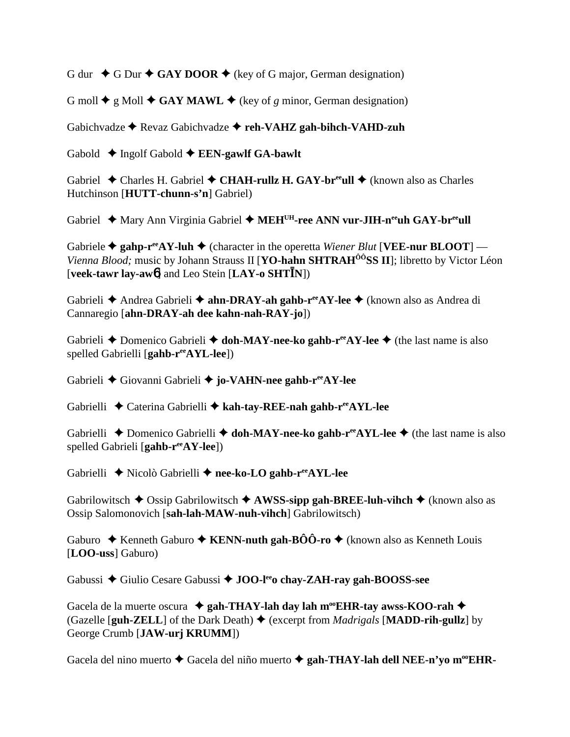G dur  $\rightarrow$  G Dur  $\rightarrow$  GAY DOOR  $\rightarrow$  (key of G major, German designation)

G moll  $\blacklozenge$  g Moll  $\blacklozenge$  GAY MAWL  $\blacklozenge$  (key of *g* minor, German designation)

Gabichvadze Revaz Gabichvadze **reh-VAHZ gah-bihch-VAHD-zuh**

Gabold  $\rightarrow$  Ingolf Gabold  $\rightarrow$  **EEN-gawlf GA-bawlt** 

Gabriel  $\triangle$  Charles H. Gabriel  $\triangle$  CHAH-rullz H. GAY-br<sup>ee</sup>ull  $\triangle$  (known also as Charles Hutchinson [**HUTT-chunn-s'n**] Gabriel)

Gabriel ◆ Mary Ann Virginia Gabriel ◆ MEH<sup>UH</sup>-ree ANN vur-JIH-n<sup>ee</sup>uh GAY-br<sup>ee</sup>ull

Gabriele  $\triangle$  gahp-r<sup>ee</sup>AY-luh  $\triangle$  (character in the operetta *Wiener Blut* [VEE-nur BLOOT] — *Vienna Blood;* music by Johann Strauss II [**YO-hahn SHTRAH<sup>ôô</sup>SS II**]; libretto by Victor Léon [**veek-tawr lay-aw**6] and Leo Stein [**LAY-o SHTN**])

Gabrieli **←** Andrea Gabrieli ← ahn-DRAY-ah gahb-r<sup>ee</sup>AY-lee ← (known also as Andrea di Cannaregio [**ahn-DRAY-ah dee kahn-nah-RAY-jo**])

Gabrieli **→** Domenico Gabrieli → **doh-MAY-nee-ko gahb-r<sup>ee</sup>AY-lee** → (the last name is also spelled Gabrielli [**gahb-reeAYL-lee**])

Gabrieli Giovanni Gabrieli **jo-VAHN-nee gahb-reeAY-lee**

Gabrielli **←** Caterina Gabrielli ← kah-tay-REE-nah gahb-r<sup>ee</sup>AYL-lee

Gabrielli **→** Domenico Gabrielli → **doh-MAY-nee-ko gahb-r<sup>ee</sup>AYL-lee** → (the last name is also spelled Gabrieli [**gahb-reeAY-lee**])

Gabrielli Nicolò Gabrielli **nee-ko-LO gahb-reeAYL-lee**

Gabrilowitsch  $\triangle$  Ossip Gabrilowitsch  $\triangle$  AWSS-sipp gah-BREE-luh-vihch  $\triangle$  (known also as Ossip Salomonovich [**sah-lah-MAW-nuh-vihch**] Gabrilowitsch)

Gaburo  $\rightarrow$  Kenneth Gaburo  $\rightarrow$  KENN-nuth gah-BÔÔ-ro  $\rightarrow$  (known also as Kenneth Louis [**LOO-uss**] Gaburo)

Gabussi ◆ Giulio Cesare Gabussi ◆ **JOO-l<sup>ee</sup>o chay-ZAH-ray gah-BOOSS-see** 

Gacela de la muerte oscura  $\triangleq$  gah-THAY-lah day lah m<sup>oo</sup>EHR-tay awss-KOO-rah  $\triangleq$ (Gazelle  $\lceil \text{guh-ZELL} \rceil$  of the Dark Death)  $\blacklozenge$  (excerpt from *Madrigals*  $\lceil \text{MADD-rih-gullz} \rceil$  by George Crumb [**JAW-urj KRUMM**])

Gacela del nino muerto ◆ Gacela del niño muerto ◆ gah-THAY-lah dell NEE-n'yo m<sup>oo</sup>EHR-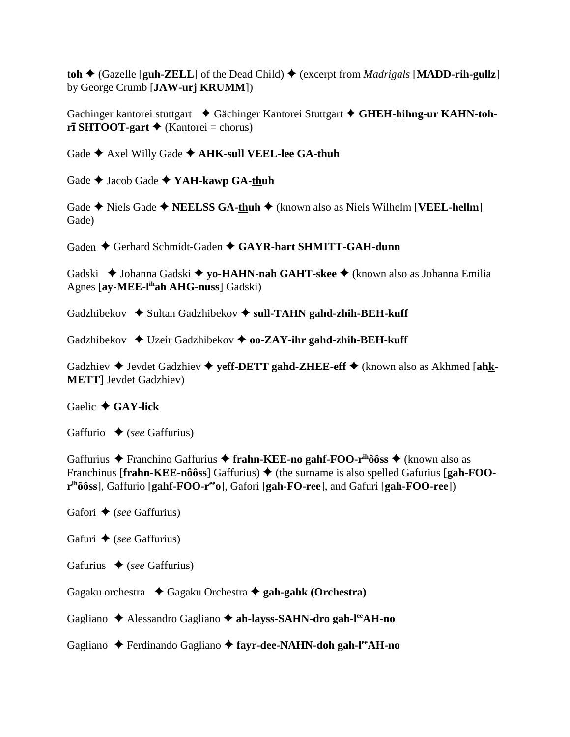$\text{toh} \triangleleft$  (Gazelle [guh-ZELL] of the Dead Child)  $\triangleleft$  (excerpt from *Madrigals* [MADD-rih-gullz] by George Crumb [**JAW-urj KRUMM**])

Gachinger kantorei stuttgart **→** Gächinger Kantorei Stuttgart → GHEH-hihng-ur KAHN-toh- $\overrightarrow{r}$ **SHTOOT-gart**  $\bigstar$  (Kantorei = chorus)

Gade  $\triangle$  Axel Willy Gade  $\triangle$  AHK-sull VEEL-lee GA-thuh

Gade  $\rightarrow$  Jacob Gade  $\rightarrow$  YAH-kawp GA-thuh

Gade  $\triangle$  Niels Gade  $\triangle$  **NEELSS GA-thuh**  $\triangle$  (known also as Niels Wilhelm [**VEEL-hellm**] Gade)

Gaden  $\triangle$  Gerhard Schmidt-Gaden  $\triangle$  GAYR-hart SHMITT-GAH-dunn

Gadski ◆ Johanna Gadski ◆ yo-**HAHN-nah GAHT-skee** ◆ (known also as Johanna Emilia Agnes [**ay-MEE-lihah AHG-nuss**] Gadski)

Gadzhibekov  $\rightarrow$  Sultan Gadzhibekov  $\rightarrow$  sull-TAHN gahd-zhih-BEH-kuff

Gadzhibekov **→** Uzeir Gadzhibekov → **oo-ZAY-ihr gahd-zhih-BEH-kuff** 

Gadzhiev  $\triangle$  Jevdet Gadzhiev  $\triangle$  yeff-DETT gahd-ZHEE-eff  $\triangle$  (known also as Akhmed [ahk-**METT**] Jevdet Gadzhiev)

Gaelic **GAY-lick**

Gaffurio  $\bullet$  (*see* Gaffurius)

Gaffurius **←** Franchino Gaffurius ← frahn-KEE-no gahf-FOO-r<sup>ih</sup>ôôss ← (known also as Franchinus [**frahn-KEE-nôôss**] Gaffurius)  $\blacklozenge$  (the surname is also spelled Gafurius [**gah-FOO** $r<sup>ih</sup>ôôss$ , Gaffurio [gahf-FOO- $r<sup>ee</sup>o$ ], Gafori [gah-FO-ree], and Gafuri [gah-FOO-ree])

Gafori  $\triangle$  (*see* Gaffurius)

Gafuri **→** (*see* Gaffurius)

Gafurius **→** (*see* Gaffurius)

Gagaku orchestra Gagaku Orchestra **gah-gahk (Orchestra)**

Gagliano Alessandro Gagliano **ah-layss-SAHN-dro gah-leeAH-no**

Gagliano **←** Ferdinando Gagliano ← fayr-dee-NAHN-doh gah-l<sup>ee</sup>AH-no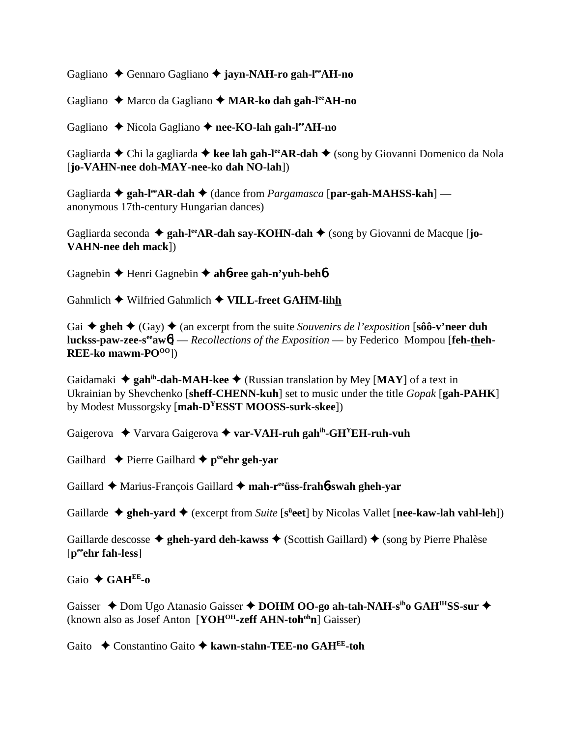Gagliano Gennaro Gagliano **jayn-NAH-ro gah-leeAH-no**

Gagliano Marco da Gagliano **MAR-ko dah gah-leeAH-no**

Gagliano ◆ Nicola Gagliano ◆ nee-KO-lah gah-l<sup>ee</sup>AH-no

Gagliarda **←** Chi la gagliarda ← kee lah gah-l<sup>ee</sup>AR-dah ← (song by Giovanni Domenico da Nola [**jo-VAHN-nee doh-MAY-nee-ko dah NO-lah**])

Gagliarda **↓ gah-l<sup>ee</sup>AR-dah ◆** (dance from *Pargamasca* [par-gah-MAHSS-kah] anonymous 17th-century Hungarian dances)

Gagliarda seconda  $\triangleq$  gah-l<sup>ee</sup>AR-dah say-KOHN-dah  $\triangleq$  (song by Giovanni de Macque [**jo-VAHN-nee deh mack**])

Gagnebin Henri Gagnebin **ah**6**-ree gah-n'yuh-beh**6

Gahmlich ◆ Wilfried Gahmlich ◆ VILL-freet GAHM-lihh

Gai  $\triangle$  gheh  $\triangle$  (Gay)  $\triangle$  (an excerpt from the suite *Souvenirs de l'exposition* [sôô-v'neer duh **luckss-paw-zee-s<sup>ee</sup>aw6**] — *Recollections of the Exposition* — by Federico Mompou [feh-theh-**REE-ko** mawm-PO<sup>OO</sup>])

Gaidamaki  $\triangleq$  gah<sup>ih</sup>-dah-MAH-kee  $\triangleq$  (Russian translation by Mey [MAY] of a text in Ukrainian by Shevchenko [**sheff-CHENN-kuh**] set to music under the title *Gopak* [**gah-PAHK**] by Modest Mussorgsky [**mah-DYESST MOOSS-surk-skee**])

Gaigerova Varvara Gaigerova **var-VAH-ruh gahih-GHYEH-ruh-vuh**

Gailhard  $\triangle$  Pierre Gailhard  $\triangle$  p<sup>ee</sup>ehr geh-yar

Gaillard Marius-François Gaillard **mah-reeüss-frah**6**-swah gheh-yar**

Gaillarde  $\triangle$  gheh-yard  $\triangle$  (excerpt from *Suite* [s<sup>ü</sup>eet] by Nicolas Vallet [nee-kaw-lah vahl-leh])

Gaillarde descosse  $\triangle$  gheh-yard deh-kawss  $\triangle$  (Scottish Gaillard)  $\triangle$  (song by Pierre Phalèse [**peeehr fah-less**]

Gaio **GAHEE-o**

Gaisser ◆ Dom Ugo Atanasio Gaisser ◆ DOHM OO-go ah-tah-NAH-s<sup>ih</sup>o GAH<sup>IH</sup>SS-sur ◆ (known also as Josef Anton [**YOHOH-zeff AHN-tohohn**] Gaisser)

Gaito Constantino Gaito **kawn-stahn-TEE-no GAHEE-toh**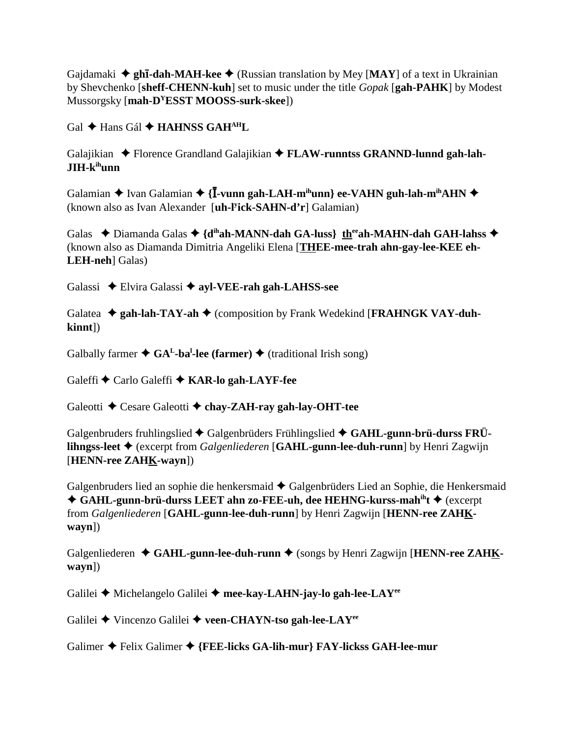Gajdamaki  $\triangleq$  **ghī-dah-MAH-kee**  $\triangleq$  (Russian translation by Mey [MAY] of a text in Ukrainian by Shevchenko [**sheff-CHENN-kuh**] set to music under the title *Gopak* [**gah-PAHK**] by Modest Mussorgsky [**mah-DYESST MOOSS-surk-skee**])

Gal  $\triangle$  Hans Gál  $\triangle$  **HAHNSS GAH<sup>AH</sup>L** 

Galajikian  $\blacklozenge$  Florence Grandland Galajikian  $\blacklozenge$  **FLAW-runntss GRANND-lunnd gah-lah-JIH-kihunn**

Galamian  $\blacklozenge$  Ivan Galamian  $\blacklozenge$  {**I**-vunn gah-LAH-m<sup>ih</sup>unn} ee-VAHN guh-lah-m<sup>ih</sup>AHN  $\blacklozenge$ (known also as Ivan Alexander [**uh-ly ick-SAHN-d'r**] Galamian)

Galas  $\rightarrow$  Diamanda Galas  $\rightarrow$  {d<sup>ih</sup>ah-MANN-dah GA-luss} the <sup>ee</sup>ah-MAHN-dah GAH-lahss  $\rightarrow$ (known also as Diamanda Dimitria Angeliki Elena [**THEE-mee-trah ahn-gay-lee-KEE eh-LEH-neh**] Galas)

Galassi Elvira Galassi **ayl-VEE-rah gah-LAHSS-see**

Galatea  $\triangleq$  gah-lah-TAY-ah  $\triangleq$  (composition by Frank Wedekind [FRAHNGK VAY-duh**kinnt**])

Galbally farmer ◆ GA<sup>L</sup>-ba<sup>l</sup>-lee (farmer) ◆ (traditional Irish song)

Galeffi **←** Carlo Galeffi ← KAR-lo gah-LAYF-fee

Galeotti **←** Cesare Galeotti ← chay-ZAH-ray gah-lay-OHT-tee

Galgenbruders fruhlingslied  $\blacklozenge$  Galgenbrüders Frühlingslied  $\blacklozenge$  GAHL-gunn-brü-durss FRÜ**lihngss-leet** (excerpt from *Galgenliederen* [**GAHL-gunn-lee-duh-runn**] by Henri Zagwijn [**HENN-ree ZAHK-wayn**])

Galgenbruders lied an sophie die henkersmaid  $\blacklozenge$  Galgenbrüders Lied an Sophie, die Henkersmaid ◆ GAHL-gunn-brü-durss LEET ahn zo-FEE-uh, dee HEHNG-kurss-mah<sup>ih</sup>t ◆ (excerpt from *Galgenliederen* [**GAHL-gunn-lee-duh-runn**] by Henri Zagwijn [**HENN-ree ZAHKwayn**])

Galgenliederen  $\triangleleft$  GAHL-gunn-lee-duh-runn  $\triangleq$  (songs by Henri Zagwijn [HENN-ree ZAHK**wayn**])

Galilei **←** Michelangelo Galilei ← mee-kay-LAHN-jay-lo gah-lee-LAY<sup>ee</sup>

Galilei Vincenzo Galilei **veen-CHAYN-tso gah-lee-LAYee**

Galimer Felix Galimer **{FEE-licks GA-lih-mur} FAY-lickss GAH-lee-mur**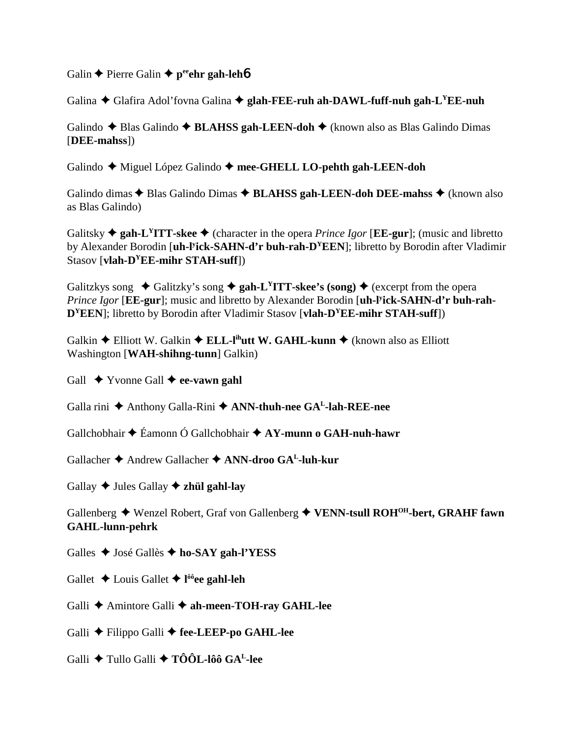Galin  $\triangle$  Pierre Galin  $\triangle$  p<sup>ee</sup>ehr gah-leh**6** 

Galina ◆ Glafira Adol'fovna Galina ◆ glah-FEE-ruh ah-DAWL-fuff-nuh gah-L<sup>Y</sup>EE-nuh

Galindo ◆ Blas Galindo ◆ **BLAHSS gah-LEEN-doh** ◆ (known also as Blas Galindo Dimas [**DEE-mahss**])

Galindo Miguel López Galindo **mee-GHELL LO-pehth gah-LEEN-doh**

Galindo dimas  $\triangle$  Blas Galindo Dimas  $\triangle$  **BLAHSS gah-LEEN-doh DEE-mahss**  $\triangle$  (known also as Blas Galindo)

Galitsky  $\triangle$  gah-L<sup>Y</sup>ITT-skee  $\triangle$  (character in the opera *Prince Igor* [**EE-gur**]; (music and libretto by Alexander Borodin [**uh-ly ick-SAHN-d'r buh-rah-DYEEN**]; libretto by Borodin after Vladimir Stasov [**vlah-DYEE-mihr STAH-suff**])

Galitzkys song  $\triangleleft$  Galitzky's song  $\triangleleft$  gah-L<sup>Y</sup>ITT-skee's (song)  $\triangleleft$  (excerpt from the opera *Prince Igor* [**EE-gur**]; music and libretto by Alexander Borodin [**uh-ly ick-SAHN-d'r buh-rah-D<sup>Y</sup>EEN**]; libretto by Borodin after Vladimir Stasov [vlah-D<sup>Y</sup>EE-mihr STAH-suff])

Galkin **←** Elliott W. Galkin ← **ELL-l<sup>ih</sup>utt W. GAHL-kunn** ← (known also as Elliott Washington [**WAH-shihng-tunn**] Galkin)

Gall  $\rightarrow$  Yvonne Gall  $\rightarrow$  ee-vawn gahl

Galla rini  $\triangle$  Anthony Galla-Rini  $\triangle$  ANN-thuh-nee GA<sup>L</sup>-lah-REE-nee

Gallchobhair Éamonn Ó Gallchobhair **AY-munn o GAH-nuh-hawr**

Gallacher Andrew Gallacher **ANN-droo GAL-luh-kur**

Gallay  $\triangle$  Jules Gallay  $\triangle$  zhül gahl-lay

Gallenberg Wenzel Robert, Graf von Gallenberg **VENN-tsull ROHOH-bert, GRAHF fawn GAHL-lunn-pehrk**

Galles José Gallès **ho-SAY gah-l'YESS**

Gallet Louis Gallet **l ôôee gahl-leh**

Galli **←** Amintore Galli ← ah-meen-TOH-ray GAHL-lee

Galli Filippo Galli **fee-LEEP-po GAHL-lee**

Galli Tullo Galli **TÔÔL-lôô GAL-lee**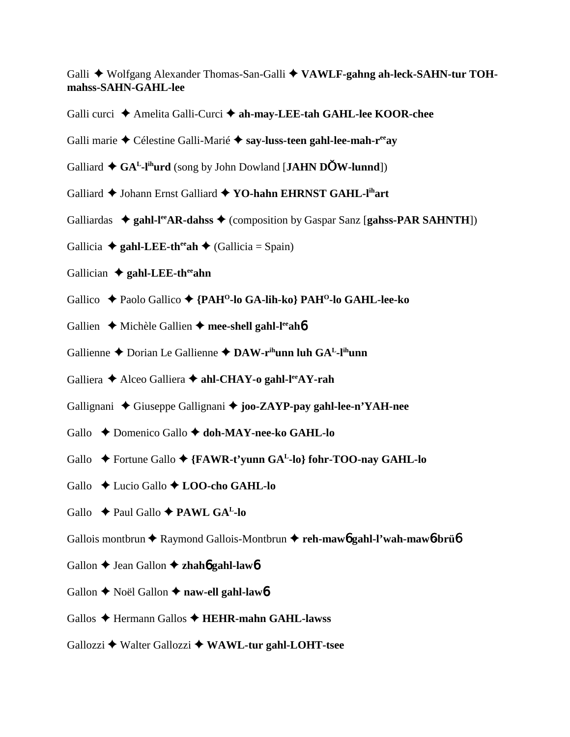Galli  $\blacklozenge$  Wolfgang Alexander Thomas-San-Galli  $\blacklozenge$  VAWLF-gahng ah-leck-SAHN-tur TOH**mahss-SAHN-GAHL-lee**

- Galli curci Amelita Galli-Curci **ah-may-LEE-tah GAHL-lee KOOR-chee**
- Galli marie Célestine Galli-Marié **say-luss-teen gahl-lee-mah-reeay**
- Galliard  $\triangle G A^L$ -l<sup>ih</sup>urd (song by John Dowland [**JAHN DOW-lunnd**])
- Galliard  $\triangle$  Johann Ernst Galliard  $\triangle$  YO-hahn EHRNST GAHL-l<sup>ih</sup>art
- Galliardas  $\triangleleft$  gahl-l<sup>ee</sup>AR-dahss  $\triangleleft$  (composition by Gaspar Sanz [gahss-PAR SAHNTH])
- Gallicia  $\triangle$  gahl-LEE-th<sup>ee</sup>ah  $\triangle$  (Gallicia = Spain)
- Gallician  $\triangleq$  gahl-LEE-th<sup>ee</sup>ahn
- Gallico Paolo Gallico **{PAHO-lo GA-lih-ko} PAHO-lo GAHL-lee-ko**
- Gallien **→** Michèle Gallien → mee-shell gahl-l<sup>ee</sup>ah**6**
- Gallienne ◆ Dorian Le Gallienne ◆ DAW-r<sup>ih</sup>unn luh GA<sup>L</sup>-l<sup>ih</sup>unn
- Galliera **→** Alceo Galliera **→ ahl-CHAY-o gahl-l<sup>ee</sup>AY-rah**
- Gallignani ◆ Giuseppe Gallignani ◆ joo-ZAYP-pay gahl-lee-n'YAH-nee
- Gallo  $\rightarrow$  Domenico Gallo  $\rightarrow$  doh-MAY-nee-ko GAHL-lo
- Gallo **←** Fortune Gallo ← {**FAWR-t'vunn GA<sup>L</sup>-lo**} fohr-TOO-nay GAHL-lo
- Gallo Lucio Gallo **LOO-cho GAHL-lo**
- Gallo  $\rightarrow$  Paul Gallo  $\rightarrow$  **PAWL GA<sup>L</sup>-lo**
- Gallois montbrun **←** Raymond Gallois-Montbrun ← reh-maw<sub>6</sub> gahl-l'wah-maw<sub>6</sub>-brü6
- Gallon **→** Jean Gallon **→ zhahó gahl-lawó**
- Gallon **←** Noël Gallon ← naw-ell gahl-lawb
- Gallos Hermann Gallos **HEHR-mahn GAHL-lawss**
- Gallozzi Walter Gallozzi **WAWL-tur gahl-LOHT-tsee**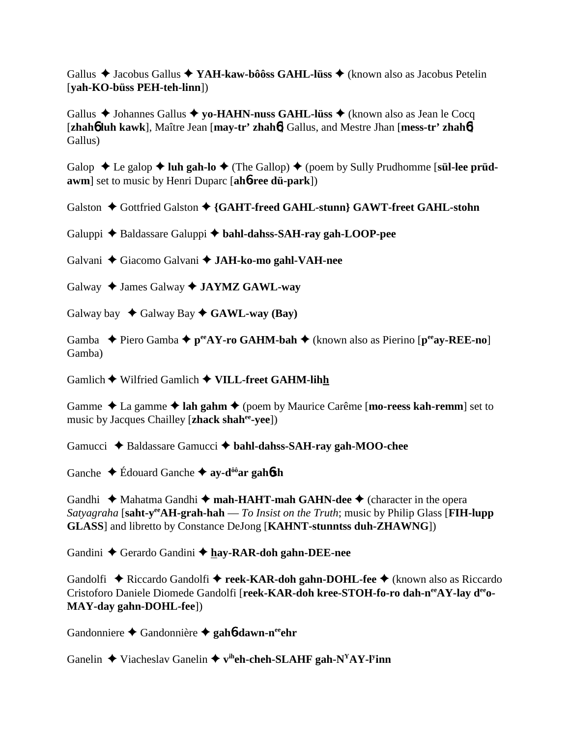Gallus Jacobus Gallus **YAH-kaw-bôôss GAHL-lüss** (known also as Jacobus Petelin [**yah-KO-büss PEH-teh-linn**])

Gallus **→** Johannes Gallus **→ yo-HAHN-nuss GAHL-lüss →** (known also as Jean le Cocq [**zhah**6 **luh kawk**], Maître Jean [**may-tr' zhah**6] Gallus, and Mestre Jhan [**mess-tr' zhah**6] Gallus)

Galop  $\triangle$  Le galop  $\triangle$  luh gah-lo  $\triangle$  (The Gallop)  $\triangle$  (poem by Sully Prudhomme [s**ül-lee prüdawm**] set to music by Henri Duparc [**ah**6**-ree dü-park**])

Galston ◆ Gottfried Galston ◆ {GAHT-freed GAHL-stunn} GAWT-freet GAHL-stohn

Galuppi  $\triangle$  Baldassare Galuppi  $\triangle$  bahl-dahss-SAH-ray gah-LOOP-pee

Galvani Giacomo Galvani **JAH-ko-mo gahl-VAH-nee**

Galway  $\triangle$  James Galway  $\triangle$  **JAYMZ GAWL-way** 

Galway bay  $\leftrightarrow$  Galway Bay  $\leftrightarrow$  **GAWL-way (Bay)** 

Gamba  **→** Piero Gamba →  $p^{ee}AY$ -ro GAHM-bah → (known also as Pierino [ $p^{ee}ay$ -REE-no] Gamba)

Gamlich ◆ Wilfried Gamlich ◆ VILL-freet GAHM-lihh

Gamme  $\triangle$  La gamme  $\triangle$  lah gahm  $\triangle$  (poem by Maurice Carême [**mo-reess kah-remm**] set to music by Jacques Chailley [**zhack shahee-yee**])

Gamucci **→** Baldassare Gamucci → bahl-dahss-SAH-ray gah-MOO-chee

Ganche Édouard Ganche **ay-dôôar gah**6**sh**

Gandhi  $\triangle$  Mahatma Gandhi  $\triangle$  mah-HAHT-mah GAHN-dee  $\triangle$  (character in the opera *Satyagraha* [**saht-yeeAH-grah-hah** — *To Insist on the Truth*; music by Philip Glass [**FIH-lupp GLASS**] and libretto by Constance DeJong [**KAHNT-stunntss duh-ZHAWNG**])

Gandini Gerardo Gandini **hay-RAR-doh gahn-DEE-nee**

Gandolfi ◆ Riccardo Gandolfi ◆ reek-KAR-doh gahn-DOHL-fee ◆ (known also as Riccardo Cristoforo Daniele Diomede Gandolfi [reek-KAR-doh kree-STOH-fo-ro dah-n<sup>ee</sup>AY-lay deeo-**MAY-day gahn-DOHL-fee**])

Gandonniere Gandonnière **gah**6**-dawn-neeehr**

Ganelin  $\triangle$  Viacheslav Ganelin  $\triangle$  v<sup>ih</sup>eh-cheh-SLAHF gah-N<sup>Y</sup>AY-l<sup>y</sup>inn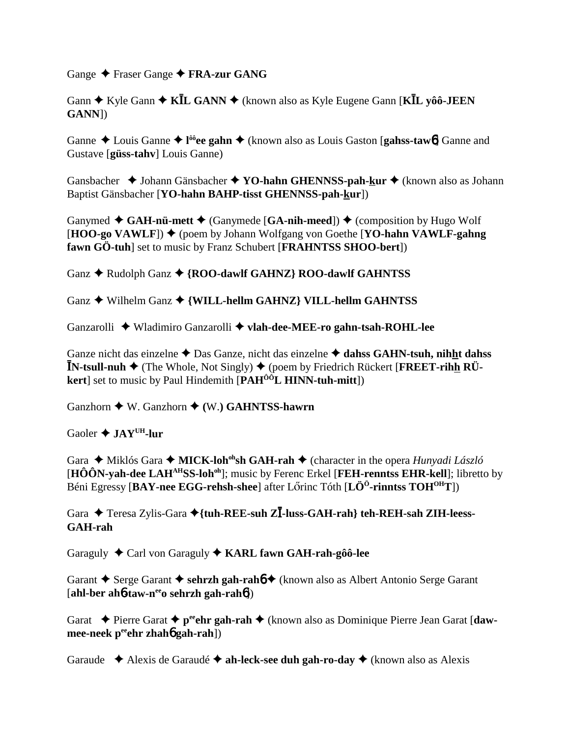Gange Fraser Gange **FRA-zur GANG**

Gann **→** Kyle Gann **→ KĪL GANN** → (known also as Kyle Eugene Gann [KĪL yôô-JEEN] **GANN**])

Ganne  $\triangle$  Louis Ganne  $\triangle$  l<sup>ôô</sup>ee gahn  $\triangle$  (known also as Louis Gaston [gahss-tawb] Ganne and Gustave [**güss-tahv**] Louis Ganne)

Gansbacher **→** Johann Gänsbacher → **YO-hahn GHENNSS-pah-kur** → (known also as Johann Baptist Gänsbacher [**YO-hahn BAHP-tisst GHENNSS-pah-kur**])

Ganymed  $\triangleleft$  GAH-nü-mett  $\triangleleft$  (Ganymede [GA-nih-meed])  $\triangleleft$  (composition by Hugo Wolf [**HOO-go VAWLF**]) ♦ (poem by Johann Wolfgang von Goethe [**YO-hahn VAWLF-gahng**] **fawn GÖ-tuh**] set to music by Franz Schubert [**FRAHNTSS SHOO-bert**])

Ganz  $\triangle$  Rudolph Ganz  $\triangle$  {ROO-dawlf GAHNZ} ROO-dawlf GAHNTSS

Ganz  $\triangle$  Wilhelm Ganz  $\triangle$  {WILL-hellm GAHNZ} VILL-hellm GAHNTSS

Ganzarolli Wladimiro Ganzarolli **vlah-dee-MEE-ro gahn-tsah-ROHL-lee**

Ganze nicht das einzelne  $\triangle$  Das Ganze, nicht das einzelne  $\triangle$  dahss GAHN-tsuh, nihht dahss  $\mathbf{\bar{N}}$ -tsull-nuh  $\blacklozenge$  (The Whole, Not Singly)  $\blacklozenge$  (poem by Friedrich Rückert [FREET-rihh RÜ**kert** set to music by Paul Hindemith **[PAH<sup>ôô</sup>L HINN-tuh-mitt**])

Ganzhorn W. Ganzhorn **(**W.**) GAHNTSS-hawrn**

Gaoler **JAYUH-lur**

Gara ◆ Miklós Gara ◆ **MICK-loh<sup>oh</sup>sh GAH-rah** ◆ (character in the opera *Hunyadi László* [**HÔÔN-yah-dee LAHAHSS-lohoh**]; music by Ferenc Erkel [**FEH-renntss EHR-kell**]; libretto by Béni Egressy [**BAY-nee EGG-rehsh-shee**] after Lőrinc Tóth [**LÖ<sup>Ö</sup>-rinntss TOH<sup>OH</sup>T**])

Gara ◆ Teresa Zylis-Gara ◆{tuh-REE-suh Z**Ī-luss-GAH-rah} teh-REH-sah ZIH-leess-GAH-rah**

Garaguly  $\triangle$  Carl von Garaguly  $\triangle$  KARL fawn GAH-rah-gôô-lee

Garant  $\triangle$  Serge Garant  $\triangle$  sehrzh gah-rah**b**  $\triangle$  (known also as Albert Antonio Serge Garant [**ahl-ber ah**6**-taw-neeo sehrzh gah-rah**6])

Garat  $\rightarrow$  Pierre Garat  $\rightarrow$  p<sup>ee</sup>ehr gah-rah  $\rightarrow$  (known also as Dominique Pierre Jean Garat [daw**mee-neek p<sup>ee</sup>ehr zhah<sup>6</sup> gah-rah**])

Garaude Alexis de Garaudé **ah-leck-see duh gah-ro-day** (known also as Alexis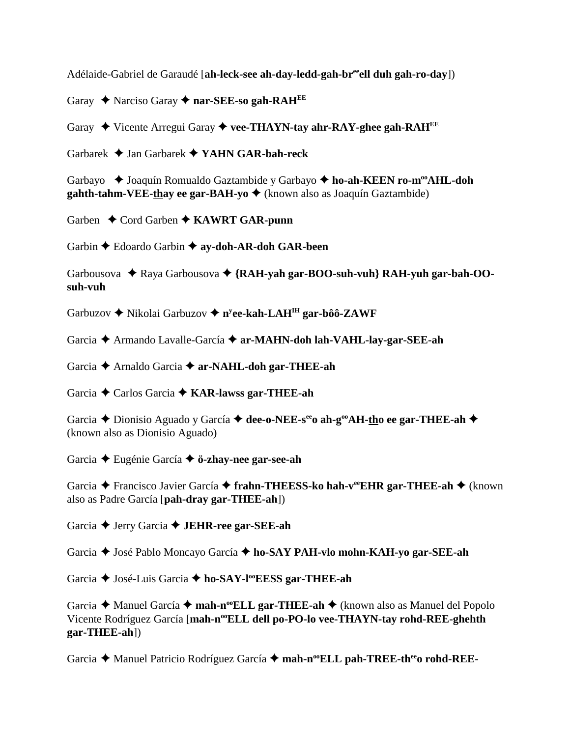Adélaide-Gabriel de Garaudé [**ah-leck-see ah-day-ledd-gah-breeell duh gah-ro-day**])

Garay  $\triangle$  Narciso Garay  $\triangle$  nar-SEE-so gah-RAH<sup>EE</sup>

Garay Vicente Arregui Garay **vee-THAYN-tay ahr-RAY-ghee gah-RAHEE**

Garbarek Jan Garbarek **YAHN GAR-bah-reck**

Garbayo  $\triangleleft$  Joaquín Romualdo Gaztambide y Garbayo  $\triangleleft$  ho-ah-KEEN ro-m<sup>oo</sup>AHL-doh **gahth-tahm-VEE-thay ee gar-BAH-yo ♦** (known also as Joaquín Gaztambide)

Garben  $\triangle$  Cord Garben  $\triangle$  **KAWRT GAR-punn** 

Garbin  $\triangle$  Edoardo Garbin  $\triangle$  ay-doh-AR-doh GAR-been

Garbousova  $\triangle$  Raya Garbousova  $\triangle$  {RAH-yah gar-BOO-suh-vuh} RAH-yuh gar-bah-OO**suh-vuh**

Garbuzov ◆ Nikolai Garbuzov ◆ n<sup>y</sup>ee-kah-LAH<sup>IH</sup> gar-bôô-ZAWF

Garcia Armando Lavalle-García **ar-MAHN-doh lah-VAHL-lay-gar-SEE-ah**

Garcia Arnaldo Garcia **ar-NAHL-doh gar-THEE-ah**

Garcia Carlos Garcia **KAR-lawss gar-THEE-ah**

Garcia **→** Dionisio Aguado y García → dee-o-NEE-s<sup>ee</sup>o ah-g<sup>oo</sup>AH-tho ee gar-THEE-ah → (known also as Dionisio Aguado)

Garcia Eugénie García **ö-zhay-nee gar-see-ah**

Garcia **→** Francisco Javier García → frahn-THEESS-ko hah-veeEHR gar-THEE-ah → (known also as Padre García [**pah-dray gar-THEE-ah**])

Garcia Jerry Garcia **JEHR-ree gar-SEE-ah**

Garcia José Pablo Moncayo García **ho-SAY PAH-vlo mohn-KAH-yo gar-SEE-ah**

Garcia  $\triangle$  José-Luis Garcia  $\triangle$  ho-SAY-l<sup>oo</sup>EESS gar-THEE-ah

Garcia **→** Manuel García → mah-n<sup>oo</sup>ELL gar-THEE-ah → (known also as Manuel del Popolo Vicente Rodríguez García [mah-n<sup>oo</sup>ELL dell po-PO-lo vee-THAYN-tay rohd-REE-ghehth **gar-THEE-ah**])

Garcia **→** Manuel Patricio Rodríguez García → mah-n<sup>oo</sup>ELL pah-TREE-th<sup>ee</sup>o rohd-REE-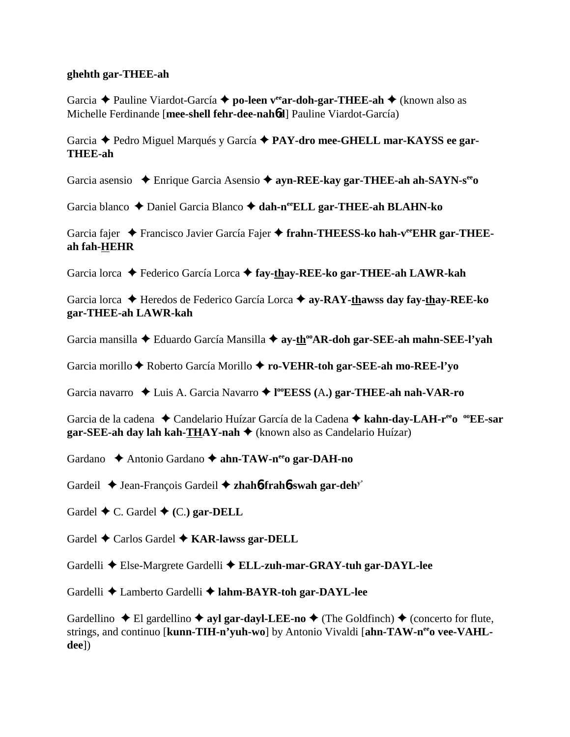#### **ghehth gar-THEE-ah**

Garcia Pauline Viardot-García **po-leen veear-doh-gar-THEE-ah** (known also as Michelle Ferdinande [**mee-shell fehr-dee-nah**6**d**] Pauline Viardot-García)

Garcia Pedro Miguel Marqués y García **PAY-dro mee-GHELL mar-KAYSS ee gar-THEE-ah**

Garcia asensio Enrique Garcia Asensio **ayn-REE-kay gar-THEE-ah ah-SAYN-seeo**

Garcia blanco  $\triangle$  Daniel Garcia Blanco  $\triangle$  dah-n<sup>ee</sup>ELL gar-THEE-ah BLAHN-ko

Garcia fajer  $\triangle$  Francisco Javier García Fajer  $\triangle$  frahn-THEESS-ko hah-vee EHR gar-THEE**ah fah-HEHR**

Garcia lorca Federico García Lorca **fay-thay-REE-ko gar-THEE-ah LAWR-kah**

Garcia lorca Heredos de Federico García Lorca **ay-RAY-thawss day fay-thay-REE-ko gar-THEE-ah LAWR-kah**

Garcia mansilla Eduardo García Mansilla **ay-thooAR-doh gar-SEE-ah mahn-SEE-l'yah**

Garcia morillo Roberto García Morillo **ro-VEHR-toh gar-SEE-ah mo-REE-l'yo**

Garcia navarro Luis A. Garcia Navarro **l ooEESS (**A**.) gar-THEE-ah nah-VAR-ro**

Garcia de la cadena  $\triangle$  Candelario Huízar García de la Cadena  $\triangle$  kahn-day-LAH-r<sup>ee</sup>o <sup>oo</sup>EE-sar **gar-SEE-ah day lah kah-THAY-nah ♦** (known also as Candelario Huízar)

Gardano  $\triangle$  Antonio Gardano  $\triangle$  ahn-TAW-n<sup>ee</sup> o gar-DAH-no

Gardeil Jean-François Gardeil **zhah**6**-frah**6**-swah gar-dehy'**

Gardel  $\blacklozenge$  C. Gardel  $\blacklozenge$  (C.) gar-**DELL** 

Gardel  $\triangle$  Carlos Gardel  $\triangle$  KAR-lawss gar-DELL

Gardelli Else-Margrete Gardelli **ELL-zuh-mar-GRAY-tuh gar-DAYL-lee**

Gardelli Lamberto Gardelli **lahm-BAYR-toh gar-DAYL-lee**

Gardellino  $\blacklozenge$  El gardellino  $\blacklozenge$  ayl gar-dayl-LEE-no  $\blacklozenge$  (The Goldfinch)  $\blacklozenge$  (concerto for flute, strings, and continuo [kunn-TIH-n'yuh-wo] by Antonio Vivaldi [ahn-TAW-n<sup>ee</sup>o vee-VAHL**dee**])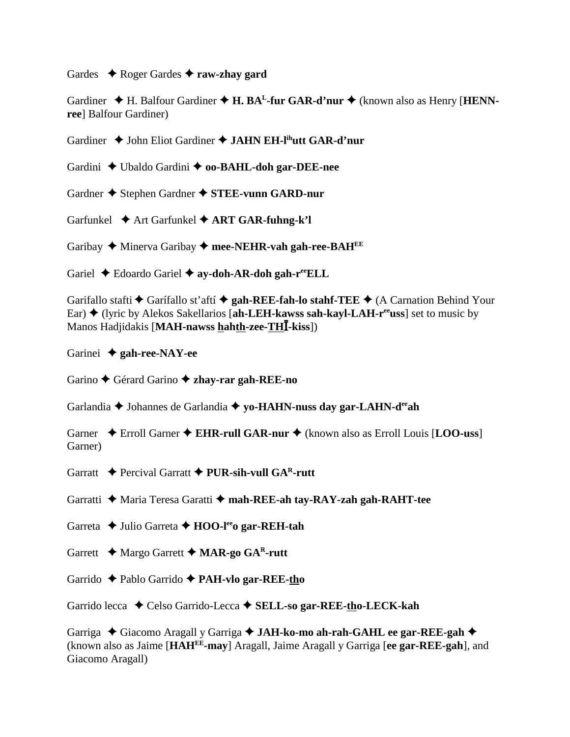Gardes  $\rightarrow$  Roger Gardes  $\rightarrow$  **raw-zhav gard** 

Gardiner  $\blacklozenge$  H. Balfour Gardiner  $\blacklozenge$  **H. BA<sup>L</sup>-fur GAR-d'nur**  $\blacklozenge$  (known also as Henry [**HENNree**] Balfour Gardiner)

Gardiner  $\triangle$  John Eliot Gardiner  $\triangle$  JAHN EH-l<sup>ih</sup>utt GAR-d'nur

Gardini  $\triangle$  Ubaldo Gardini  $\triangle$  **oo-BAHL-doh gar-DEE-nee** 

Gardner  $\triangle$  Stephen Gardner  $\triangle$  **STEE-vunn GARD-nur** 

Garfunkel  $\blacklozenge$  Art Garfunkel  $\blacklozenge$  **ART GAR-fuhng-k'l** 

Garibay  $\triangle$  Minerva Garibay  $\triangle$  mee-NEHR-vah gah-ree-BAH<sup>EE</sup>

Gariel  $\triangle$  Edoardo Gariel  $\triangle$  ay-doh-AR-doh gah-r<sup>ee</sup>ELL

Garifallo stafti  $\blacklozenge$  Garifallo st'aftí  $\blacklozenge$  gah-REE-fah-lo stahf-TEE  $\blacklozenge$  (A Carnation Behind Your Ear) ♦ (lyric by Alekos Sakellarios [ah-LEH-kawss sah-kayl-LAH-r<sup>ee</sup>uss] set to music by Manos Hadjidakis [**MAH-nawss hahth-zee-TH-kiss**])

Garinei **gah-ree-NAY-ee**

Garino  $\triangle$  Gérard Garino  $\triangle$  zhay-rar gah-REE-no

Garlandia  $\triangle$  Johannes de Garlandia  $\triangle$  yo-HAHN-nuss day gar-LAHN-d<sup>ee</sup>ah

Garner  $\triangle$  Erroll Garner  $\triangle$  EHR-rull GAR-nur  $\triangle$  (known also as Erroll Louis [LOO-uss] Garner)

Garratt  $\rightarrow$  Percival Garratt  $\rightarrow$  **PUR-sih-vull GAR-rutt** 

Garratti Maria Teresa Garatti **mah-REE-ah tay-RAY-zah gah-RAHT-tee**

Garreta ◆ Julio Garreta ◆ HOO-l<sup>ee</sup>o gar-REH-tah

Garrett Margo Garrett **MAR-go GAR-rutt**

Garrido Pablo Garrido **PAH-vlo gar-REE-tho**

Garrido lecca ◆ Celso Garrido-Lecca ◆ **SELL-so gar-REE-tho-LECK-kah** 

Garriga Giacomo Aragall y Garriga **JAH-ko-mo ah-rah-GAHL ee gar-REE-gah** (known also as Jaime [**HAHEE-may**] Aragall, Jaime Aragall y Garriga [**ee gar-REE-gah**], and Giacomo Aragall)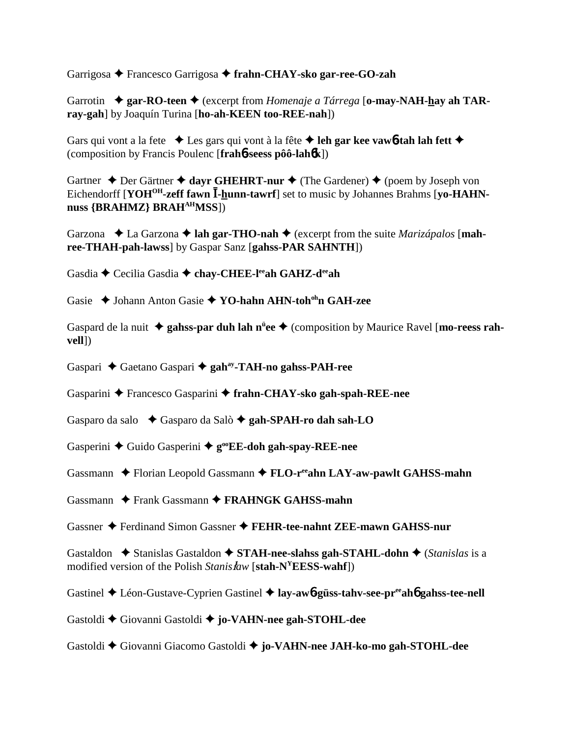Garrigosa Francesco Garrigosa **frahn-CHAY-sko gar-ree-GO-zah**

Garrotin  $\triangle$  gar-RO-teen  $\triangle$  (excerpt from *Homenaje a Tárrega* [o-may-NAH-hay ah TAR**ray-gah**] by Joaquín Turina [**ho-ah-KEEN too-REE-nah**])

Gars qui vont a la fete  $\bullet$  Les gars qui vont à la fête  $\bullet$  leh gar kee vaw**6-tah lah fett**  $\bullet$ (composition by Francis Poulenc [**frah**6**-seess pôô-lah**6**k**])

Gartner  $\triangle$  Der Gärtner  $\triangle$  dayr GHEHRT-nur  $\triangle$  (The Gardener)  $\triangle$  (poem by Joseph von Eichendorff [YOH<sup>OH</sup>-zeff fawn **I**-hunn-tawrf] set to music by Johannes Brahms [vo-HAHNnuss **{BRAHMZ}** BRAH<sup>AH</sup>MSS})

Garzona  $\triangle$  La Garzona  $\triangle$  lah gar-THO-nah  $\triangle$  (excerpt from the suite *Marizápalos* [mah**ree-THAH-pah-lawss**] by Gaspar Sanz [**gahss-PAR SAHNTH**])

Gasdia  $\triangle$  Cecilia Gasdia  $\triangle$  chay-CHEE-l<sup>ee</sup>ah GAHZ-d<sup>ee</sup>ah

Gasie  $\triangle$  Johann Anton Gasie  $\triangle$  YO-hahn AHN-toh<sup>oh</sup>n GAH-zee

Gaspard de la nuit  $\triangleq$  gahss-par duh lah n<sup>u</sup>ee  $\triangleq$  (composition by Maurice Ravel [mo-reess rah**vell**])

Gaspari Gaetano Gaspari **gahay-TAH-no gahss-PAH-ree**

Gasparini Francesco Gasparini **frahn-CHAY-sko gah-spah-REE-nee**

Gasparo da salo  $\rightarrow$  Gasparo da Salò  $\rightarrow$  gah-SPAH-ro dah sah-LO

Gasperini  $\triangle$  Guido Gasperini  $\triangle$  g<sup>oo</sup>EE-doh gah-spay-REE-nee

Gassmann  $\blacklozenge$  Florian Leopold Gassmann  $\blacklozenge$  **FLO-r<sup>ee</sup>ahn LAY-aw-pawlt GAHSS-mahn** 

Gassmann  $\rightarrow$  Frank Gassmann  $\rightarrow$  **FRAHNGK GAHSS-mahn** 

Gassner Ferdinand Simon Gassner **FEHR-tee-nahnt ZEE-mawn GAHSS-nur**

Gastaldon  $\blacklozenge$  Stanislas Gastaldon  $\blacklozenge$  **STAH-nee-slahss gah-STAHL-dohn**  $\blacklozenge$  (*Stanislas* is a modified version of the Polish *Stanisaw* [**stah-NYEESS-wahf**])

Gastinel ◆ Léon-Gustave-Cyprien Gastinel ◆ lay-aw**6-güss-tahv-see-pr<sup>ee</sup>ah6 gahss-tee-nell** 

Gastoldi Giovanni Gastoldi  **jo-VAHN-nee gah-STOHL-dee**

Gastoldi Giovanni Giacomo Gastoldi **jo-VAHN-nee JAH-ko-mo gah-STOHL-dee**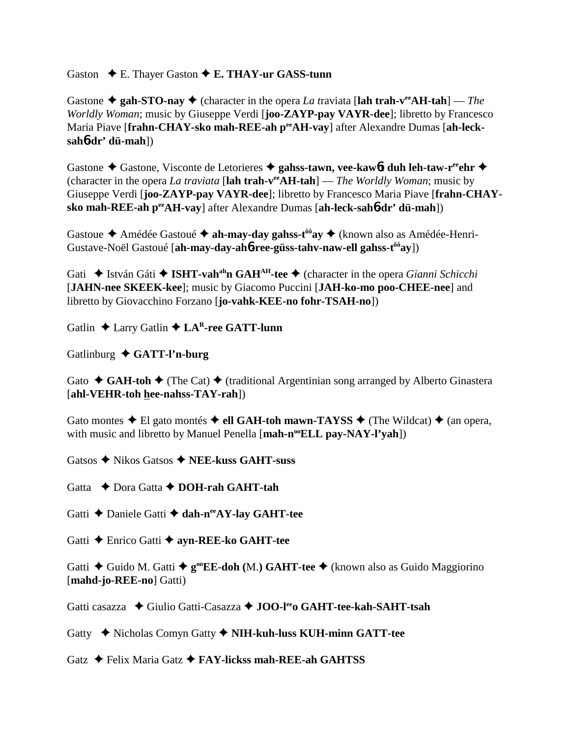Gaston **← E. Thayer Gaston ← E. THAY-ur GASS-tunn** 

Gastone  $\triangle$  gah-STO-nay  $\triangle$  (character in the opera *La traviata* [lah trah-v<sup>ee</sup>AH-tah] — *The Worldly Woman*; music by Giuseppe Verdi [**joo-ZAYP-pay VAYR-dee**]; libretto by Francesco Maria Piave [frahn-CHAY-sko mah-REE-ah perAH-vay] after Alexandre Dumas [ah-leck**sah**6**-dr' dü-mah**])

Gastone  $\triangle$  Gastone, Visconte de Letorieres  $\triangle$  gahss-tawn, vee-kaw6**t** duh leh-taw-r<sup>ee</sup>ehr  $\triangle$ (character in the opera *La traviata* [**lah trah-veeAH-tah**] — *The Worldly Woman*; music by Giuseppe Verdi [**joo-ZAYP-pay VAYR-dee**]; libretto by Francesco Maria Piave [**frahn-CHAYsko mah-REE-ah peeAH-vay**] after Alexandre Dumas [**ah-leck-sah**6**-dr' dü-mah**])

Gastoue ◆ Amédée Gastoué ◆ ah-may-day gahss-t<sup>ôô</sup>ay ◆ (known also as Amédée-Henri-Gustave-Noël Gastoué [**ah-may-day-ah**6**-ree-güss-tahv-naw-ell gahss-tôôay**])

Gati **→** István Gáti → **ISHT-vah<sup>ah</sup>n GAH<sup>AH</sup>-tee** → (character in the opera *Gianni Schicchi* [**JAHN-nee SKEEK-kee**]; music by Giacomo Puccini [**JAH-ko-mo poo-CHEE-nee**] and libretto by Giovacchino Forzano [**jo-vahk-KEE-no fohr-TSAH-no**])

Gatlin **↓** Larry Gatlin **↓ LAR-ree GATT-lunn** 

Gatlinburg **GATT-l'n-burg**

Gato  $\triangleleft$  **GAH-toh**  $\triangleleft$  (The Cat)  $\triangleleft$  (traditional Argentinian song arranged by Alberto Ginastera [**ahl-VEHR-toh hee-nahss-TAY-rah**])

Gato montes  $\triangle$  El gato montés  $\triangle$  ell GAH-toh mawn-TAYSS  $\triangle$  (The Wildcat)  $\triangle$  (an opera, with music and libretto by Manuel Penella [mah-n<sup>oo</sup>ELL pay-NAY-l'vah])

Gatsos Nikos Gatsos **NEE-kuss GAHT-suss**

Gatta  $\rightarrow$  Dora Gatta  $\rightarrow$  **DOH-rah GAHT-tah** 

Gatti **←** Daniele Gatti ← dah-n<sup>ee</sup>AY-lay GAHT-tee

Gatti Enrico Gatti **ayn-REE-ko GAHT-tee**

Gatti **←** Guido M. Gatti ←  $g^{\circ \circ}$ **EE-doh** (M.) **GAHT-tee** ← (known also as Guido Maggiorino [**mahd-jo-REE-no**] Gatti)

Gatti casazza **→** Giulio Gatti-Casazza → **JOO-l<sup>ee</sup>o GAHT-tee-kah-SAHT-tsah** 

Gatty Nicholas Comyn Gatty **NIH-kuh-luss KUH-minn GATT-tee**

Gatz Felix Maria Gatz **FAY-lickss mah-REE-ah GAHTSS**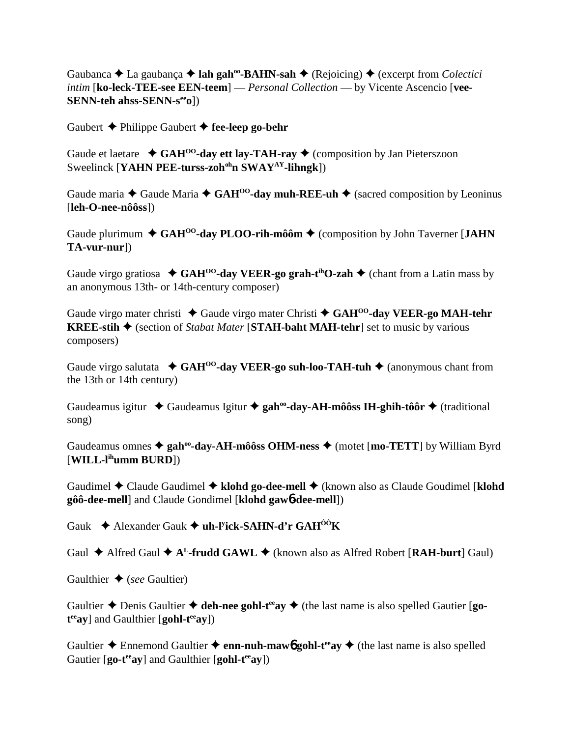Gaubanca **→** La gaubança → lah gah<sup>oo</sup>-BAHN-sah → (Rejoicing) → (excerpt from *Colectici intim* [**ko-leck-TEE-see EEN-teem**] — *Personal Collection* — by Vicente Ascencio [**vee-SENN-teh ahss-SENN-s<sup>ee</sup>o**])

Gaubert  $\triangle$  Philippe Gaubert  $\triangle$  fee-leep go-behr

Gaude et laetare  $\triangleleft$  GAH<sup>00</sup>-day ett lay-TAH-ray  $\triangleleft$  (composition by Jan Pieterszoon Sweelinck [**YAHN PEE-turss-zoh<sup>oh</sup>n SWAY<sup>AY</sup>-lihngk**])

Gaude maria  $\triangle$  Gaude Maria  $\triangle$  GAH<sup>00</sup>-day muh-REE-uh  $\triangle$  (sacred composition by Leoninus [**leh-O-nee-nôôss**])

Gaude plurimum  $\triangleleft$  GAH<sup>00</sup>-day PLOO-rih-môôm  $\triangleq$  (composition by John Taverner [JAHN] **TA-vur-nur**])

Gaude virgo gratiosa  $\triangleleft$  GAH<sup>oo</sup>-day VEER-go grah-t<sup>th</sup>O-zah  $\triangleleft$  (chant from a Latin mass by an anonymous 13th- or 14th-century composer)

Gaude virgo mater christi ◆ Gaude virgo mater Christi ◆ GAH<sup>00</sup>-day VEER-go MAH-tehr **KREE-stih**  $\triangle$  (section of *Stabat Mater* [**STAH-baht MAH-tehr**] set to music by various composers)

Gaude virgo salutata  $\triangleleft$  GAH<sup>00</sup>-day VEER-go suh-loo-TAH-tuh  $\triangleleft$  (anonymous chant from the 13th or 14th century)

Gaudeamus igitur ◆ Gaudeamus Igitur ◆ gah<sup>oo</sup>-day-AH-môôss IH-ghih-tôôr ◆ (traditional song)

Gaudeamus omnes  $\triangleq$  gah<sup>oo</sup>-day-AH-môôss OHM-ness  $\triangleq$  (motet [mo-TETT] by William Byrd [**WILL-lihumm BURD**])

Gaudimel **→** Claude Gaudimel → klohd go-dee-mell → (known also as Claude Goudimel [klohd **gôô-dee-mell**] and Claude Gondimel [**klohd gaw**6**-dee-mell**])

Gauk Alexander Gauk **uh-ly ick-SAHN-d'r GAHÔÔK**

Gaul  $\triangle$  Alfred Gaul  $\triangle$  A<sup>L</sup>-frudd GAWL  $\triangle$  (known also as Alfred Robert [RAH-burt] Gaul)

Gaulthier  $\triangle$  (*see* Gaultier)

Gaultier  $\triangle$  Denis Gaultier  $\triangle$  deh-nee gohl-t<sup>ee</sup> av  $\triangle$  (the last name is also spelled Gautier [go $t^{ee}$ ay] and Gaulthier [gohl-t<sup>ee</sup>ay])

Gaultier  $\triangle$  Ennemond Gaultier  $\triangle$  enn-nuh-maw**6** gohl-t<sup>ee</sup>ay  $\triangle$  (the last name is also spelled Gautier [go-t<sup>ee</sup>ay] and Gaulthier [gohl-t<sup>ee</sup>ay])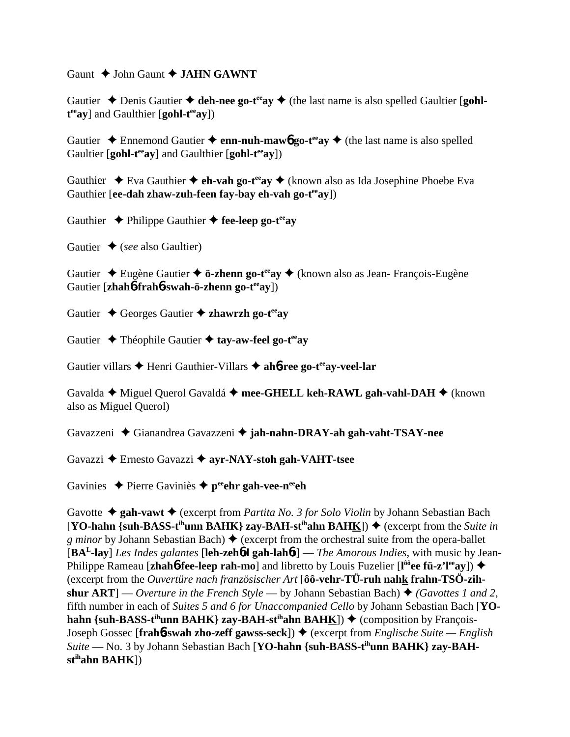Gaunt  $\triangle$  John Gaunt  $\triangle$  **JAHN GAWNT** 

Gautier  $\triangle$  Denis Gautier  $\triangle$  deh-nee go-t<sup>ee</sup> ay  $\triangle$  (the last name is also spelled Gaultier [gohl $t^{ee}$ ay] and Gaulthier [gohl-t<sup>ee</sup>ay])

Gautier  $\triangle$  Ennemond Gautier  $\triangle$  enn-nuh-mawb go-t<sup>ee</sup>ay  $\triangle$  (the last name is also spelled Gaultier [**gohl-t<sup>ee</sup>ay**] and Gaulthier [**gohl-t<sup>ee</sup>ay**])

Gauthier  $\rightarrow$  Eva Gauthier  $\rightarrow$  **eh-vah go-t<sup>ee</sup>ay**  $\rightarrow$  (known also as Ida Josephine Phoebe Eva Gauthier [**ee-dah zhaw-zuh-feen fay-bay eh-vah go-t<sup>ee</sup>ay**])

Gauthier  $\rightarrow$  Philippe Gauthier  $\rightarrow$  fee-leep go-t<sup>ee</sup>ay

Gautier  $\triangle$  (*see* also Gaultier)

Gautier Eugène Gautier **ö-zhenn go-teeay** (known also as Jean- François-Eugène Gautier [**zhah<sup>6</sup>-frah<sup>6</sup>-swah-ö-zhenn go-t<sup>ee</sup>ay**])

Gautier ◆ Georges Gautier ◆ zhawrzh go-t<sup>ee</sup>av

Gautier **→** Théophile Gautier **→ tay-aw-feel go-t<sup>ee</sup>av** 

Gautier villars  $\triangle$  Henri Gauthier-Villars  $\triangle$  ah**6-ree go-t<sup>ee</sup>ay-veel-lar** 

Gavalda ◆ Miguel Querol Gavaldá ◆ mee-GHELL keh-RAWL gah-vahl-DAH ◆ (known also as Miguel Querol)

Gavazzeni Gianandrea Gavazzeni **jah-nahn-DRAY-ah gah-vaht-TSAY-nee**

Gavazzi Ernesto Gavazzi **ayr-NAY-stoh gah-VAHT-tsee**

Gavinies  $\triangle$  Pierre Gaviniès  $\triangle$  p<sup>ee</sup> chr gah-vee-n<sup>ee</sup> ch

Gavotte ◆ gah-vawt ◆ (excerpt from *Partita No. 3 for Solo Violin* by Johann Sebastian Bach  $[YO\text{-}hahn \{sub-BASS-t<sup>ih</sup>unn BAHK}\$  zay-BAH-st<sup>ih</sup>ahn BAHK $]$ )  $\blacklozenge$  (excerpt from the *Suite in g minor* by Johann Sebastian Bach)  $\triangle$  (excerpt from the orchestral suite from the opera-ballet [**BAL-lay**] *Les Indes galantes* [**leh-zeh**6**d gah-lah**6**t**] — *The Amorous Indies*, with music by Jean-**Philippe Rameau [zhah6-fee-leep rah-mo]** and libretto by Louis Fuzelier [l<sup>ôô</sup>ee fü-z'l<sup>ee</sup>ay]) ♦ (excerpt from the *Ouvertüre nach französischer Art* [**ôô-vehr-TÜ-ruh nahk frahn-TSÖ-zihshur ART**] — *Overture in the French Style* — by Johann Sebastian Bach)  $\triangle$  (*Gavottes 1 and 2*, fifth number in each of *Suites 5 and 6 for Unaccompanied Cello* by Johann Sebastian Bach [**YOhahn {suh-BASS-t<sup>ih</sup>unn BAHK} zay-BAH-st<sup>ih</sup>ahn BAHK}}**  $\blacklozenge$  **(composition by François-**Joseph Gossec [**frah<sup>6</sup>-swah zho-zeff gawss-seck**]) ♦ (excerpt from *Englische Suite — English Suite* — No. 3 by Johann Sebastian Bach [**YO-hahn {suh-BASS-tihunn BAHK} zay-BAHstihahn BAHK**])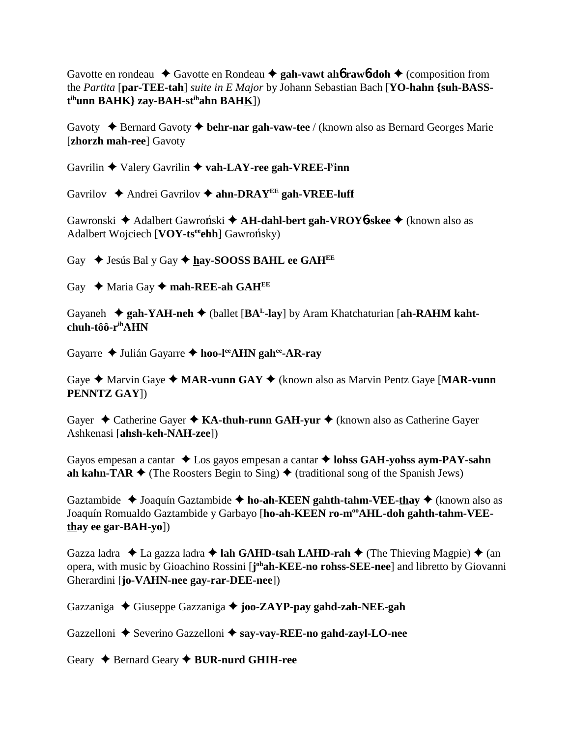Gavotte en rondeau  $\triangle$  Gavotte en Rondeau  $\triangle$  gah-vawt ah**6** rawb-doh  $\triangle$  (composition from the *Partita* [**par-TEE-tah**] *suite in E Major* by Johann Sebastian Bach [**YO-hahn {suh-BASSt ihunn BAHK} zay-BAH-stihahn BAHK**])

Gavoty Bernard Gavoty **behr-nar gah-vaw-tee** / (known also as Bernard Georges Marie [**zhorzh mah-ree**] Gavoty

Gavrilin  $\triangle$  Valery Gavrilin  $\triangle$  vah-LAY-ree gah-VREE-l<sup>y</sup>inn

Gavrilov  $\triangle$  Andrei Gavrilov  $\triangle$  ahn-DRAY<sup>EE</sup> gah-VREE-luff

Gawronski ◆ Adalbert Gawroński ◆ A**H-dahl-bert gah-VROY6-skee** ◆ (known also as Adalbert Wojciech [VOY-ts<sup>ee</sup>ehh] Gawrońsky)

Gay  $\triangle$  Jesús Bal y Gay  $\triangle$  hay-SOOSS BAHL ee GAH<sup>EE</sup>

Gay  $\leftrightarrow$  Maria Gay  $\leftrightarrow$  mah-REE-ah GAH<sup>EE</sup>

Gayaneh  $\triangleq$  gah-YAH-neh  $\triangleq$  (ballet [BA<sup>L</sup>-lay] by Aram Khatchaturian [ah-RAHM kaht**chuh-tôô-rihAHN**

Gayarre Julián Gayarre **hoo-leeAHN gahee-AR-ray**

Gaye  $\triangle$  Marvin Gaye  $\triangle$  **MAR-vunn GAY**  $\triangle$  (known also as Marvin Pentz Gaye [**MAR-vunn PENNTZ GAY**])

Gayer **→** Catherine Gayer **→ KA-thuh-runn GAH-yur →** (known also as Catherine Gayer Ashkenasi [**ahsh-keh-NAH-zee**])

Gayos empesan a cantar  $\triangle$  Los gayos empesan a cantar  $\triangle$  lohss GAH-yohss aym-PAY-sahn **ah kahn-TAR**  $\blacklozenge$  (The Roosters Begin to Sing)  $\blacklozenge$  (traditional song of the Spanish Jews)

Gaztambide ◆ Joaquín Gaztambide ◆ ho-ah-KEEN gahth-tahm-VEE-thay ◆ (known also as Joaquín Romualdo Gaztambide y Garbayo [ho-ah-KEEN ro-m<sup>oo</sup>AHL-doh gahth-tahm-VEE**thay ee gar-BAH-yo**])

Gazza ladra  $\triangle$  La gazza ladra  $\triangle$  lah GAHD-tsah LAHD-rah  $\triangle$  (The Thieving Magpie)  $\triangle$  (an opera, with music by Gioachino Rossini [J<sup>oh</sup>ah-KEE-no rohss-SEE-nee] and libretto by Giovanni Gherardini [**jo-VAHN-nee gay-rar-DEE-nee**])

Gazzaniga Giuseppe Gazzaniga **joo-ZAYP-pay gahd-zah-NEE-gah**

Gazzelloni  $\triangle$  Severino Gazzelloni  $\triangle$  say-vay-REE-no gahd-zayl-LO-nee

Geary  $\triangle$  Bernard Geary  $\triangle$  **BUR-nurd GHIH-ree**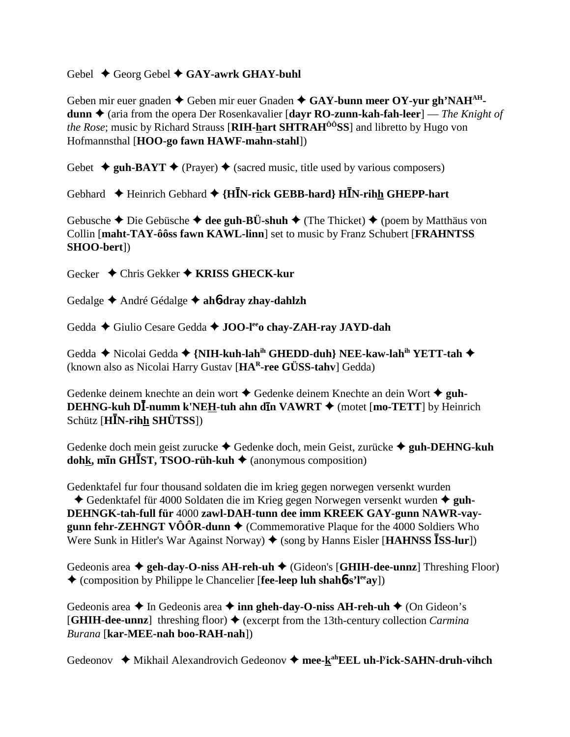### Gebel  $\triangle$  Georg Gebel  $\triangle$  GAY-awrk GHAY-buhl

Geben mir euer gnaden ◆ Geben mir euer Gnaden ◆ GAY-bunn meer OY-yur gh'NAH<sup>AH</sup>**dunn ←** (aria from the opera Der Rosenkavalier [**dayr RO-zunn-kah-fah-leer**] — *The Knight of the Rose*; music by Richard Strauss [**RIH-hart SHTRAHÔÔSS**] and libretto by Hugo von Hofmannsthal [**HOO-go fawn HAWF-mahn-stahl**])

Gebet  $\triangleq$  guh-BAYT  $\triangleq$  (Prayer)  $\triangleq$  (sacred music, title used by various composers)

Gebhard **←** Heinrich Gebhard ← {H**I**N-rick GEBB-hard} HI<sup>N</sup>-rihh GHEPP-hart

Gebusche  $\triangle$  Die Gebüsche  $\triangle$  dee guh-BÜ-shuh  $\triangle$  (The Thicket)  $\triangle$  (poem by Matthäus von Collin [**maht-TAY-ôôss fawn KAWL-linn**] set to music by Franz Schubert [**FRAHNTSS SHOO-bert**])

Gecker Chris Gekker **KRISS GHECK-kur**

Gedalge André Gédalge **ah**6**-dray zhay-dahlzh**

Gedda ◆ Giulio Cesare Gedda ◆ **JOO-l<sup>ee</sup>o chay-ZAH-ray JAYD-dah** 

Gedda  **◆** Nicolai Gedda ◆ {NIH-kuh-lah<sup>ih</sup> GHEDD-duh} NEE-kaw-lah<sup>ih</sup> YETT-tah ◆ (known also as Nicolai Harry Gustav [**HAR-ree GÜSS-tahv**] Gedda)

Gedenke deinem knechte an dein wort  $\triangle$  Gedenke deinem Knechte an dein Wort  $\triangle$  guh-**DEHNG-kuh DI-numm k'NEH-tuh ahn din VAWRT ♦** (motet [mo-TETT] by Heinrich Schütz [**HN-rihh SHÜTSS**])

Gedenke doch mein geist zurucke Gedenke doch, mein Geist, zurücke **guh-DEHNG-kuh dohk, min GHIST, TSOO-rüh-kuh ♦** (anonymous composition)

Gedenktafel fur four thousand soldaten die im krieg gegen norwegen versenkt wurden ◆ Gedenktafel für 4000 Soldaten die im Krieg gegen Norwegen versenkt wurden ◆ guh-**DEHNGK-tah-full für** 4000 **zawl-DAH-tunn dee imm KREEK GAY-gunn NAWR-vaygunn fehr-ZEHNGT VÔÔR-dunn**  $\triangle$  (Commemorative Plaque for the 4000 Soldiers Who Were Sunk in Hitler's War Against Norway)  $\blacklozenge$  (song by Hanns Eisler [HAHNSS **ISS-lur**])

Gedeonis area  $\triangleq$  geh-day-O-niss AH-reh-uh  $\triangleq$  (Gideon's [GHIH-dee-unnz] Threshing Floor) (composition by Philippe le Chancelier [**fee-leep luh shah**6**-s'leeay**])

Gedeonis area  $\triangle$  In Gedeonis area  $\triangle$  inn gheh-day-O-niss AH-reh-uh  $\triangle$  (On Gideon's  $[\text{GHIH-dee-unnz}]$  threshing floor)  $\blacklozenge$  (excerpt from the 13th-century collection *Carmina Burana* [**kar-MEE-nah boo-RAH-nah**])

Gedeonov ◆ Mikhail Alexandrovich Gedeonov ◆ mee-kahEEL uh-l<sup>y</sup>ick-SAHN-druh-vihch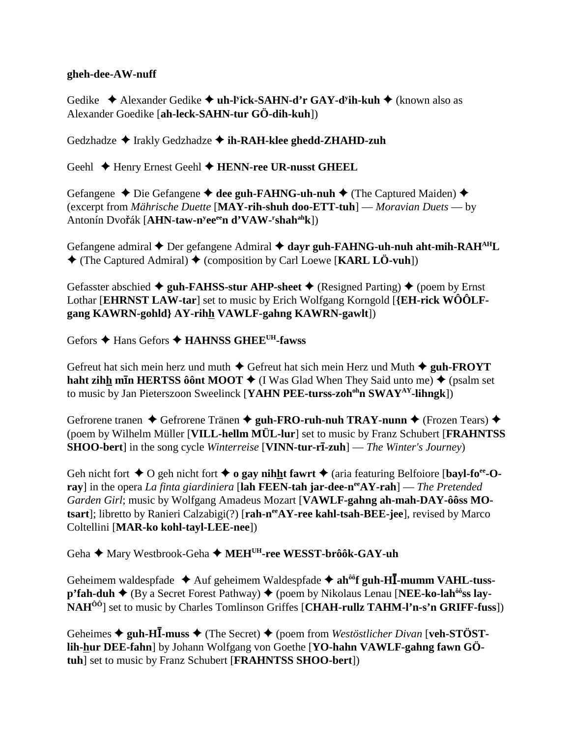### **gheh-dee-AW-nuff**

Gedike ◆ Alexander Gedike ◆ uh-l<sup>y</sup>ick-SAHN-d'r GAY-d<sup>y</sup>ih-kuh ◆ (known also as Alexander Goedike [**ah-leck-SAHN-tur GÖ-dih-kuh**])

Gedzhadze **→** Irakly Gedzhadze → **ih-RAH-klee ghedd-ZHAHD-zuh** 

Geehl ◆ Henry Ernest Geehl ◆ HENN-ree UR-nusst GHEEL

Gefangene ◆ Die Gefangene ◆ dee guh-FAHNG-uh-nuh ◆ (The Captured Maiden) ◆ (excerpt from *Mährische Duette* [**MAY-rih-shuh doo-ETT-tuh**] — *Moravian Duets* — by Antonín Dvoák [**AHN-taw-ny eeeen d'VAW-r shahahk**])

Gefangene admiral **→** Der gefangene Admiral **→ dayr guh-FAHNG-uh-nuh aht-mih-RAH**<sup>AH</sup>L (The Captured Admiral) (composition by Carl Loewe [**KARL LÖ-vuh**])

Gefasster abschied  $\triangleq$  guh-FAHSS-stur AHP-sheet  $\triangleq$  (Resigned Parting)  $\triangleq$  (poem by Ernst Lothar [**EHRNST LAW-tar**] set to music by Erich Wolfgang Korngold [**{EH-rick WÔÔLFgang KAWRN-gohld} AY-rihh VAWLF-gahng KAWRN-gawlt**])

Gefors **→ Hans Gefors → HAHNSS GHEE<sup>UH</sup>-fawss** 

Gefreut hat sich mein herz und muth  $\triangle$  Gefreut hat sich mein Herz und Muth  $\triangle$  guh-FROYT **haht zih<u>h</u> min HERTSS ôônt MOOT ♦** (I Was Glad When They Said unto me) ♦ (psalm set to music by Jan Pieterszoon Sweelinck [YAHN PEE-turss-zoh<sup>oh</sup>n SWAY<sup>AY</sup>-lihngk])

Gefrorene tranen ◆ Gefrorene Tränen ◆ guh-FRO-ruh-nuh TRAY-nunn ◆ (Frozen Tears) ◆ (poem by Wilhelm Müller [**VILL-hellm MÜL-lur**] set to music by Franz Schubert [**FRAHNTSS SHOO-bert**] in the song cycle *Winterreise* [**VINN-tur-rī-zuh**] — *The Winter's Journey*)

Geh nicht fort  $\triangle$  O geh nicht fort  $\triangle$  **o gay nihht fawrt**  $\triangle$  (aria featuring Belfoiore [**bayl-fo**<sup>ee</sup>-O**ray**] in the opera *La finta giardiniera* [lah FEEN-tah jar-dee-n<sup>ee</sup>AY-rah] — *The Pretended Garden Girl*; music by Wolfgang Amadeus Mozart [**VAWLF-gahng ah-mah-DAY-ôôss MOtsart**]; libretto by Ranieri Calzabigi(?) [rah-n<sup>ee</sup>AY-ree kahl-tsah-BEE-jee], revised by Marco Coltellini [**MAR-ko kohl-tayl-LEE-nee**])

Geha ◆ Mary Westbrook-Geha ◆ MEH<sup>UH</sup>-ree WESST-brôôk-GAY-uh

Geheimem waldespfade ◆ Auf geheimem Waldespfade ◆ ah<sup>ôô</sup>f guh-H**I**-mumm VAHL-tuss**p'fah-duh ♦** (By a Secret Forest Pathway) ♦ (poem by Nikolaus Lenau [**NEE-ko-lah<sup>ôô</sup>ss lay-NAHÔÔ**] set to music by Charles Tomlinson Griffes [**CHAH-rullz TAHM-l'n-s'n GRIFF-fuss**])

Geheimes  $\triangleq$  guh-HI<sup>-</sup>muss  $\triangleq$  (The Secret)  $\triangleq$  (poem from *Westöstlicher Divan* [veh-STÖST**lih-hur DEE-fahn**] by Johann Wolfgang von Goethe [**YO-hahn VAWLF-gahng fawn GÖtuh**] set to music by Franz Schubert [**FRAHNTSS SHOO-bert**])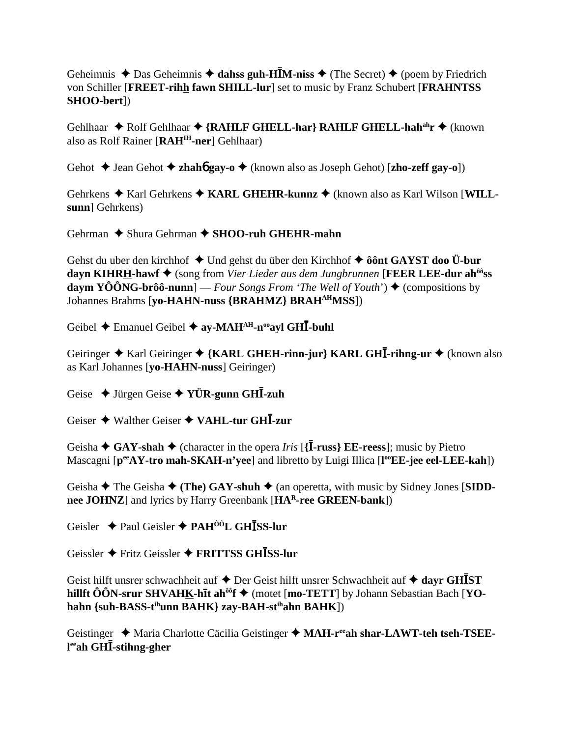Geheimnis  $\triangle$  Das Geheimnis  $\triangle$  dahss guh-H**IM-niss**  $\triangle$  (The Secret)  $\triangle$  (poem by Friedrich von Schiller [**FREET-rihh fawn SHILL-lur**] set to music by Franz Schubert [**FRAHNTSS SHOO-bert**])

Gehlhaar ◆ Rolf Gehlhaar ◆ {RAHLF GHELL-har} RAHLF GHELL-hah<sup>ah</sup>r ◆ (known also as Rolf Rainer [**RAHIH-ner**] Gehlhaar)

Gehot  $\blacklozenge$  Jean Gehot  $\blacklozenge$  **zhahó gay-o**  $\blacklozenge$  (known also as Joseph Gehot) [**zho-zeff gay-o**])

Gehrkens  $\triangle$  Karl Gehrkens  $\triangle$  KARL GHEHR-kunnz  $\triangle$  (known also as Karl Wilson [WILL**sunn**] Gehrkens)

Gehrman **→** Shura Gehrman → SHOO-ruh GHEHR-mahn

Gehst du uber den kirchhof ◆ Und gehst du über den Kirchhof ◆ ôônt GAYST doo Ü-bur **dayn KIHRH-hawf** (song from *Vier Lieder aus dem Jungbrunnen* [**FEER LEE-dur ahôôss daym YÔÔNG-brôô-nunn**] — *Four Songs From 'The Well of Youth'*)  $\triangle$  (compositions by Johannes Brahms [**yo-HAHN-nuss {BRAHMZ} BRAHAHMSS**])

Geibel **→** Emanuel Geibel → ay-MAH<sup>AH</sup>-n<sup>oo</sup>ayl GH**I**-buhl

Geiringer ◆ Karl Geiringer ◆ {KARL GHEH-rinn-jur} KARL GH**I**-rihng-ur ◆ (known also as Karl Johannes [**yo-HAHN-nuss**] Geiringer)

Geise Jürgen Geise **YÜR-gunn GH-zuh**

Geiser Walther Geiser **VAHL-tur GH-zur**

Geisha  $\triangle$  GAY-shah  $\triangle$  (character in the opera *Iris* [{**I**-russ} **EE-reess**]; music by Pietro Mascagni [**peeAY-tro mah-SKAH-n'yee**] and libretto by Luigi Illica [**l ooEE-jee eel-LEE-kah**])

Geisha  $\blacklozenge$  The Geisha  $\blacklozenge$  (The) GAY-shuh  $\blacklozenge$  (an operetta, with music by Sidney Jones [SIDD**nee JOHNZ**] and lyrics by Harry Greenbank [**HAR-ree GREEN-bank**])

Geisler Paul Geisler **PAHÔÔL GHSS-lur**

Geissler Fritz Geissler **FRITTSS GHSS-lur**

Geist hilft unsrer schwachheit auf  $\triangle$  Der Geist hilft unsrer Schwachheit auf  $\triangle$  dayr GH**I**ST **hillft ÔÔN-srur SHVAHK-hīt ah<sup>ôô</sup>f ◆** (motet [**mo-TETT**] by Johann Sebastian Bach [**YOhahn {suh-BASS-tihunn BAHK} zay-BAH-stihahn BAHK**])

Geistinger  $\triangle$  Maria Charlotte Cäcilia Geistinger  $\triangle$  MAH-r<sup>ee</sup>ah shar-LAWT-teh tseh-TSEE**l eeah GH-stihng-gher**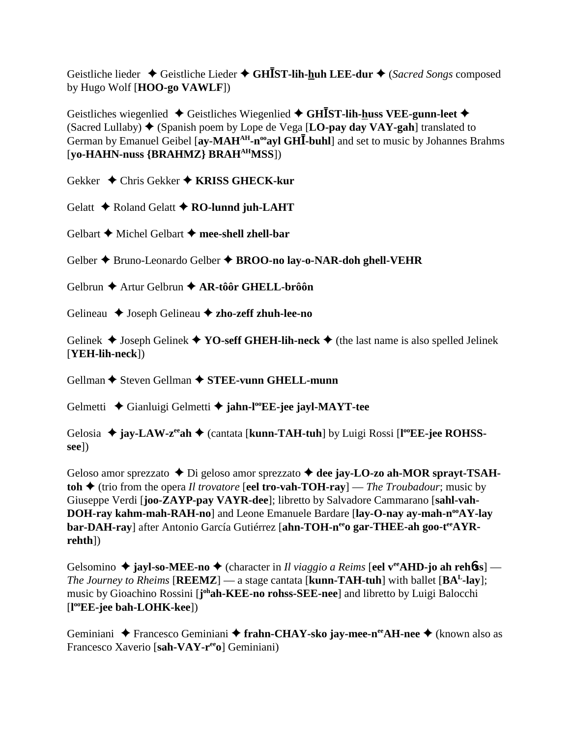Geistliche lieder ◆ Geistliche Lieder ◆ GH**IST-lih-huh LEE-dur** ◆ (*Sacred Songs* composed by Hugo Wolf [**HOO-go VAWLF**])

Geistliches wiegenlied **→** Geistliches Wiegenlied **→ GHIST-lih-huss VEE-gunn-leet** → (Sacred Lullaby)  $\blacklozenge$  (Spanish poem by Lope de Vega [LO-pay day VAY-gah] translated to German by Emanuel Geibel [ay-MAH<sup>AH</sup>-n<sup>oo</sup>ayl GH<sub>I</sub>-buhl] and set to music by Johannes Brahms [**yo-HAHN-nuss {BRAHMZ} BRAHAHMSS**])

Gekker Chris Gekker **KRISS GHECK-kur**

Gelatt  $\triangle$  Roland Gelatt  $\triangle$  **RO-lunnd juh-LAHT** 

Gelbart **←** Michel Gelbart ← mee-shell zhell-bar

Gelber Bruno-Leonardo Gelber **BROO-no lay-o-NAR-doh ghell-VEHR**

Gelbrun Artur Gelbrun **AR-tôôr GHELL-brôôn**

Gelineau ◆ Joseph Gelineau ◆ zho-zeff zhuh-lee-no

Gelinek  $\blacklozenge$  Joseph Gelinek  $\blacklozenge$  **YO-seff GHEH-lih-neck**  $\blacklozenge$  (the last name is also spelled Jelinek [**YEH-lih-neck**])

Gellman **→** Steven Gellman → **STEE-vunn GHELL-munn** 

Gelmetti  **←** Gianluigi Gelmetti ← jahn-l<sup>oo</sup>EE-jee jayl-MAYT-tee

Gelosia  $\triangleq$  **jay-LAW-z<sup>ee</sup>ah**  $\triangleq$  (cantata [kunn-TAH-tuh] by Luigi Rossi [l<sup>oo</sup>EE-jee ROHSS**see**])

Geloso amor sprezzato  $\blacklozenge$  Di geloso amor sprezzato  $\blacklozenge$  dee jay-LO-zo ah-MOR sprayt-TSAH**toh**  $\triangle$  (trio from the opera *Il trovatore* [**eel tro-vah-TOH-ray**] — *The Troubadour*; music by Giuseppe Verdi [**joo-ZAYP-pay VAYR-dee**]; libretto by Salvadore Cammarano [**sahl-vah-DOH-ray kahm-mah-RAH-no**] and Leone Emanuele Bardare [lay-O-nay ay-mah-n<sup>oo</sup>AY-lay bar-DAH-ray] after Antonio García Gutiérrez [ahn-TOH-n<sup>ee</sup>o gar-THEE-ah goo-t<sup>ee</sup>AYR**rehth**])

Gelsomino ◆ jayl-so-MEE-no ◆ (character in *Il viaggio a Reims* [eel v<sup>ee</sup>AHD-jo ah reh6ss] — *The Journey to Rheims* [**REEMZ**] — a stage cantata [**kunn-TAH-tuh**] with ballet  $[\mathbf{BA}^L$ -lay]; music by Gioachino Rossini [joh**ah-KEE-no rohss-SEE-nee**] and libretto by Luigi Balocchi [**l ooEE-jee bah-LOHK-kee**])

Geminiani ◆ Francesco Geminiani ◆ frahn-CHAY-sko jay-mee-n<sup>ee</sup>AH-nee ◆ (known also as Francesco Xaverio [**sah-VAY-reeo**] Geminiani)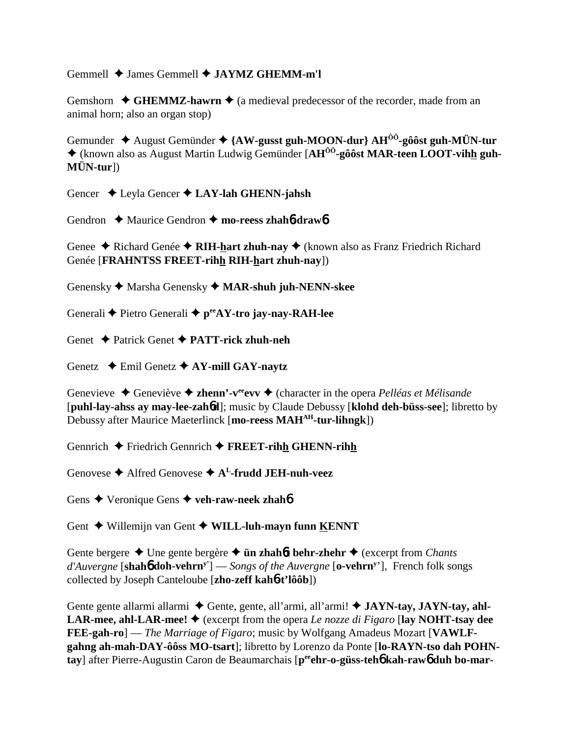Gemmell  $\triangleq$  James Gemmell  $\triangleq$  **JAYMZ GHEMM-m'l** 

Gemshorn  $\triangle$  **GHEMMZ-hawrn**  $\triangle$  (a medieval predecessor of the recorder, made from an animal horn; also an organ stop)

Gemunder August Gemünder **{AW-gusst guh-MOON-dur} AHÔÔ-gôôst guh-MÜN-tur** (known also as August Martin Ludwig Gemünder [**AHÔÔ-gôôst MAR-teen LOOT-vihh guh-MÜN-tur**])

Gencer Leyla Gencer **LAY-lah GHENN-jahsh**

Gendron ◆ Maurice Gendron ◆ mo-reess zhah**6-draw6** 

Genee **→** Richard Genée → RIH-hart zhuh-nay → (known also as Franz Friedrich Richard Genée [**FRAHNTSS FREET-rihh RIH-hart zhuh-nay**])

Genensky Marsha Genensky **MAR-shuh juh-NENN-skee**

Generali **◆** Pietro Generali ◆ p<sup>ee</sup>AY-tro jay-nay-RAH-lee

Genet Patrick Genet **PATT-rick zhuh-neh**

Genetz Emil Genetz **AY-mill GAY-naytz**

Genevieve ◆ Geneviève ◆ **zhenn'-v<sup>ee</sup>evv ◆** (character in the opera *Pelléas et Mélisande* [**puhl-lay-ahss ay may-lee-zah**6**d**]; music by Claude Debussy [**klohd deh-büss-see**]; libretto by Debussy after Maurice Maeterlinck [**mo-reess MAHAH-tur-lihngk**])

Gennrich Friedrich Gennrich **FREET-rihh GHENN-rihh**

Genovese **→** Alfred Genovese **→ A<sup>L</sup>-frudd JEH-nuh-veez** 

Gens **↓** Veronique Gens **✦ veh-raw-neek zhahó** 

Gent **→** Willemijn van Gent ◆ WILL-luh-mayn funn KENNT

Gente bergere **→** Une gente bergère → **ün zhah6t behr-zhehr** → (excerpt from *Chants d'Auvergne* [**shah**6 **doh-vehrny'**] — *Songs of the Auvergne* [**o-vehrny** '], French folk songs collected by Joseph Canteloube [**zho-zeff kah**6**-t'lôôb**])

Gente gente allarmi allarmi  $\blacklozenge$  Gente, gente, all'armi, all'armi!  $\blacklozenge$  **JAYN-tay, JAYN-tay, ahl-LAR-mee, ahl-LAR-mee!**  $\blacklozenge$  (excerpt from the opera *Le nozze di Figaro* [lay NOHT-tsay dee **FEE-gah-ro**] — *The Marriage of Figaro*; music by Wolfgang Amadeus Mozart [**VAWLFgahng ah-mah-DAY-ôôss MO-tsart**]; libretto by Lorenzo da Ponte [**lo-RAYN-tso dah POHNtay**] after Pierre-Augustin Caron de Beaumarchais [**peeehr-o-güss-teh**6 **kah-raw**6 **duh bo-mar-**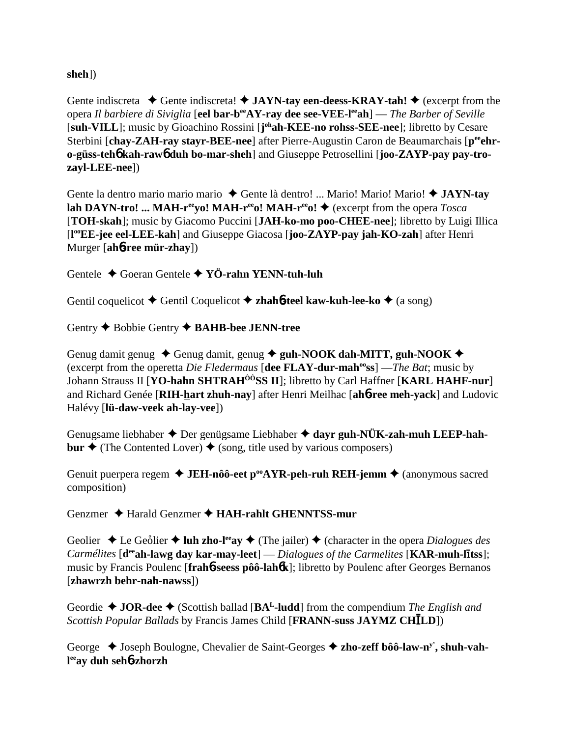### **sheh**])

Gente indiscreta  $\blacklozenge$  Gente indiscreta!  $\blacklozenge$  **JAYN-tay een-deess-KRAY-tah!**  $\blacklozenge$  (excerpt from the opera *Il barbiere di Siviglia* [**eel bar-beeAY-ray dee see-VEE-leeah**] — *The Barber of Seville* [suh-VILL]; music by Gioachino Rossini [j<sup>oh</sup>ah-KEE-no rohss-SEE-nee]; libretto by Cesare Sterbini [chay-ZAH-ray stayr-BEE-nee] after Pierre-Augustin Caron de Beaumarchais [p<sup>ee</sup>ehr**o-güss-teh**6 **kah-raw**6 **duh bo-mar-sheh**] and Giuseppe Petrosellini [**joo-ZAYP-pay pay-trozayl-LEE-nee**])

Gente la dentro mario mario mario  $\triangle$  Gente là dentro! ... Mario! Mario! Mario!  $\triangle$  JAYN-tay **lah DAYN-tro!** ... MAH- $r^{ee}$ yo! MAH- $r^{ee}$ o! MAH- $r^{ee}$ o!  $\blacklozenge$  (excerpt from the opera *Tosca* [**TOH-skah**]; music by Giacomo Puccini [**JAH-ko-mo poo-CHEE-nee**]; libretto by Luigi Illica [**l ooEE-jee eel-LEE-kah**] and Giuseppe Giacosa [**joo-ZAYP-pay jah-KO-zah**] after Henri Murger [**ah**6**-ree mür-zhay**])

Gentele Goeran Gentele **YÖ-rahn YENN-tuh-luh**

Gentil coquelicot **→** Gentil Coquelicot **→ zhah<sup>6</sup>-teel kaw-kuh-lee-ko →** (a song)

Gentry  $\triangle$  Bobbie Gentry  $\triangle$  **BAHB-bee JENN-tree** 

Genug damit genug  $\triangle$  Genug damit, genug  $\triangle$  guh-NOOK dah-MITT, guh-NOOK  $\triangle$ (excerpt from the operetta *Die Fledermaus* [**dee FLAY-dur-mahooss**] —*The Bat*; music by Johann Strauss II [**YO-hahn SHTRAHÔÔSS II**]; libretto by Carl Haffner [**KARL HAHF-nur**] and Richard Genée [**RIH-hart zhuh-nay**] after Henri Meilhac [**ah**6**-ree meh-yack**] and Ludovic Halévy [**lü-daw-veek ah-lay-vee**])

Genugsame liebhaber  $\triangle$  Der genügsame Liebhaber  $\triangle$  dayr guh-NÜK-zah-muh LEEP-hah**bur**  $\triangle$  (The Contented Lover)  $\triangle$  (song, title used by various composers)

Genuit puerpera regem **→ JEH-nôô-eet p<sup>oo</sup>AYR-peh-ruh REH-jemm →** (anonymous sacred composition)

Genzmer Harald Genzmer **HAH-rahlt GHENNTSS-mur**

Geolier  $\triangle$  Le Geolier  $\triangle$  luh zho-l<sup>ee</sup>ay  $\triangle$  (The jailer)  $\triangle$  (character in the opera *Dialogues des Carmélites* [**d<sup>ee</sup>ah-lawg day kar-may-leet**] — *Dialogues of the Carmelites* [KAR-muh-litss]; music by Francis Poulenc [**frah**6**-seess pôô-lah**6**k**]; libretto by Poulenc after Georges Bernanos [**zhawrzh behr-nah-nawss**])

Geordie  $\triangleleft$  **JOR-dee**  $\triangleleft$  (Scottish ballad [BA<sup>L</sup>-ludd] from the compendium *The English and Scottish Popular Ballads* by Francis James Child [**FRANN-suss JAYMZ CHLD**])

George  $\triangle$  Joseph Boulogne, Chevalier de Saint-Georges  $\triangle$  zho-zeff bôô-law-n<sup>y</sup>, shuh-vah**l eeay duh seh**6**-zhorzh**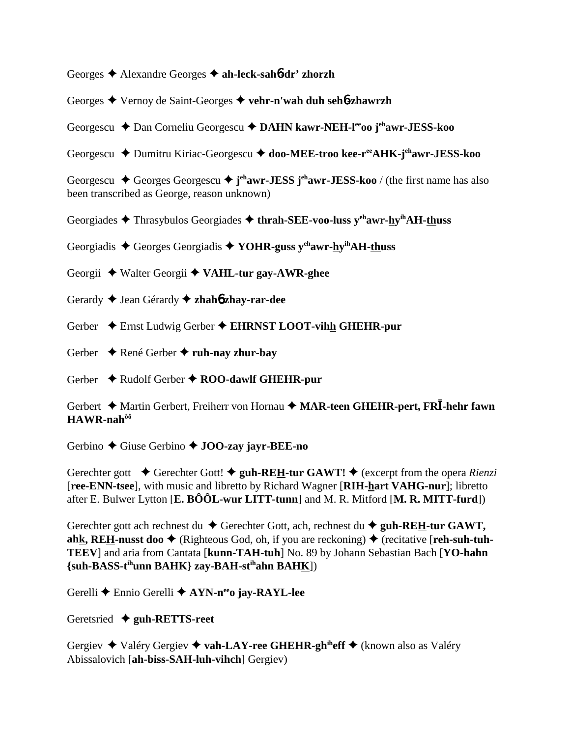Georges Alexandre Georges **ah-leck-sah**6**-dr' zhorzh**

Georges Vernoy de Saint-Georges **vehr-n'wah duh seh**6**-zhawrzh**

Georgescu **→** Dan Corneliu Georgescu → DAHN kawr-NEH-l<sup>ee</sup>00 j<sup>eh</sup>awr-JESS-koo

Georgescu Dumitru Kiriac-Georgescu **doo-MEE-troo kee-reeAHK-jehawr-JESS-koo**

Georgescu ◆ Georges Georgescu ◆ j<sup>eh</sup>awr-JESS j<sup>eh</sup>awr-JESS-koo / (the first name has also been transcribed as George, reason unknown)

Georgiades Thrasybulos Georgiades **thrah-SEE-voo-luss yehawr-hyihAH-thuss**

Georgiadis  $\triangle$  Georges Georgiadis  $\triangle$  YOHR-guss y<sup>eh</sup>awr-hy<sup>ih</sup>AH-thuss

Georgii Walter Georgii **VAHL-tur gay-AWR-ghee**

Gerardy Jean Gérardy **zhah**6 **zhay-rar-dee**

Gerber  $\triangle$  Ernst Ludwig Gerber  $\triangle$  **EHRNST LOOT-vihh GHEHR-pur** 

Gerber  $\rightarrow$  René Gerber  $\rightarrow$  **ruh-nay zhur-bay** 

Gerber  $\rightarrow$  Rudolf Gerber  $\rightarrow$  ROO-dawlf GHEHR-pur

Gerbert Martin Gerbert, Freiherr von Hornau **MAR-teen GHEHR-pert, FR-hehr fawn HAWR-nahôô**

Gerbino Giuse Gerbino **JOO-zay jayr-BEE-no**

Gerechter gott  $\blacklozenge$  Gerechter Gott!  $\blacklozenge$  guh-REH-tur GAWT!  $\blacklozenge$  (excerpt from the opera *Rienzi* [**ree-ENN-tsee**], with music and libretto by Richard Wagner [**RIH-hart VAHG-nur**]; libretto after E. Bulwer Lytton [**E. BÔÔL-wur LITT-tunn**] and M. R. Mitford [**M. R. MITT-furd**])

Gerechter gott ach rechnest du  $\blacklozenge$  Gerechter Gott, ach, rechnest du  $\blacklozenge$  guh-REH-tur GAWT, ahk, REH-nusst doo  $\blacklozenge$  (Righteous God, oh, if you are reckoning)  $\blacklozenge$  (recitative [reh-suh-tuh-**TEEV**] and aria from Cantata [**kunn-TAH-tuh**] No. 89 by Johann Sebastian Bach [**YO-hahn {suh-BASS-tihunn BAHK} zay-BAH-stihahn BAHK**])

Gerelli Ennio Gerelli **AYN-neeo jay-RAYL-lee**

Geretsried **guh-RETTS-reet**

Gergiev Valéry Gergiev **vah-LAY-ree GHEHR-ghiheff** (known also as Valéry Abissalovich [**ah-biss-SAH-luh-vihch**] Gergiev)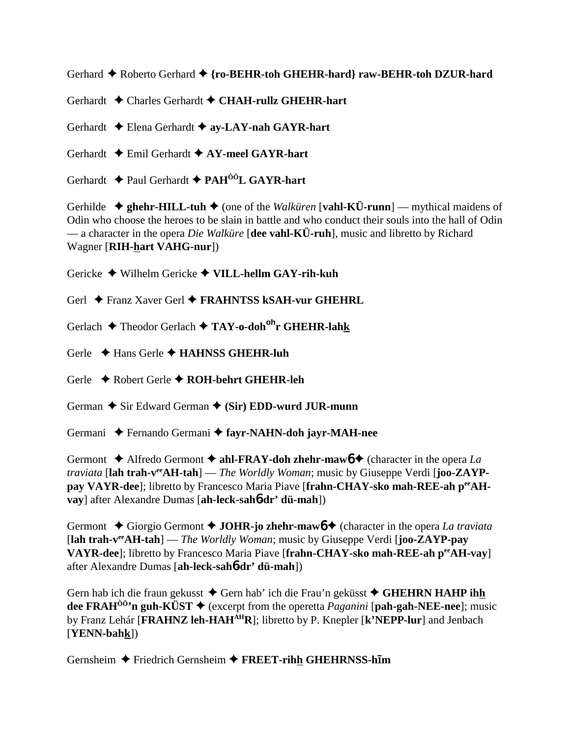Gerhard  $\triangle$  Roberto Gerhard  $\triangle$  {ro-BEHR-toh GHEHR-hard} raw-BEHR-toh DZUR-hard

Gerhardt Charles Gerhardt **CHAH-rullz GHEHR-hart**

Gerhardt Elena Gerhardt **ay-LAY-nah GAYR-hart**

Gerhardt Emil Gerhardt **AY-meel GAYR-hart**

Gerhardt Paul Gerhardt **PAHÔÔL GAYR-hart**

Gerhilde  $\triangle$  ghehr-HILL-tuh  $\triangle$  (one of the *Walküren* [vahl-KÜ-runn] — mythical maidens of Odin who choose the heroes to be slain in battle and who conduct their souls into the hall of Odin — a character in the opera *Die Walküre* [**dee vahl-KÜ-ruh**], music and libretto by Richard Wagner [**RIH-hart VAHG-nur**])

Gericke Wilhelm Gericke **VILL-hellm GAY-rih-kuh**

Gerl ◆ Franz Xaver Gerl ◆ FRAHNTSS kSAH-vur GHEHRL

Gerlach Theodor Gerlach **TAY-o-dohohr GHEHR-lahk**

Gerle  $\rightarrow$  Hans Gerle  $\rightarrow$  **HAHNSS GHEHR-luh** 

Gerle Robert Gerle **ROH-behrt GHEHR-leh**

German  $\triangle$  Sir Edward German  $\triangle$  (Sir) EDD-wurd JUR-munn

Germani Fernando Germani **fayr-NAHN-doh jayr-MAH-nee**

Germont  $\triangle$  Alfredo Germont  $\triangle$  ahl-FRAY-doh zhehr-mawb  $\triangle$  (character in the opera *La traviata* [**lah trah-veeAH-tah**] — *The Worldly Woman*; music by Giuseppe Verdi [**joo-ZAYP**pay VAYR-dee]; libretto by Francesco Maria Piave [frahn-CHAY-sko mah-REE-ah peeAH**vay**] after Alexandre Dumas [**ah-leck-sah**6**-dr' dü-mah**])

Germont  $\triangle$  Giorgio Germont  $\triangle$  **JOHR-jo zhehr-mawb**  $\triangle$  (character in the opera *La traviata* [**lah trah-veeAH-tah**] — *The Worldly Woman*; music by Giuseppe Verdi [**joo-ZAYP-pay VAYR-dee**]; libretto by Francesco Maria Piave [**frahn-CHAY-sko mah-REE-ah peeAH-vay**] after Alexandre Dumas [**ah-leck-sah**6**-dr' dü-mah**])

Gern hab ich die fraun gekusst ◆ Gern hab' ich die Frau'n geküsst ◆ GHEHRN HAHP ihh **dee FRAHÔÔ'n guh-KÜST** (excerpt from the operetta *Paganini* [**pah-gah-NEE-nee**]; music by Franz Lehár [**FRAHNZ leh-HAHAHR**]; libretto by P. Knepler [**k'NEPP-lur**] and Jenbach [**YENN-bahk**])

Gernsheim ◆ Friedrich Gernsheim ◆ FREET-rihh GHEHRNSS-him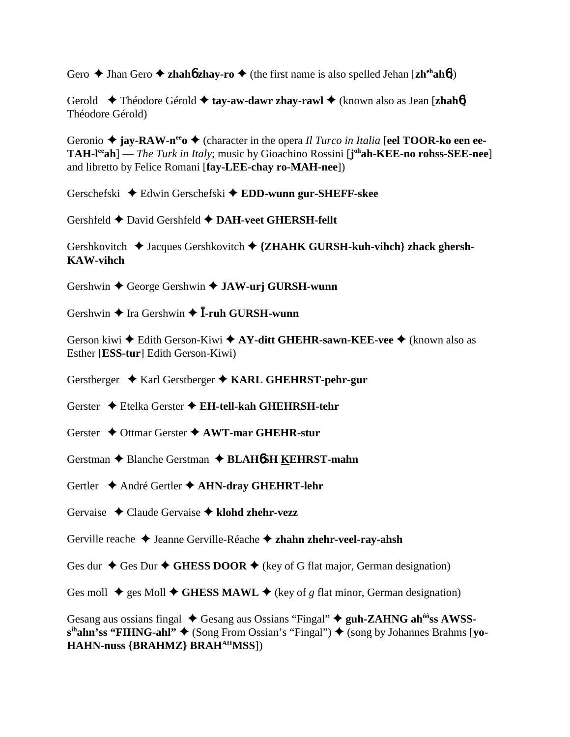Gero  $\triangle$  Jhan Gero  $\triangle$  **zhahó zhay-ro**  $\triangle$  (the first name is also spelled Jehan [**zh**<sup>ch</sup>**ahó**])

Gerold  $\blacklozenge$  Théodore Gérold  $\blacklozenge$  **tay-aw-dawr zhay-rawl**  $\blacklozenge$  (known also as Jean [**zhah**6] Théodore Gérold)

Geronio  $\triangle$  **jay-RAW-n<sup>ee</sup>**  $\triangle$  (character in the opera *Il Turco in Italia* [eel **TOOR-ko een ee-TAH-leeah**] — *The Turk in Italy*; music by Gioachino Rossini [**j ohah-KEE-no rohss-SEE-nee**] and libretto by Felice Romani [**fay-LEE-chay ro-MAH-nee**])

Gerschefski Edwin Gerschefski **EDD-wunn gur-SHEFF-skee**

Gershfeld  $\blacklozenge$  David Gershfeld  $\blacklozenge$  DAH-veet GHERSH-fellt

Gershkovitch  $\rightarrow$  Jacques Gershkovitch  $\rightarrow$  {**ZHAHK GURSH-kuh-vihch**} zhack ghersh-**KAW-vihch**

Gershwin George Gershwin **JAW-urj GURSH-wunn**

Gershwin  $\triangle$  Ira Gershwin  $\triangle$  **I**-ruh GURSH-wunn

Gerson kiwi **→** Edith Gerson-Kiwi **→ AY-ditt GHEHR-sawn-KEE-vee** → (known also as Esther [**ESS-tur**] Edith Gerson-Kiwi)

Gerstberger Karl Gerstberger **KARL GHEHRST-pehr-gur**

Gerster Etelka Gerster  **EH-tell-kah GHEHRSH-tehr**

Gerster Ottmar Gerster **AWT-mar GHEHR-stur**

Gerstman Blanche Gerstman **BLAH**6**SH KEHRST-mahn**

Gertler  $\triangle$  André Gertler  $\triangle$  AHN-dray GHEHRT-lehr

Gervaise Claude Gervaise **klohd zhehr-vezz**

Gerville reache Jeanne Gerville-Réache **zhahn zhehr-veel-ray-ahsh**

Ges dur  $\triangle$  Ges Dur  $\triangle$  GHESS DOOR  $\triangle$  (key of G flat major, German designation)

Ges moll  $\triangleq$  ges Moll  $\triangleq$  GHESS MAWL  $\triangleq$  (key of *g* flat minor, German designation)

Gesang aus ossians fingal  $\blacklozenge$  Gesang aus Ossians "Fingal"  $\blacklozenge$  guh-ZAHNG ah<sup>ôô</sup>ss AWSSs<sup>ih</sup>ahn'ss "FIHNG-ahl" ♦ (Song From Ossian's "Fingal") ♦ (song by Johannes Brahms [**vo**-**HAHN-nuss {BRAHMZ} BRAHAHMSS**])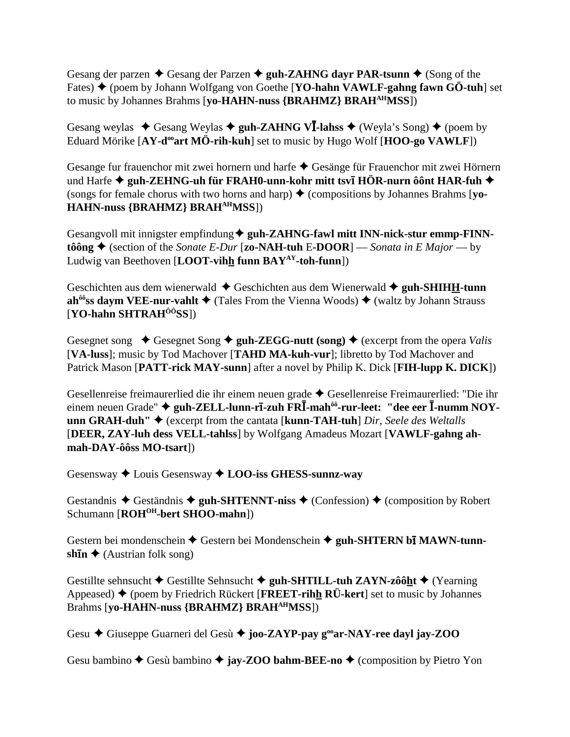Gesang der parzen  $\triangle$  Gesang der Parzen  $\triangle$  guh-ZAHNG dayr PAR-tsunn  $\triangle$  (Song of the Fates) ◆ (poem by Johann Wolfgang von Goethe [YO-hahn VAWLF-gahng fawn GÖ-tuh] set to music by Johannes Brahms [**yo-HAHN-nuss {BRAHMZ} BRAHAHMSS**])

Gesang weylas  $\triangle$  Gesang Weylas  $\triangle$  guh-ZAHNG V<sup>I</sup>-lahss  $\triangle$  (Weyla's Song)  $\triangle$  (poem by Eduard Mörike [AY-d<sup>oo</sup>art MÖ-rih-kuh] set to music by Hugo Wolf [HOO-go VAWLF])

Gesange fur frauenchor mit zwei hornern und harfe ◆ Gesänge für Frauenchor mit zwei Hörnern und Harfe ◆ gu**h-ZEHNG-uh für FRAH0-unn-kohr mitt tsvī HÖR-nurn ôônt HAR-fuh ◆** (songs for female chorus with two horns and harp)  $\triangle$  (compositions by Johannes Brahms [**yo**-**HAHN-nuss {BRAHMZ} BRAHAHMSS**])

Gesangvoll mit innigster empfindung  $\blacklozenge$  guh-ZAHNG-fawl mitt INN-nick-stur emmp-FINN**tôông ♦** (section of the *Sonate E-Dur* [**zo-NAH-tuh E-DOOR**] — *Sonata in E Major* — by Ludwig van Beethoven [**LOOT-vihh funn BAYAY-toh-funn**])

Geschichten aus dem wienerwald  $\triangle$  Geschichten aus dem Wienerwald  $\triangle$  guh-SHIHH-tunn **ah<sup>ôô</sup>ss daym VEE-nur-vahlt**  $\blacklozenge$  (Tales From the Vienna Woods)  $\blacklozenge$  (waltz by Johann Strauss [**YO-hahn SHTRAHÔÔSS**])

Gesegnet song  $\blacklozenge$  Gesegnet Song  $\blacklozenge$  guh-ZEGG-nutt (song)  $\blacklozenge$  (excerpt from the opera *Valis* [**VA-luss**]; music by Tod Machover [**TAHD MA-kuh-vur**]; libretto by Tod Machover and Patrick Mason [**PATT-rick MAY-sunn**] after a novel by Philip K. Dick [**FIH-lupp K. DICK**])

Gesellenreise freimaurerlied die ihr einem neuen grade Gesellenreise Freimaurerlied: "Die ihr  $\overline{P}$ einem neuen Grade" ◆ guh-ZELL-lunn-r**ī-zuh FRĪ-mah<sup>ôô</sup>-rur-leet: "dee eer Ī-numm NOYunn GRAH-duh"** (excerpt from the cantata [**kunn-TAH-tuh**] *Dir, Seele des Weltalls* [**DEER, ZAY-luh dess VELL-tahlss**] by Wolfgang Amadeus Mozart [**VAWLF-gahng ahmah-DAY-ôôss MO-tsart**])

Gesensway Louis Gesensway **LOO-iss GHESS-sunnz-way**

Gestandnis  $\triangle$  Geständnis  $\triangle$  guh-SHTENNT-niss  $\triangle$  (Confession)  $\triangle$  (composition by Robert Schumann [ROH<sup>OH</sup>-bert SHOO-mahn])

Gestern bei mondenschein  $\triangle$  Gestern bei Mondenschein  $\triangle$  guh-SHTERN bī MAWN-tunn**shīn ◆** (Austrian folk song)

Gestillte sehnsucht Gestillte Sehnsucht **guh-SHTILL-tuh ZAYN-zôôht** (Yearning Appeased)  $\blacklozenge$  (poem by Friedrich Rückert [**FREET-rihh RÜ-kert**] set to music by Johannes Brahms [**yo-HAHN-nuss {BRAHMZ} BRAHAHMSS**])

Gesu Giuseppe Guarneri del Gesù **joo-ZAYP-pay gooar-NAY-ree dayl jay-ZOO**

Gesu bambino  $\triangle$  Gesù bambino  $\triangle$  **jay-ZOO bahm-BEE-no**  $\triangle$  (composition by Pietro Yon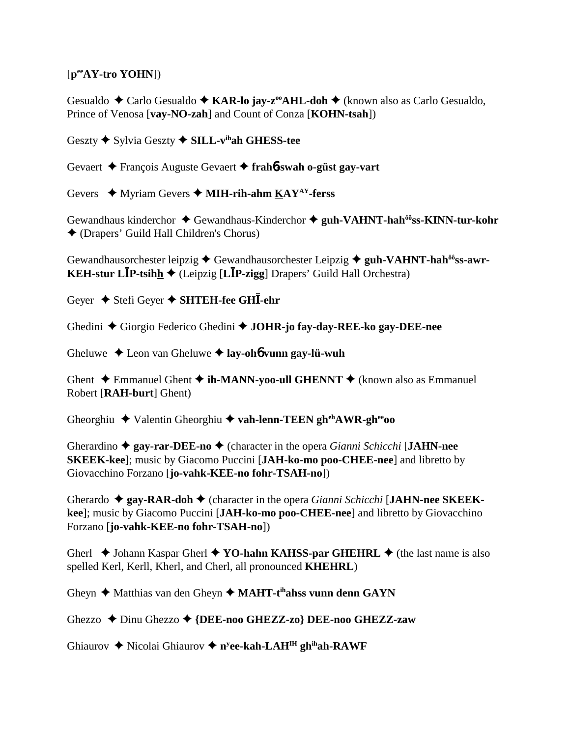# [**peeAY-tro YOHN**])

Gesualdo **←** Carlo Gesualdo ← KAR-lo jay-z<sup>oo</sup>AHL-doh ← (known also as Carlo Gesualdo, Prince of Venosa [**vay-NO-zah**] and Count of Conza [**KOHN-tsah**])

Geszty  $\blacklozenge$  Sylvia Geszty  $\blacklozenge$  **SILL-v<sup>ih</sup>ah GHESS-tee** 

Gevaert François Auguste Gevaert **frah**6**-swah o-güst gay-vart**

Gevers ◆ Myriam Gevers ◆ MIH-rih-ahm KAY<sup>AY</sup>-ferss

Gewandhaus kinderchor ◆ Gewandhaus-Kinderchor ◆ guh-VAHNT-hah<sup>ôô</sup>ss-KINN-tur-kohr (Drapers' Guild Hall Children's Chorus)

Gewandhausorchester leipzig  $\triangle$  Gewandhausorchester Leipzig  $\triangle$  guh-VAHNT-hah<sup>ôô</sup>ss-awr-**KEH-stur LP-tsihh** (Leipzig [**LP-zigg**] Drapers' Guild Hall Orchestra)

Geyer **→** Stefi Geyer ◆ SHTEH-fee GHI-ehr

Ghedini Giorgio Federico Ghedini **JOHR-jo fay-day-REE-ko gay-DEE-nee**

Gheluwe Leon van Gheluwe **lay-oh**6 **vunn gay-lü-wuh**

Ghent  $\triangle$  Emmanuel Ghent  $\triangle$  **ih-MANN-yoo-ull GHENNT**  $\triangle$  (known also as Emmanuel Robert [**RAH-burt**] Ghent)

Gheorghiu ◆ Valentin Gheorghiu ◆ vah-lenn-TEEN gh<sup>eh</sup>AWR-gh<sup>ee</sup>oo

Gherardino **gay-rar-DEE-no** (character in the opera *Gianni Schicchi* [**JAHN-nee SKEEK-kee**]; music by Giacomo Puccini [**JAH-ko-mo poo-CHEE-nee**] and libretto by Giovacchino Forzano [**jo-vahk-KEE-no fohr-TSAH-no**])

Gherardo  $\triangle$  gay-RAR-doh  $\triangle$  (character in the opera *Gianni Schicchi* [JAHN-nee SKEEK**kee**]; music by Giacomo Puccini [**JAH-ko-mo poo-CHEE-nee**] and libretto by Giovacchino Forzano [**jo-vahk-KEE-no fohr-TSAH-no**])

Gherl  $\triangle$  Johann Kaspar Gherl  $\triangle$  YO-hahn KAHSS-par GHEHRL  $\triangle$  (the last name is also spelled Kerl, Kerll, Kherl, and Cherl, all pronounced **KHEHRL**)

Gheyn ◆ Matthias van den Gheyn ◆ MAHT-t<sup>ih</sup>ahss vunn denn GAYN

Ghezzo **→** Dinu Ghezzo → {DEE-noo GHEZZ-zo} DEE-noo GHEZZ-zaw

Ghiaurov ◆ Nicolai Ghiaurov ◆ n<sup>y</sup>ee-kah-LAH<sup>IH</sup> gh<sup>ih</sup>ah-RAWF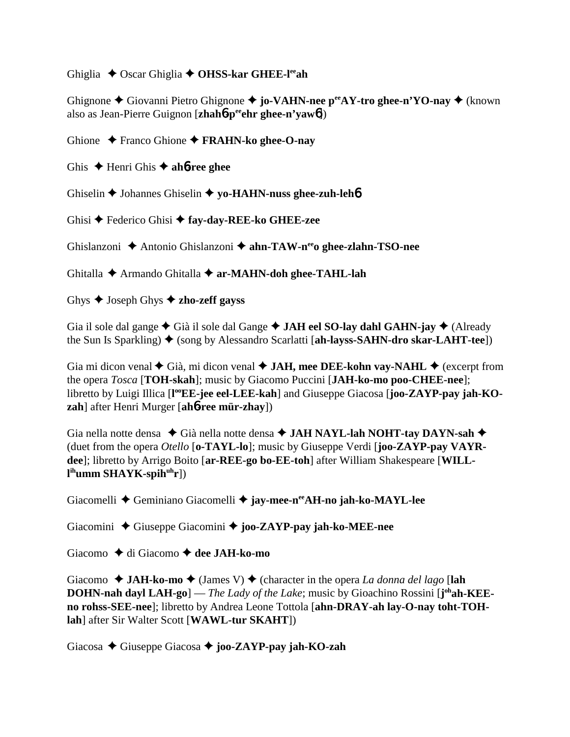Ghiglia ◆ Oscar Ghiglia ◆ OHSS-kar GHEE-l<sup>ee</sup>ah

Ghignone **←** Giovanni Pietro Ghignone ← jo-VAHN-nee p<sup>ee</sup>AY-tro ghee-n'YO-nay ← (known also as Jean-Pierre Guignon [**zhah**6**-peeehr ghee-n'yaw**6])

Ghione Franco Ghione **FRAHN-ko ghee-O-nay**

Ghis  $\triangle$  Henri Ghis  $\triangle$  ah**6-ree ghee** 

Ghiselin Johannes Ghiselin **yo-HAHN-nuss ghee-zuh-leh**6

Ghisi Federico Ghisi **fay-day-REE-ko GHEE-zee**

Ghislanzoni Antonio Ghislanzoni **ahn-TAW-neeo ghee-zlahn-TSO-nee**

Ghitalla Armando Ghitalla **ar-MAHN-doh ghee-TAHL-lah**

Ghys Joseph Ghys **zho-zeff gayss**

Gia il sole dal gange Già il sole dal Gange **JAH eel SO-lay dahl GAHN-jay** (Already the Sun Is Sparkling) ♦ (song by Alessandro Scarlatti [**ah-layss-SAHN-dro skar-LAHT-tee**])

Gia mi dicon venal  $\blacklozenge$  Già, mi dicon venal  $\blacklozenge$  **JAH, mee DEE-kohn vay-NAHL**  $\blacklozenge$  (excerpt from the opera *Tosca* [**TOH-skah**]; music by Giacomo Puccini [**JAH-ko-mo poo-CHEE-nee**]; libretto by Luigi Illica [l<sup>oo</sup>EE-jee eel-LEE-kah] and Giuseppe Giacosa [joo-ZAYP-pay jah-KO**zah**] after Henri Murger [**ah**6**-ree mür-zhay**])

Gia nella notte densa  $\blacklozenge$  Già nella notte densa  $\blacklozenge$  JAH NAYL-lah NOHT-tay DAYN-sah  $\blacklozenge$ (duet from the opera *Otello* [**o-TAYL-lo**]; music by Giuseppe Verdi [**joo-ZAYP-pay VAYRdee**]; libretto by Arrigo Boito [**ar-REE-go bo-EE-toh**] after William Shakespeare [**WILLl ihumm SHAYK-spihuhr**])

Giacomelli Geminiano Giacomelli **jay-mee-neeAH-no jah-ko-MAYL-lee**

Giacomini Giuseppe Giacomini **joo-ZAYP-pay jah-ko-MEE-nee**

Giacomo **→** di Giacomo → dee JAH-ko-mo

Giacomo  $\triangleleft$  JAH-ko-mo  $\triangleleft$  (James V)  $\triangleleft$  (character in the opera *La donna del lago* [lah **DOHN-nah dayl LAH-go**] — *The Lady of the Lake*; music by Gioachino Rossini [j<sup>oh</sup>ah-KEE**no rohss-SEE-nee**]; libretto by Andrea Leone Tottola [**ahn-DRAY-ah lay-O-nay toht-TOHlah**] after Sir Walter Scott [**WAWL-tur SKAHT**])

Giacosa Giuseppe Giacosa **joo-ZAYP-pay jah-KO-zah**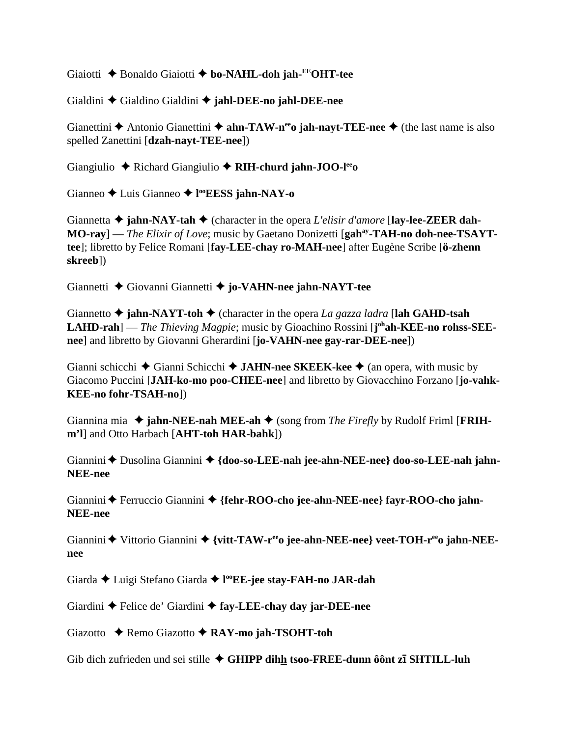Giaiotti Bonaldo Giaiotti **bo-NAHL-doh jah-EEOHT-tee**

Gialdini Gialdino Gialdini **jahl-DEE-no jahl-DEE-nee**

Gianettini  $\triangle$  Antonio Gianettini  $\triangle$  ahn-TAW-n<sup>ee</sup>o jah-nayt-TEE-nee  $\triangle$  (the last name is also spelled Zanettini [**dzah-nayt-TEE-nee**])

Giangiulio Richard Giangiulio **RIH-churd jahn-JOO-leeo**

Gianneo Luis Gianneo **l ooEESS jahn-NAY-o**

Giannetta  $\triangle$  jahn-NAY-tah  $\triangle$  (character in the opera *L'elisir d'amore* [lay-lee-ZEER dah-**MO-ray**] — *The Elixir of Love*; music by Gaetano Donizetti [**gahay-TAH-no doh-nee-TSAYTtee**]; libretto by Felice Romani [**fay-LEE-chay ro-MAH-nee**] after Eugène Scribe [**ö-zhenn skreeb**])

Giannetti Giovanni Giannetti **jo-VAHN-nee jahn-NAYT-tee**

Giannetto  $\triangle$  **jahn-NAYT-toh**  $\triangle$  (character in the opera *La gazza ladra* [**lah GAHD-tsah**] LAHD-rah] — *The Thieving Magpie*; music by Gioachino Rossini [j<sup>oh</sup>ah-KEE-no rohss-SEE**nee**] and libretto by Giovanni Gherardini [**jo-VAHN-nee gay-rar-DEE-nee**])

Gianni schicchi **→** Gianni Schicchi **→ JAHN-nee SKEEK-kee** → (an opera, with music by Giacomo Puccini [**JAH-ko-mo poo-CHEE-nee**] and libretto by Giovacchino Forzano [**jo-vahk-KEE-no fohr-TSAH-no**])

Giannina mia  $\triangle$  jahn-NEE-nah MEE-ah  $\triangle$  (song from *The Firefly* by Rudolf Friml [FRIH**m'l**] and Otto Harbach [**AHT-toh HAR-bahk**])

Giannini  $\triangle$  Dusolina Giannini  $\triangle$  {doo-so-LEE-nah jee-ahn-NEE-nee} doo-so-LEE-nah jahn-**NEE-nee**

Giannini ◆ Ferruccio Giannini ◆ {fehr-ROO-cho jee-ahn-NEE-nee} fayr-ROO-cho jahn-**NEE-nee**

Giannini  $\blacklozenge$  Vittorio Giannini  $\blacklozenge$  {vitt-TAW-r<sup>ee</sup>o jee-ahn-NEE-nee} veet-TOH-r<sup>ee</sup>o jahn-NEE**nee**

Giarda Luigi Stefano Giarda **l ooEE-jee stay-FAH-no JAR-dah**

Giardini  $\triangle$  Felice de' Giardini  $\triangle$  fay-LEE-chay day jar-DEE-nee

Giazotto Remo Giazotto **RAY-mo jah-TSOHT-toh**

Gib dich zufrieden und sei stille ◆ GHIPP dihh tsoo-FREE-dunn ôônt zī SHTILL-luh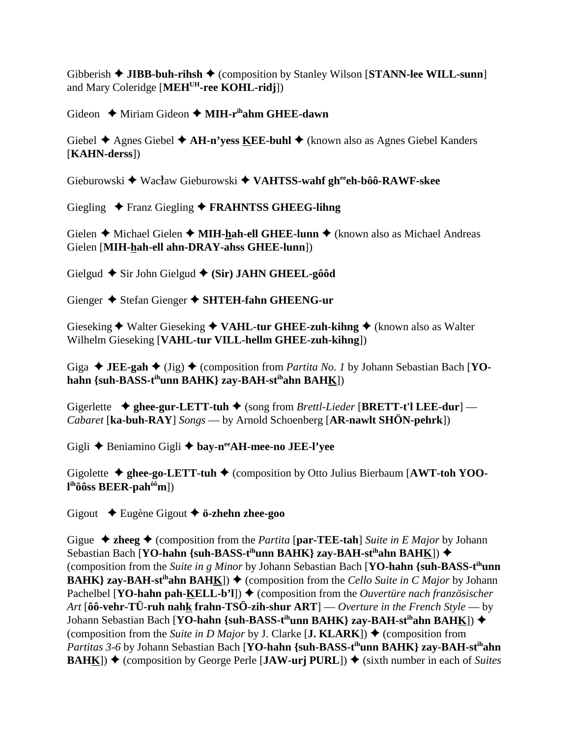Gibberish  $\triangleleft$  JIBB-buh-rihsh  $\triangleleft$  (composition by Stanley Wilson [STANN-lee WILL-sunn] and Mary Coleridge [**MEHUH-ree KOHL-ridj**])

Gideon  $\triangleq$  Miriam Gideon  $\triangleq$  **MIH-r<sup>ih</sup>ahm GHEE-dawn** 

Giebel **→** Agnes Giebel **→ AH-n'yess <u>K</u>EE-buhl →** (known also as Agnes Giebel Kanders [**KAHN-derss**])

Gieburowski  $\blacklozenge$  Wacław Gieburowski  $\blacklozenge$  VAHTSS-wahf gh<sup>ee</sup>eh-bôô-RAWF-skee

Giegling Franz Giegling **FRAHNTSS GHEEG-lihng**

Gielen **→** Michael Gielen → **MIH-hah-ell GHEE-lunn** → (known also as Michael Andreas Gielen [**MIH-hah-ell ahn-DRAY-ahss GHEE-lunn**])

Gielgud **→** Sir John Gielgud ◆ (Sir) JAHN GHEEL-gôôd

Gienger  $\blacklozenge$  Stefan Gienger  $\blacklozenge$  SHTEH-fahn GHEENG-ur

Gieseking ◆ Walter Gieseking ◆ VAHL-tur GHEE-zuh-kihng ◆ (known also as Walter Wilhelm Gieseking [**VAHL-tur VILL-hellm GHEE-zuh-kihng**])

Giga  $\blacklozenge$  **JEE-gah**  $\blacklozenge$  (Jig)  $\blacklozenge$  (composition from *Partita No. 1* by Johann Sebastian Bach [**YOhahn {suh-BASS-tihunn BAHK} zay-BAH-stihahn BAHK**])

Gigerlette **→ ghee-gur-LETT-tuh →** (song from *Brettl-Lieder* [**BRETT-t'l LEE-dur**] — *Cabaret* [**ka-buh-RAY**] *Songs* — by Arnold Schoenberg [**AR-nawlt SHÖN-pehrk**])

Gigli Beniamino Gigli **bay-neeAH-mee-no JEE-l'yee**

Gigolette  $\triangle$  ghee-go-LETT-tuh  $\triangle$  (composition by Otto Julius Bierbaum [AWT-toh YOO**l ihôôss BEER-pahôôm**])

Gigout Eugène Gigout **ö-zhehn zhee-goo**

Gigue  $\triangle$  **zheeg**  $\triangle$  (composition from the *Partita* [par-TEE-tah] *Suite in E Major* by Johann Sebastian Bach [**YO-hahn {suh-BASS-t<sup>ih</sup>unn BAHK} zay-BAH-st<sup>ih</sup>ahn BAHK]) ◆** (composition from the *Suite in g Minor* by Johann Sebastian Bach [**YO-hahn {suh-BASS-tihunn BAHK**} zay-BAH-st<sup>ih</sup>ahn BAHK])  $\blacklozenge$  (composition from the *Cello Suite in C Major* by Johann Pachelbel [**YO-hahn pah-KELL-b'l**]) ♦ (composition from the *Ouvertüre nach französischer Art* [**ôô-vehr-TÜ-ruh nahk frahn-TSÖ-zih-shur ART**] — *Overture in the French Style* — by Johann Sebastian Bach [**YO-hahn {suh-BASS-t<sup>ih</sup>unn BAHK} zay-BAH-st<sup>ih</sup>ahn BAHK]) ◆** (composition from the *Suite in D Major* by J. Clarke [**J. KLARK**])  $\blacklozenge$  (composition from *Partitas 3-6* by Johann Sebastian Bach [**YO-hahn** {suh-BASS-t<sup>ih</sup>unn BAHK} zay-BAH-st<sup>ih</sup>ahn **BAHK**)  $\blacklozenge$  (composition by George Perle [**JAW-urj PURL**])  $\blacklozenge$  (sixth number in each of *Suites*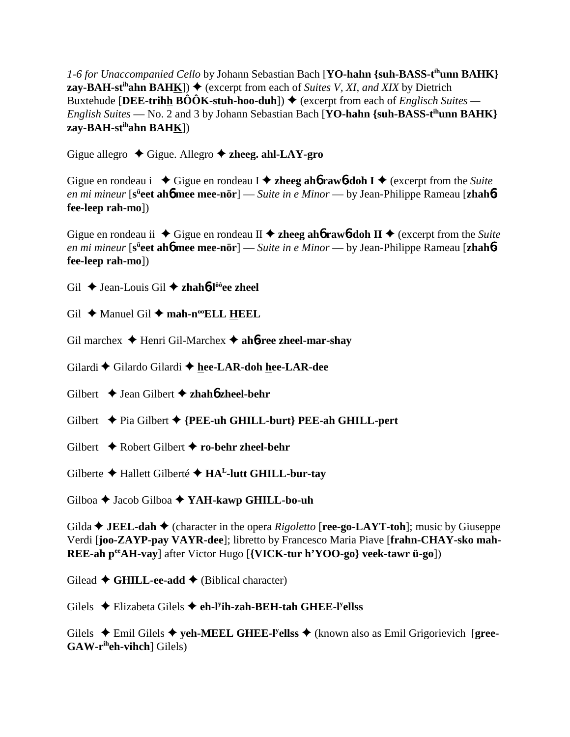*1-6 for Unaccompanied Cello* by Johann Sebastian Bach [**YO-hahn {suh-BASS-tihunn BAHK} zay-BAH-st<sup>ih</sup>ahn BAHK**])  $\blacklozenge$  (excerpt from each of *Suites V, XI, and XIX* by Dietrich Buxtehude [DEE-trih<u>h</u> BÔÔK-stuh-hoo-duh]) ♦ (excerpt from each of *Englisch Suites* — *English Suites* — No. 2 and 3 by Johann Sebastian Bach [**YO-hahn {suh-BASS-tihunn BAHK} zay-BAH-stihahn BAHK**])

Gigue allegro  $\triangle$  Gigue. Allegro  $\triangle$  zheeg. ahl-LAY-gro

Gigue en rondeau i  $\blacklozenge$  Gigue en rondeau I  $\blacklozenge$  **zheeg ahó raw**6**-doh I**  $\blacklozenge$  (excerpt from the *Suite en mi mineur* [s<sup>ü</sup>eet ah6 mee mee-nör] — *Suite in e Minor* — by Jean-Philippe Rameau [zhah6**fee-leep rah-mo**])

Gigue en rondeau ii  $\blacklozenge$  Gigue en rondeau II  $\blacklozenge$  **zheeg ahó rawó-doh II**  $\blacklozenge$  (excerpt from the *Suite en mi mineur* [s<sup>ü</sup>eet ah6 mee mee-nör] — *Suite in e Minor* — by Jean-Philippe Rameau [zhah6**fee-leep rah-mo**])

Gil Jean-Louis Gil **zhah**6**-lôôee zheel**

Gil  $\triangle$  Manuel Gil  $\triangle$  mah-n<sup>oo</sup>ELL HEEL

Gil marchex Henri Gil-Marchex **ah**6**-ree zheel-mar-shay**

Gilardi Gilardo Gilardi **hee-LAR-doh hee-LAR-dee**

Gilbert  $\rightarrow$  Jean Gilbert  $\rightarrow$  **zhahó zheel-behr** 

- Gilbert  $\rightarrow$  Pia Gilbert  $\rightarrow$  {PEE-uh GHILL-burt} PEE-ah GHILL-pert
- Gilbert Robert Gilbert **ro-behr zheel-behr**

Gilberte Hallett Gilberté **HAL-lutt GHILL-bur-tay**

Gilboa Jacob Gilboa **YAH-kawp GHILL-bo-uh**

Gilda **JEEL-dah** (character in the opera *Rigoletto* [**ree-go-LAYT-toh**]; music by Giuseppe Verdi [**joo-ZAYP-pay VAYR-dee**]; libretto by Francesco Maria Piave [**frahn-CHAY-sko mah-REE-ah peeAH-vay**] after Victor Hugo [**{VICK-tur h'YOO-go} veek-tawr ü-go**])

Gilead  $\triangle$  GHILL-ee-add  $\triangle$  (Biblical character)

Gilels Elizabeta Gilels **eh-ly ih-zah-BEH-tah GHEE-ly ellss**

Gilels  $\triangle$  Emil Gilels  $\triangle$  yeh-MEEL GHEE-l<sup>y</sup>ellss  $\triangle$  (known also as Emil Grigorievich [gree-**GAW-riheh-vihch**] Gilels)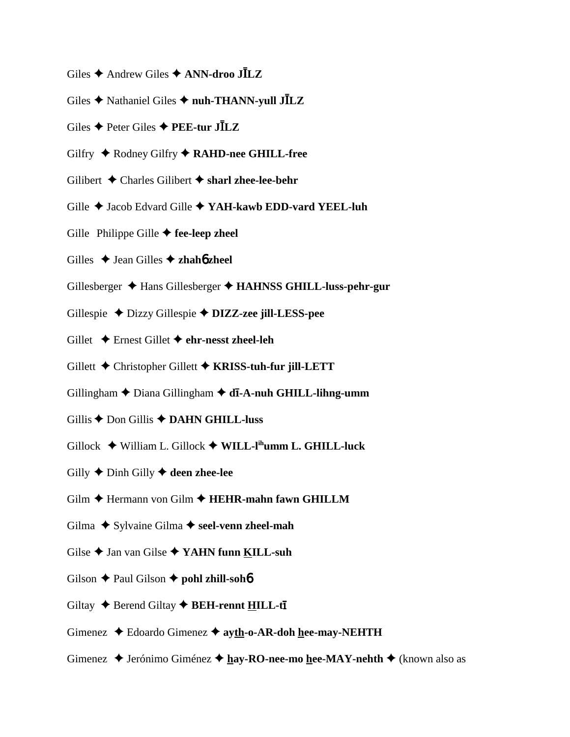- Giles  $\triangle$  Andrew Giles  $\triangle$  **ANN-droo JILZ**
- Giles Nathaniel Giles **nuh-THANN-yull JLZ**
- Giles Peter Giles **PEE-tur JLZ**
- Gilfry  $\triangle$  Rodney Gilfry  $\triangle$  RAHD-nee GHILL-free
- Gilibert  $\triangle$  Charles Gilibert  $\triangle$  sharl zhee-lee-behr
- Gille  $\triangle$  Jacob Edvard Gille  $\triangle$  YAH-kawb EDD-vard YEEL-luh
- Gille Philippe Gille  $\blacklozenge$  fee-leep zheel
- Gilles  $\triangle$  Jean Gilles  $\triangle$  **zhahó** zheel
- Gillesberger Hans Gillesberger **HAHNSS GHILL-luss-pehr-gur**
- Gillespie Dizzy Gillespie **DIZZ-zee jill-LESS-pee**
- Gillet Ernest Gillet **ehr-nesst zheel-leh**
- Gillett Christopher Gillett **KRISS-tuh-fur jill-LETT**
- Gillingham ◆ Diana Gillingham ◆ **dī-A-nuh GHILL-lihng-umm**
- Gillis  $\bigstar$  Don Gillis  $\bigstar$  **DAHN GHILL-luss**
- Gillock William L. Gillock **WILL-lihumm L. GHILL-luck**
- Gilly  $\triangle$  Dinh Gilly  $\triangle$  deen zhee-lee
- Gilm **→** Hermann von Gilm → HEHR-mahn fawn GHILLM
- Gilma ◆ Sylvaine Gilma ◆ seel-venn zheel-mah
- Gilse  $\triangle$  Jan van Gilse  $\triangle$  YAHN funn KILL-suh
- Gilson  $\triangle$  Paul Gilson  $\triangle$  **pohl zhill-sohb**
- Giltay  $\triangle$  Berend Giltay  $\triangle$  **BEH-rennt HILL-ti**
- Gimenez  $\triangle$  Edoardo Gimenez  $\triangle$  ayth-o-AR-doh hee-may-NEHTH
- Gimenez **→** Jerónimo Giménez → hay-RO-nee-mo hee-MAY-nehth → (known also as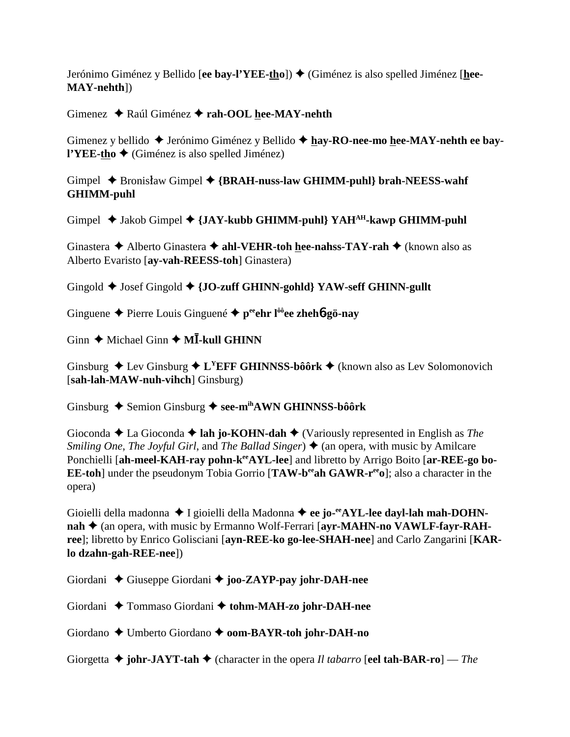Jerónimo Giménez y Bellido [ee bay-l'YEE-tho]) ♦ (Giménez is also spelled Jiménez [hee-**MAY-nehth**])

# Gimenez Raúl Giménez **rah-OOL hee-MAY-nehth**

Gimenez y bellido  $\triangle$  Jerónimo Giménez y Bellido  $\triangle$  hay-RO-nee-mo hee-MAY-nehth ee bay**l'YEE-tho ♦** (Giménez is also spelled Jiménez)

Gimpel ◆ Bronisław Gimpel ◆ {BRAH-nuss-law GHIMM-puhl} brah-NEESS-wahf **GHIMM-puhl**

Gimpel  $\triangleleft$  Jakob Gimpel  $\triangleleft$  {JAY-kubb GHIMM-puhl} YAH<sup>AH</sup>-kawp GHIMM-puhl

Ginastera **→** Alberto Ginastera → ahl-VEHR-toh hee-nahss-TAY-rah → (known also as Alberto Evaristo [**ay-vah-REESS-toh**] Ginastera)

Gingold  $\blacklozenge$  Josef Gingold  $\blacklozenge$  {JO-zuff GHINN-gohld} YAW-seff GHINN-gullt

Ginguene Pierre Louis Ginguené **peeehr lôôee zheh**6**-gö-nay**

Ginn  $\triangle$  Michael Ginn  $\triangle$  M**I**-kull GHINN

Ginsburg  $\triangle$  Lev Ginsburg  $\triangle$  L<sup>Y</sup>EFF GHINNSS-bôôrk  $\triangle$  (known also as Lev Solomonovich [**sah-lah-MAW-nuh-vihch**] Ginsburg)

Ginsburg ◆ Semion Ginsburg ◆ see-m<sup>ih</sup>AWN GHINNSS-bôôrk

Gioconda **→** La Gioconda **→ lah jo-KOHN-dah** → (Variously represented in English as *The Smiling One, The Joyful Girl, and The Ballad Singer*  $\triangleleft$  (an opera, with music by Amilcare Ponchielli [ah-meel-KAH-ray pohn-k<sup>ee</sup>AYL-lee] and libretto by Arrigo Boito [ar-REE-go bo-**EE-toh**] under the pseudonym Tobia Gorrio [**TAW-b<sup>ee</sup>ah GAWR-r<sup>ee</sup>o**]; also a character in the opera)

Gioielli della madonna  $\blacklozenge$  I gioielli della Madonna  $\blacklozenge$  ee jo-<sup>ee</sup>AYL-lee dayl-lah mah-DOHNnah  $\triangle$  (an opera, with music by Ermanno Wolf-Ferrari [ayr-MAHN-no VAWLF-fayr-RAH**ree**]; libretto by Enrico Golisciani [**ayn-REE-ko go-lee-SHAH-nee**] and Carlo Zangarini [**KARlo dzahn-gah-REE-nee**])

Giordani  $\triangle$  Giuseppe Giordani  $\triangle$  joo-ZAYP-pay johr-DAH-nee

Giordani  $\triangle$  Tommaso Giordani  $\triangle$  tohm-MAH-zo johr-DAH-nee

Giordano Umberto Giordano **oom-BAYR-toh johr-DAH-no**

Giorgetta **johr-JAYT-tah** (character in the opera *Il tabarro* [**eel tah-BAR-ro**] — *The*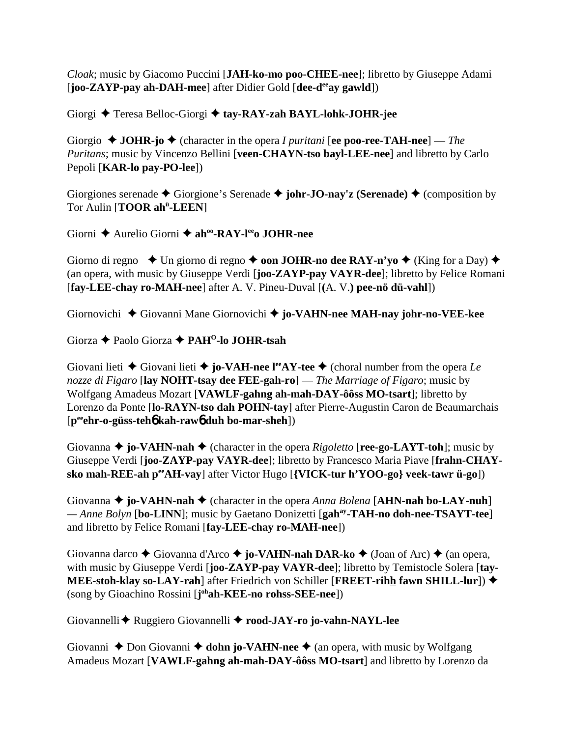*Cloak*; music by Giacomo Puccini [**JAH-ko-mo poo-CHEE-nee**]; libretto by Giuseppe Adami [**joo-ZAYP-pay ah-DAH-mee**] after Didier Gold [**dee-deeay gawld**])

Giorgi  $\triangle$  Teresa Belloc-Giorgi  $\triangle$  tay-RAY-zah BAYL-lohk-JOHR-jee

Giorgio **JOHR-jo** (character in the opera *I puritani* [**ee poo-ree-TAH-nee**] — *The Puritans*; music by Vincenzo Bellini [**veen-CHAYN-tso bayl-LEE-nee**] and libretto by Carlo Pepoli [**KAR-lo pay-PO-lee**])

Giorgiones serenade  $\triangle$  Giorgione's Serenade  $\triangle$  johr-JO-nay'z (Serenade)  $\triangle$  (composition by Tor Aulin [**TOOR ahü -LEEN**]

Giorni **→** Aurelio Giorni → ah<sup>oo</sup>-RAY-l<sup>ee</sup>o JOHR-nee

Giorno di regno  $\triangleleft$  Un giorno di regno  $\triangleleft$  **oon JOHR-no dee RAY-n'yo**  $\triangleleft$  (King for a Day)  $\triangleleft$ (an opera, with music by Giuseppe Verdi [**joo-ZAYP-pay VAYR-dee**]; libretto by Felice Romani [**fay-LEE-chay ro-MAH-nee**] after A. V. Pineu-Duval [**(**A. V.**) pee-nö dü-vahl**])

Giornovichi Giovanni Mane Giornovichi **jo-VAHN-nee MAH-nay johr-no-VEE-kee**

Giorza Paolo Giorza **PAHO-lo JOHR-tsah**

Giovani lieti  $\blacklozenge$  Giovani lieti  $\blacklozenge$  **jo-VAH-nee l<sup>ee</sup>AY-tee**  $\blacklozenge$  (choral number from the opera *Le nozze di Figaro* [**lay NOHT-tsay dee FEE-gah-ro**] — *The Marriage of Figaro*; music by Wolfgang Amadeus Mozart [**VAWLF-gahng ah-mah-DAY-ôôss MO-tsart**]; libretto by Lorenzo da Ponte [**lo-RAYN-tso dah POHN-tay**] after Pierre-Augustin Caron de Beaumarchais [**peeehr-o-güss-teh**6 **kah-raw**6 **duh bo-mar-sheh**])

Giovanna  $\triangleq$  jo-VAHN-nah  $\triangleq$  (character in the opera *Rigoletto* [**ree-go-LAYT-toh**]; music by Giuseppe Verdi [**joo-ZAYP-pay VAYR-dee**]; libretto by Francesco Maria Piave [**frahn-CHAYsko mah-REE-ah peeAH-vay**] after Victor Hugo [**{VICK-tur h'YOO-go} veek-tawr ü-go**])

Giovanna  $\triangleq$  jo-VAHN-nah  $\triangleq$  (character in the opera *Anna Bolena* [AHN-nah bo-LAY-nuh] *— Anne Bolyn* [**bo-LINN**]; music by Gaetano Donizetti [**gahay-TAH-no doh-nee-TSAYT-tee**] and libretto by Felice Romani [**fay-LEE-chay ro-MAH-nee**])

Giovanna darco  $\blacklozenge$  Giovanna d'Arco  $\blacklozenge$  jo-VAHN-nah DAR-ko  $\blacklozenge$  (Joan of Arc)  $\blacklozenge$  (an opera, with music by Giuseppe Verdi [**joo-ZAYP-pay VAYR-dee**]; libretto by Temistocle Solera [**tay-MEE-stoh-klay so-LAY-rah**] after Friedrich von Schiller [**FREET-rihh fawn SHILL-lur**]) (song by Gioachino Rossini [**j ohah-KEE-no rohss-SEE-nee**])

Giovannelli Ruggiero Giovannelli **rood-JAY-ro jo-vahn-NAYL-lee**

Giovanni  $\triangle$  Don Giovanni  $\triangle$  **dohn jo-VAHN-nee**  $\triangle$  (an opera, with music by Wolfgang Amadeus Mozart [**VAWLF-gahng ah-mah-DAY-ôôss MO-tsart**] and libretto by Lorenzo da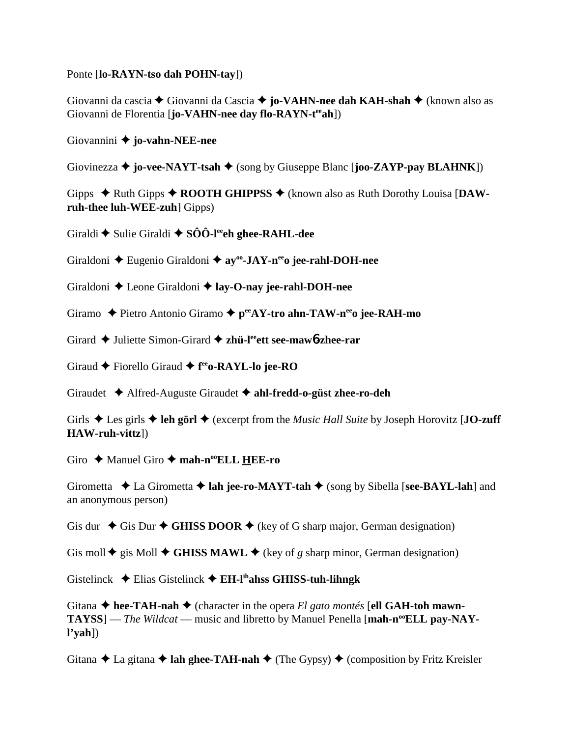Ponte [**lo-RAYN-tso dah POHN-tay**])

Giovanni da cascia Giovanni da Cascia **jo-VAHN-nee dah KAH-shah** (known also as Giovanni de Florentia [**jo-VAHN-nee day flo-RAYN-teeah**])

Giovannini **jo-vahn-NEE-nee**

Giovinezza  $\triangle$  **jo-vee-NAYT-tsah**  $\triangle$  (song by Giuseppe Blanc [**joo-ZAYP-pay BLAHNK**])

Gipps  $\triangle$  Ruth Gipps  $\triangle$  **ROOTH GHIPPSS**  $\triangle$  (known also as Ruth Dorothy Louisa [DAW**ruh-thee luh-WEE-zuh**] Gipps)

Giraldi  $\blacklozenge$  Sulie Giraldi  $\blacklozenge$  **SÔÔ-l<sup>ee</sup>ch ghee-RAHL-dee** 

Giraldoni Eugenio Giraldoni **ayoo-JAY-neeo jee-rahl-DOH-nee**

Giraldoni  $\triangle$  Leone Giraldoni  $\triangle$  lay-O-nay jee-rahl-DOH-nee

Giramo Pietro Antonio Giramo **peeAY-tro ahn-TAW-neeo jee-RAH-mo**

Girard ◆ Juliette Simon-Girard ◆ zhü-l<sup>ee</sup>ett see-maw**6-zhee-rar** 

Giraud ◆ Fiorello Giraud ◆ f<sup>ee</sup>o-RAYL-lo jee-RO

Giraudet Alfred-Auguste Giraudet **ahl-fredd-o-güst zhee-ro-deh**

Girls  $\triangle$  Les girls  $\triangle$  leh görl  $\triangle$  (excerpt from the *Music Hall Suite* by Joseph Horovitz [**JO-zuff HAW-ruh-vittz**])

Giro  $\rightarrow$  Manuel Giro  $\rightarrow$  **mah-n<sup>oo</sup>ELL HEE-ro** 

Girometta  $\triangle$  La Girometta  $\triangle$  **lah jee-ro-MAYT-tah**  $\triangle$  (song by Sibella [**see-BAYL-lah**] and an anonymous person)

Gis dur  $\triangle$  Gis Dur  $\triangle$  GHISS DOOR  $\triangle$  (key of G sharp major, German designation)

Gis moll  $\blacklozenge$  gis Moll  $\blacklozenge$  GHISS MAWL  $\blacklozenge$  (key of *g* sharp minor, German designation)

Gistelinck Elias Gistelinck **EH-lihahss GHISS-tuh-lihngk**

Gitana  $\triangle$  hee-TAH-nah  $\triangle$  (character in the opera *El gato montés* [ell GAH-toh mawn-TAYSS] — *The Wildcat* — music and libretto by Manuel Penella [mah-n<sup>oo</sup>ELL pay-NAY**l'yah**])

Gitana  $\triangle$  La gitana  $\triangle$  **lah ghee-TAH-nah**  $\triangle$  (The Gypsy)  $\triangle$  (composition by Fritz Kreisler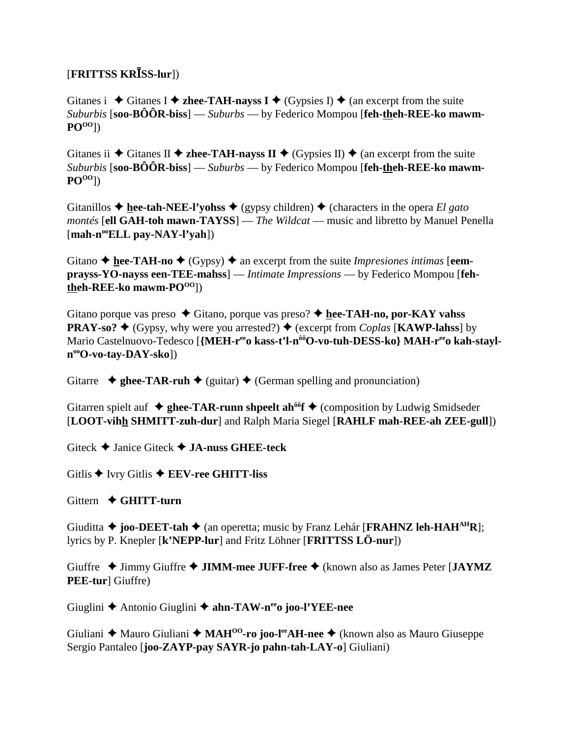# [**FRITTSS KRSS-lur**])

Gitanes i  $\triangle$  Gitanes I  $\triangle$  zhee-TAH-nayss I  $\triangle$  (Gypsies I)  $\triangle$  (an excerpt from the suite *Suburbis* [**soo-BÔÔR-biss**] — *Suburbs* — by Federico Mompou [**feh-theh-REE-ko mawm-POOO**])

Gitanes ii  $\blacklozenge$  Gitanes II  $\blacklozenge$  **zhee-TAH-nayss II**  $\blacklozenge$  (Gypsies II)  $\blacklozenge$  (an excerpt from the suite *Suburbis* [**soo-BÔÔR-biss**] — *Suburbs* — by Federico Mompou [**feh-theh-REE-ko mawm-POOO**])

Gitanillos  $\triangle$  hee-tah-NEE-l'yohss  $\triangle$  (gypsy children)  $\triangle$  (characters in the opera *El gato montés* [**ell GAH-toh mawn-TAYSS**] — *The Wildcat* — music and libretto by Manuel Penella [**mah-nooELL pay-NAY-l'yah**])

Gitano  $\triangle$  **hee-TAH-no**  $\triangle$  (Gypsy)  $\triangle$  an excerpt from the suite *Impresiones intimas* [eem**prayss-YO-nayss een-TEE-mahss**] — *Intimate Impressions* — by Federico Mompou [**fehtheh-REE-ko** mawm-PO<sup>OO</sup>])

Gitano porque vas preso  $\blacklozenge$  Gitano, porque vas preso?  $\blacklozenge$  hee-TAH-no, por-KAY vahss **PRAY-so?**  $\blacklozenge$  (Gypsy, why were you arrested?)  $\blacklozenge$  (excerpt from *Coplas* [**KAWP-lahss**] by Mario Castelnuovo-Tedesco [{MEH-r<sup>ee</sup>o kass-t'l-n<sup>ôô</sup>O-vo-tuh-DESS-ko} MAH-r<sup>ee</sup>o kah-stayl**nooO-vo-tay-DAY-sko**])

Gitarre  $\triangleq$  ghee-TAR-ruh  $\triangleq$  (guitar)  $\triangleq$  (German spelling and pronunciation)

Gitarren spielt auf  $\triangleq$  ghee-TAR-runn shpeelt ah<sup> $\delta$ o</sup>f  $\triangleq$  (composition by Ludwig Smidseder [**LOOT-vihh SHMITT-zuh-dur**] and Ralph Maria Siegel [**RAHLF mah-REE-ah ZEE-gull**])

Giteck Janice Giteck **JA-nuss GHEE-teck**

Gitlis ◆ Ivry Gitlis ◆ **EEV-ree GHITT-liss** 

Gittern  **GHITT-turn**

Giuditta  $\triangle$  **joo-DEET-tah**  $\triangle$  (an operetta; music by Franz Lehár [**FRAHNZ leh-HAH<sup>AH</sup>R**]; lyrics by P. Knepler [**k'NEPP-lur**] and Fritz Löhner [**FRITTSS LÖ-nur**])

Giuffre  $\triangle$  Jimmy Giuffre  $\triangle$  **JIMM-mee JUFF-free**  $\triangle$  (known also as James Peter [**JAYMZ PEE-tur**] Giuffre)

Giuglini Antonio Giuglini **ahn-TAW-neeo joo-l'YEE-nee**

Giuliani ◆ Mauro Giuliani ◆ MAH<sup>00</sup>-ro joo-l<sup>ee</sup>AH-nee ◆ (known also as Mauro Giuseppe Sergio Pantaleo [**joo-ZAYP-pay SAYR-jo pahn-tah-LAY-o**] Giuliani)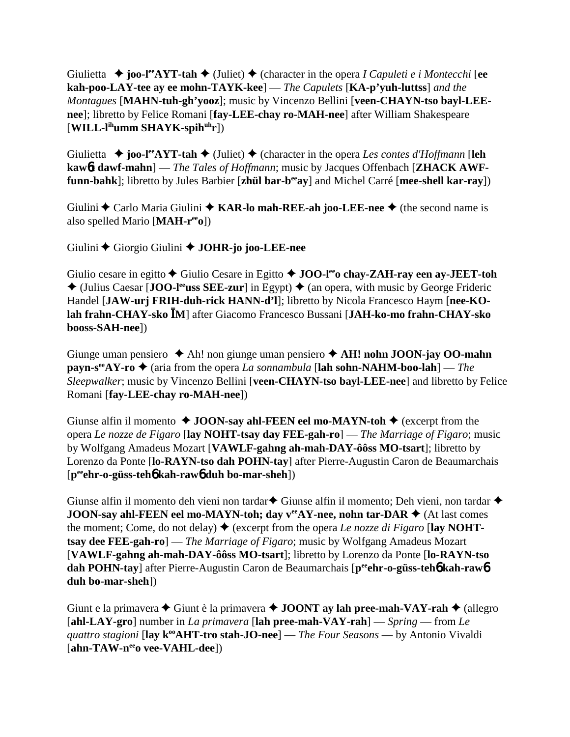Giulietta  $\rightarrow$  **joo-l<sup>ee</sup>AYT-tah**  $\rightarrow$  (Juliet)  $\rightarrow$  (character in the opera *I Capuleti e i Montecchi* [ee **kah-poo-LAY-tee ay ee mohn-TAYK-kee**] — *The Capulets* [**KA-p'yuh-luttss**] *and the Montagues* [**MAHN-tuh-gh'yooz**]; music by Vincenzo Bellini [**veen-CHAYN-tso bayl-LEEnee**]; libretto by Felice Romani [**fay-LEE-chay ro-MAH-nee**] after William Shakespeare [**WILL-lihumm SHAYK-spihuhr**])

Giulietta  $\rightarrow$  **joo-l<sup>ee</sup>AYT-tah**  $\rightarrow$  (Juliet)  $\rightarrow$  (character in the opera *Les contes d'Hoffmann* [**leh kaw**6**t dawf-mahn**] — *The Tales of Hoffmann*; music by Jacques Offenbach [**ZHACK AWFfunn-bahk**]; libretto by Jules Barbier [**zhül bar-beeay**] and Michel Carré [**mee-shell kar-ray**])

Giulini ◆ Carlo Maria Giulini ◆ KAR-lo mah-REE-ah joo-LEE-nee ◆ (the second name is also spelled Mario [**MAH-reeo**])

Giulini Giorgio Giulini **JOHR-jo joo-LEE-nee**

Giulio cesare in egitto **→** Giulio Cesare in Egitto **→ JOO-l<sup>ee</sup>o chay-ZAH-ray een ay-JEET-toh**  $\triangle$  (Julius Caesar [**JOO-l<sup>ee</sup>uss SEE-zur**] in Egypt)  $\triangle$  (an opera, with music by George Frideric Handel [**JAW-urj FRIH-duh-rick HANN-d'l**]; libretto by Nicola Francesco Haym [**nee-KOlah frahn-CHAY-sko M**] after Giacomo Francesco Bussani [**JAH-ko-mo frahn-CHAY-sko booss-SAH-nee**])

Giunge uman pensiero Ah! non giunge uman pensiero **AH! nohn JOON-jay OO-mahn payn-s<sup>ee</sup>AY-ro**  $\triangle$  (aria from the opera *La sonnambula* [lah sohn-NAHM-boo-lah] — *The Sleepwalker*; music by Vincenzo Bellini [**veen-CHAYN-tso bayl-LEE-nee**] and libretto by Felice Romani [**fay-LEE-chay ro-MAH-nee**])

Giunse alfin il momento  $\triangle$  **JOON-say ahl-FEEN eel mo-MAYN-toh**  $\triangle$  (excerpt from the opera *Le nozze de Figaro* [**lay NOHT-tsay day FEE-gah-ro**] — *The Marriage of Figaro*; music by Wolfgang Amadeus Mozart [**VAWLF-gahng ah-mah-DAY-ôôss MO-tsart**]; libretto by Lorenzo da Ponte [**lo-RAYN-tso dah POHN-tay**] after Pierre-Augustin Caron de Beaumarchais [**peeehr-o-güss-teh**6 **kah-raw**6 **duh bo-mar-sheh**])

Giunse alfin il momento deh vieni non tardar $\blacklozenge$  Giunse alfin il momento; Deh vieni, non tardar  $\blacklozenge$ **JOON-say ahl-FEEN eel mo-MAYN-toh; day**  $v^{ee}AY$ **-nee, nohn tar-DAR**  $\blacklozenge$  (At last comes the moment; Come, do not delay)  $\blacklozenge$  (excerpt from the opera *Le nozze di Figaro* [lay NOHT**tsay dee FEE-gah-ro**] — *The Marriage of Figaro*; music by Wolfgang Amadeus Mozart [**VAWLF-gahng ah-mah-DAY-ôôss MO-tsart**]; libretto by Lorenzo da Ponte [**lo-RAYN-tso dah POHN-tay**] after Pierre-Augustin Caron de Beaumarchais [peen-o-güss-teh**6** kah-raw6 **duh bo-mar-sheh**])

Giunt e la primavera  $\triangle$  Giunt è la primavera  $\triangle$  **JOONT ay lah pree-mah-VAY-rah**  $\triangle$  (allegro [**ahl-LAY-gro**] number in *La primavera* [**lah pree-mah-VAY-rah**] — *Spring* — from *Le guattro stagioni* [lay k<sup>oo</sup>AHT-tro stah-JO-nee] — *The Four Seasons* — by Antonio Vivaldi [ahn-TAW-n<sup>ee</sup>o vee-VAHL-dee])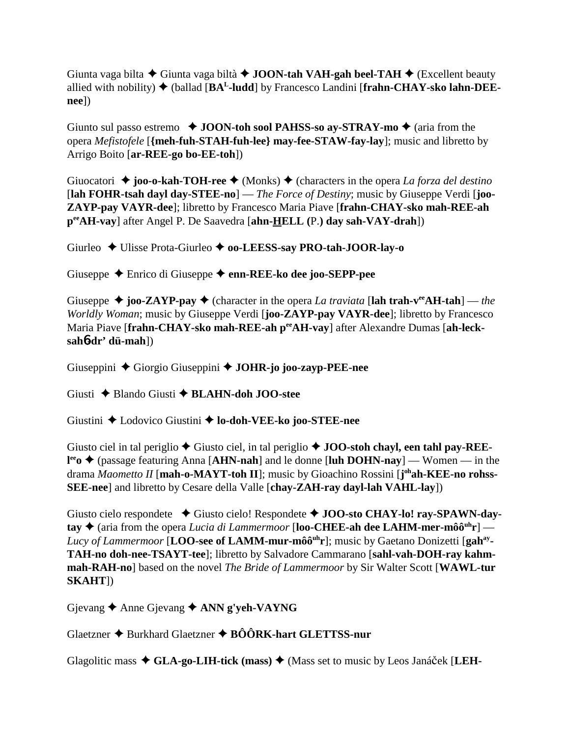Giunta vaga bilta Giunta vaga biltà **JOON-tah VAH-gah beel-TAH** (Excellent beauty allied with nobility)  $\blacklozenge$  (ballad [ $BA<sup>L</sup>$ -ludd] by Francesco Landini [frahn-CHAY-sko lahn-DEE**nee**])

Giunto sul passo estremo  $\triangleleft$  **JOON-toh sool PAHSS-so ay-STRAY-mo**  $\triangleleft$  (aria from the opera *Mefistofele* [**{meh-fuh-STAH-fuh-lee} may-fee-STAW-fay-lay**]; music and libretto by Arrigo Boito [**ar-REE-go bo-EE-toh**])

Giuocatori  $\triangle$  joo-o-kah-TOH-ree  $\triangle$  (Monks)  $\triangle$  (characters in the opera *La forza del destino* [**lah FOHR-tsah dayl day-STEE-no**] — *The Force of Destiny*; music by Giuseppe Verdi [**joo-ZAYP-pay VAYR-dee**]; libretto by Francesco Maria Piave [**frahn-CHAY-sko mah-REE-ah peeAH-vay**] after Angel P. De Saavedra [**ahn-HELL (**P.**) day sah-VAY-drah**])

Giurleo  $\triangle$  Ulisse Prota-Giurleo  $\triangle$  **oo-LEESS-say PRO-tah-JOOR-lay-o** 

Giuseppe Enrico di Giuseppe **enn-REE-ko dee joo-SEPP-pee**

Giuseppe  $\triangle$  joo-ZAYP-pay  $\triangle$  (character in the opera *La traviata* [lah trah-v<sup>ee</sup>AH-tah] — *the Worldly Woman*; music by Giuseppe Verdi [**joo-ZAYP-pay VAYR-dee**]; libretto by Francesco Maria Piave [frahn-CHAY-sko mah-REE-ah perAH-vay] after Alexandre Dumas [ah-leck**sah**6**-dr' dü-mah**])

Giuseppini Giorgio Giuseppini **JOHR-jo joo-zayp-PEE-nee**

Giusti Blando Giusti **BLAHN-doh JOO-stee**

Giustini Lodovico Giustini **lo-doh-VEE-ko joo-STEE-nee**

Giusto ciel in tal periglio  $\triangle$  Giusto ciel, in tal periglio  $\triangle$  **JOO-stoh chayl, een tahl pay-REEl<sup>ee</sup>o ◆ (passage featuring Anna [AHN-nah] and le donne [luh DOHN-nay] — Women — in the** drama *Maometto II* [mah-o-MAYT-toh II]; music by Gioachino Rossini [j<sup>oh</sup>ah-KEE-no rohss-**SEE-nee**] and libretto by Cesare della Valle [**chay-ZAH-ray dayl-lah VAHL-lay**])

Giusto cielo respondete  $\rightarrow$  Giusto cielo! Respondete  $\rightarrow$  **JOO-sto CHAY-lo! ray-SPAWN-day-** $\mathbf{t}$ ay  $\blacklozenge$  (aria from the opera *Lucia di Lammermoor* [**loo-CHEE-ah dee LAHM-mer-môô**<sup>uh</sup>**r**] — Lucy of Lammermoor [LOO-see of LAMM-mur-môô<sup>uh</sup>r]; music by Gaetano Donizetti [gah<sup>ay</sup>-**TAH-no doh-nee-TSAYT-tee**]; libretto by Salvadore Cammarano [**sahl-vah-DOH-ray kahmmah-RAH-no**] based on the novel *The Bride of Lammermoor* by Sir Walter Scott [**WAWL-tur SKAHT**])

Gjevang **←** Anne Gjevang ← **ANN g'yeh-VAYNG** 

Glaetzner  $\triangle$  Burkhard Glaetzner  $\triangle$  BÔÔRK-hart GLETTSS-nur

Glagolitic mass  $\triangleleft$  GLA-go-LIH-tick (mass)  $\triangleleft$  (Mass set to music by Leos Janáček [LEH-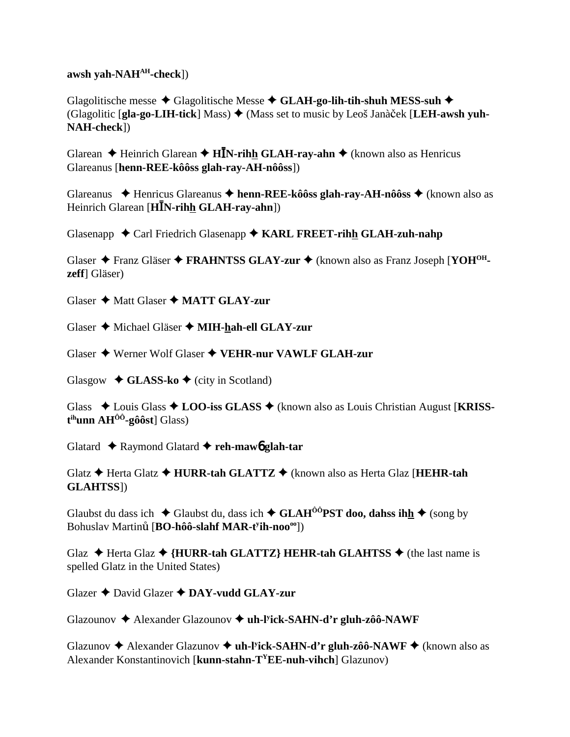awsh vah-NA $H^{AH}$ -check])

Glagolitische messe  $\triangle$  Glagolitische Messe  $\triangle$  GLAH-go-lih-tih-shuh MESS-suh  $\triangle$ (Glagolitic [gla-go-LIH-tick] Mass)  $\triangleq$  (Mass set to music by Leoš Janàček [LEH-awsh yuh-NAH-check])

Glarean  $\triangle$  Heinrich Glarean  $\triangle$  HIN-rihh GLAH-ray-ahn  $\triangle$  (known also as Henricus Glareanus [henn-REE-kôôss glah-ray-AH-nôôss])

Glareanus  $\blacklozenge$  Henricus Glareanus  $\blacklozenge$  henn-REE-kôôss glah-ray-AH-nôôss  $\blacklozenge$  (known also as Heinrich Glarean [HIN-rihh GLAH-ray-ahn])

Glasenapp ◆ Carl Friedrich Glasenapp ◆ KARL FREET-rihh GLAH-zuh-nahp

Glaser  $\triangle$  Franz Gläser  $\triangle$  FRAHNTSS GLAY-zur  $\triangle$  (known also as Franz Joseph [YOH<sup>OH</sup>**zeff** Gläser)

Glaser ◆ Matt Glaser ◆ MATT GLAY-zur

Glaser ◆ Michael Gläser ◆ MIH-hah-ell GLAY-zur

Glaser ♦ Werner Wolf Glaser ♦ VEHR-nur VAWLF GLAH-zur

Glasgow  $\triangleleft$  GLASS-ko  $\triangleleft$  (city in Scotland)

Glass  $\triangle$  Louis Glass  $\triangle$  LOO-iss GLASS  $\triangle$  (known also as Louis Christian August [KRISS- $\mathbf{t}^{\text{ih}}$ unn A $\mathbf{H}^{\hat{O}\hat{O}}$ -gôôst] Glass)

Glatard  $\triangle$  Raymond Glatard  $\triangle$  reh-maw glah-tar

Glatz  $\triangle$  Herta Glatz  $\triangle$  HURR-tah GLATTZ  $\triangle$  (known also as Herta Glaz [HEHR-tah **GLAHTSS**])

Glaubst du dass ich  $\triangle$  Glaubst du, dass ich  $\triangle$  GLAH<sup>00</sup>PST doo, dahss ihh  $\triangle$  (song by Bohuslav Martinů [BO-hôô-slahf MAR-t<sup>y</sup>ih-noo<sup>oo</sup>])

Glaz  $\triangle$  Herta Glaz  $\triangle$  {HURR-tah GLATTZ} HEHR-tah GLAHTSS  $\triangle$  (the last name is spelled Glatz in the United States)

Glazer  $\bigstar$  David Glazer  $\bigstar$  DAY-vudd GLAY-zur

Glazounov → Alexander Glazounov → uh-Fick-SAHN-d'r gluh-zôô-NAWF

Glazunov  $\triangle$  Alexander Glazunov  $\triangle$  uh-Fick-SAHN-d'r gluh-zôô-NAWF  $\triangle$  (known also as Alexander Konstantinovich [ $kunn-stahn-T<sup>Y</sup>EE-nuh-vihch$ ] Glazunov)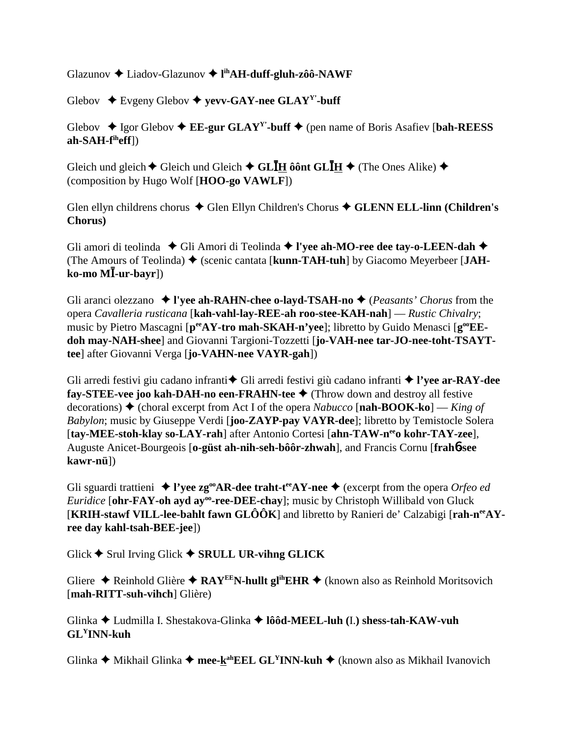Glazunov Liadov-Glazunov  **lihAH-duff-gluh-zôô-NAWF**

Glebov Evgeny Glebov **yevv-GAY-nee GLAYY'-buff**

Glebov  $\triangle$  Igor Glebov  $\triangle$  **EE-gur GLAY<sup>Y</sup>**-buff  $\triangle$  (pen name of Boris Asafiev [bah-REESS] **ah-SAH-fiheff**])

Gleich und gleich  $\blacklozenge$  Gleich und Gleich  $\blacklozenge$  GL**IH**  $\hat{\theta}$  ont GL**IH**  $\blacklozenge$  (The Ones Alike)  $\blacklozenge$ (composition by Hugo Wolf [**HOO-go VAWLF**])

Glen ellyn childrens chorus ◆ Glen Ellyn Children's Chorus ◆ GLENN ELL-linn (Children's **Chorus)**

Gli amori di teolinda ◆ Gli Amori di Teolinda ◆ l'yee ah-MO-ree dee tay-o-LEEN-dah ◆ (The Amours of Teolinda) ♦ (scenic cantata [kunn-TAH-tuh] by Giacomo Meyerbeer [JAH**ko-mo M-ur-bayr**])

Gli aranci olezzano **l'yee ah-RAHN-chee o-layd-TSAH-no** (*Peasants' Chorus* from the opera *Cavalleria rusticana* [**kah-vahl-lay-REE-ah roo-stee-KAH-nah**] — *Rustic Chivalry*; music by Pietro Mascagni [ $p^{ee}AY$ -tro mah-SKAH-n'yee]; libretto by Guido Menasci [ $g^{oe}EE$ **doh may-NAH-shee**] and Giovanni Targioni-Tozzetti [**jo-VAH-nee tar-JO-nee-toht-TSAYTtee**] after Giovanni Verga [**jo-VAHN-nee VAYR-gah**])

Gli arredi festivi giu cadano infranti<sup>+</sup> Gli arredi festivi giù cadano infranti <sup>+</sup> l'yee ar-RAY-dee **fay-STEE-vee joo kah-DAH-no een-FRAHN-tee** (Throw down and destroy all festive decorations) (choral excerpt from Act I of the opera *Nabucco* [**nah-BOOK-ko**] — *King of Babylon*; music by Giuseppe Verdi [**joo-ZAYP-pay VAYR-dee**]; libretto by Temistocle Solera [tay-MEE-stoh-klay so-LAY-rah] after Antonio Cortesi [ahn-TAW-n<sup>ee</sup>o kohr-TAY-zee], Auguste Anicet-Bourgeois [**o-güst ah-nih-seh-bôôr-zhwah**], and Francis Cornu [**frah**6**-see kawr-nü**])

Gli sguardi trattieni  $\blacklozenge$  **l'yee zg<sup>oo</sup>AR-dee traht-t<sup>ee</sup>AY-nee**  $\blacklozenge$  (excerpt from the opera *Orfeo ed Euridice* [ohr-FAY-oh ayd ay<sup>oo</sup>-ree-DEE-chay]; music by Christoph Willibald von Gluck [**KRIH-stawf VILL-lee-bahlt fawn GLÔÔK**] and libretto by Ranieri de' Calzabigi [**rah-neeAYree day kahl-tsah-BEE-jee**])

Glick  $\blacklozenge$  Srul Irving Glick  $\blacklozenge$  **SRULL UR-vihng GLICK** 

Gliere ◆ Reinhold Glière ◆ RAY<sup>EE</sup>N-hullt gl<sup>ih</sup>EHR ◆ (known also as Reinhold Moritsovich [**mah-RITT-suh-vihch**] Glière)

Glinka Ludmilla I. Shestakova-Glinka **lôôd-MEEL-luh (**I.**) shess-tah-KAW-vuh GLYINN-kuh**

Glinka **→** Mikhail Glinka → mee-k<sup>ah</sup>EEL GL<sup>Y</sup>INN-kuh → (known also as Mikhail Ivanovich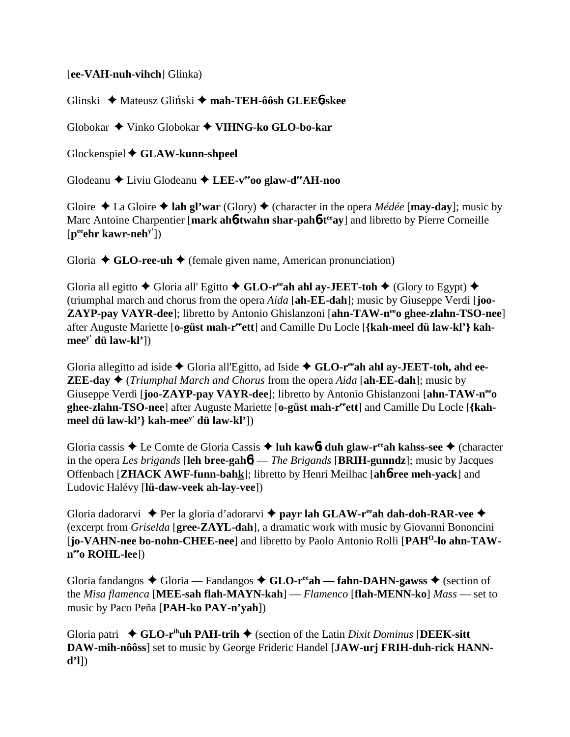## [**ee-VAH-nuh-vihch**] Glinka)

Glinski Mateusz Gli-ski **mah-TEH-ôôsh GLEE**6**-skee**

Globokar Vinko Globokar **VIHNG-ko GLO-bo-kar**

Glockenspiel **GLAW-kunn-shpeel**

Glodeanu Liviu Glodeanu **LEE-veeoo glaw-deeAH-noo**

Gloire  $\triangle$  La Gloire  $\triangle$  lah gl'war (Glory)  $\triangle$  (character in the opera *Médée* [**may-day**]; music by Marc Antoine Charpentier [mark ah**6**-twahn shar-pah**6**-t<sup>ee</sup>ay] and libretto by Pierre Corneille [**peeehr kawr-nehy'**])

Gloria  $\triangle$  **GLO-ree-uh**  $\triangle$  (female given name, American pronunciation)

Gloria all egitto  $\triangle$  Gloria all' Egitto  $\triangle$  GLO-r<sup>ee</sup>ah ahl ay-JEET-toh  $\triangle$  (Glory to Egypt)  $\triangle$ (triumphal march and chorus from the opera *Aida* [**ah-EE-dah**]; music by Giuseppe Verdi [**joo-ZAYP-pay VAYR-dee**]; libretto by Antonio Ghislanzoni [ahn-TAW-n<sup>ee</sup>o ghee-zlahn-TSO-nee] after Auguste Mariette [**o-güst mah-reeett**] and Camille Du Locle [**{kah-meel dü law-kl'} kahmeey' dü law-kl'**])

Gloria allegitto ad iside  $\blacklozenge$  Gloria all'Egitto, ad Iside  $\blacklozenge$  GLO-r<sup>ee</sup>ah ahl ay-JEET-toh, ahd ee-**ZEE-day**  $\triangleleft$  (*Triumphal March and Chorus* from the opera *Aida* [ah-**EE-dah**]; music by Giuseppe Verdi [**joo-ZAYP-pay VAYR-dee**]; libretto by Antonio Ghislanzoni [**ahn-TAW-neeo ghee-zlahn-TSO-nee**] after Auguste Mariette [**o-güst mah-reeett**] and Camille Du Locle [**{kahmeel dü law-kl'} kah-meey' dü law-kl'**])

Gloria cassis ◆ Le Comte de Gloria Cassis ◆ luh kaw6**t duh glaw-r<sup>ee</sup>ah kahss-see** ◆ (character in the opera *Les brigands* [**leh bree-gah**6] — *The Brigands* [**BRIH-gunndz**]; music by Jacques Offenbach [**ZHACK AWF-funn-bahk**]; libretto by Henri Meilhac [**ah**6**-ree meh-yack**] and Ludovic Halévy [**lü-daw-veek ah-lay-vee**])

Gloria dadorarvi  $\rightarrow$  Per la gloria d'adorarvi  $\rightarrow$  payr lah GLAW-r<sup>ee</sup>ah dah-doh-RAR-vee  $\rightarrow$ (excerpt from *Griselda* [**gree-ZAYL-dah**], a dramatic work with music by Giovanni Bononcini [jo-VAHN-nee bo-nohn-CHEE-nee] and libretto by Paolo Antonio Rolli [PAH<sup>O</sup>-lo ahn-TAW**neeo ROHL-lee**])

Gloria fandangos  $\triangle$  Gloria — Fandangos  $\triangle$  GLO-r<sup>ee</sup>ah — fahn-DAHN-gawss  $\triangle$  (section of the *Misa flamenca* [**MEE-sah flah-MAYN-kah**] — *Flamenco* [**flah-MENN-ko**] *Mass* — set to music by Paco Peña [**PAH-ko PAY-n'yah**])

Gloria patri **GLO-rihuh PAH-trih** (section of the Latin *Dixit Dominus* [**DEEK-sitt DAW-mih-nôôss**] set to music by George Frideric Handel [**JAW-urj FRIH-duh-rick HANNd'l**])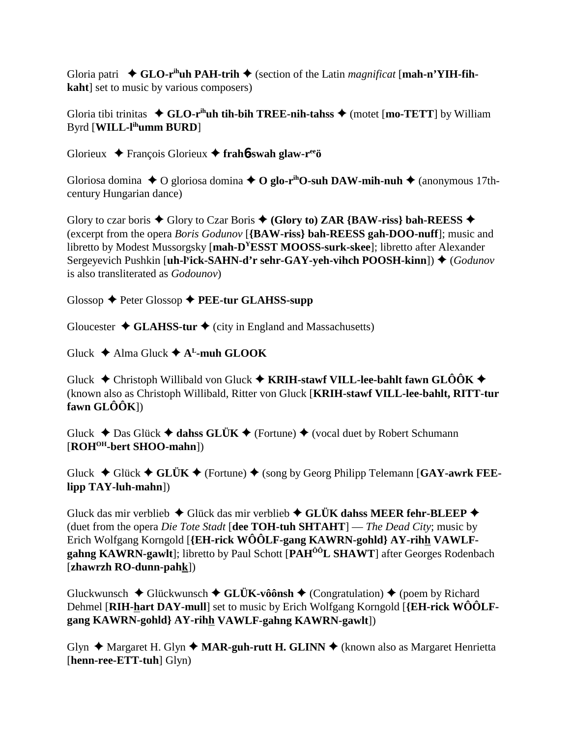Gloria patri  $\bullet$  GLO-r<sup>ih</sup>uh PAH-trih  $\bullet$  (section of the Latin *magnificat* [mah-n'YIH-fih**kaht**] set to music by various composers)

Gloria tibi trinitas  $\triangleleft$  GLO-r<sup>ih</sup>uh tih-bih TREE-nih-tahss  $\triangleleft$  (motet [mo-TETT] by William Byrd [**WILL-lihumm BURD**]

Glorieux François Glorieux **frah**6**-swah glaw-reeö**

Gloriosa domina  $\triangle$  O gloriosa domina  $\triangle$  O glo-r<sup>ih</sup>O-suh DAW-mih-nuh  $\triangle$  (anonymous 17thcentury Hungarian dance)

Glory to czar boris  $\triangle$  Glory to Czar Boris  $\triangle$  (Glory to) ZAR {BAW-riss} bah-REESS  $\triangle$ (excerpt from the opera *Boris Godunov* [**{BAW-riss} bah-REESS gah-DOO-nuff**]; music and libretto by Modest Mussorgsky [**mah-DYESST MOOSS-surk-skee**]; libretto after Alexander Sergeyevich Pushkin [**uh-l<sup>y</sup>ick-SAHN-d'r sehr-GAY-yeh-vihch POOSH-kinn**]) ♦ (*Godunov* is also transliterated as *Godounov*)

Glossop Peter Glossop **PEE-tur GLAHSS-supp**

Gloucester  $\triangleleft$  **GLAHSS-tur**  $\triangleleft$  (city in England and Massachusetts)

Gluck  $\triangle$  Alma Gluck  $\triangle$  A<sup>L</sup>-muh GLOOK

Gluck  $\blacklozenge$  Christoph Willibald von Gluck  $\blacklozenge$  **KRIH-stawf VILL-lee-bahlt fawn GLÔÔK**  $\blacklozenge$ (known also as Christoph Willibald, Ritter von Gluck [**KRIH-stawf VILL-lee-bahlt, RITT-tur fawn GLÔÔK**])

Gluck  $\triangle$  Das Glück  $\triangle$  dahss GLÜK  $\triangle$  (Fortune)  $\triangle$  (vocal duet by Robert Schumann [**ROHOH-bert SHOO-mahn**])

Gluck  $\blacklozenge$  Glück  $\blacklozenge$  **GLÜK**  $\blacklozenge$  (Fortune)  $\blacklozenge$  (song by Georg Philipp Telemann [GAY-awrk FEE**lipp TAY-luh-mahn**])

Gluck das mir verblieb ◆ Glück das mir verblieb ◆ GLÜK dahss MEER fehr-BLEEP ◆ (duet from the opera *Die Tote Stadt* [**dee TOH-tuh SHTAHT**] — *The Dead City*; music by Erich Wolfgang Korngold [**{EH-rick WÔÔLF-gang KAWRN-gohld} AY-rihh VAWLFgahng KAWRN-gawlt**]; libretto by Paul Schott [**PAHÔÔL SHAWT**] after Georges Rodenbach [**zhawrzh RO-dunn-pahk**])

Gluckwunsch  $\blacklozenge$  Glückwunsch  $\blacklozenge$  GLÜK-vôônsh  $\blacklozenge$  (Congratulation)  $\blacklozenge$  (poem by Richard Dehmel [**RIH-hart DAY-mull**] set to music by Erich Wolfgang Korngold [**{EH-rick WÔÔLFgang KAWRN-gohld} AY-rihh VAWLF-gahng KAWRN-gawlt**])

Glyn  $\triangle$  Margaret H. Glyn  $\triangle$  **MAR-guh-rutt H. GLINN**  $\triangle$  (known also as Margaret Henrietta [**henn-ree-ETT-tuh**] Glyn)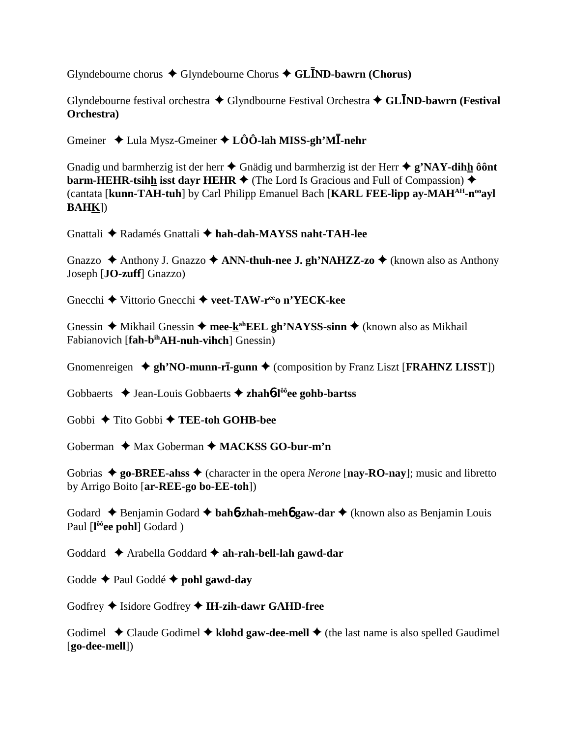Glyndebourne chorus Glyndebourne Chorus **GLND-bawrn (Chorus)**

Glyndebourne festival orchestra Glyndbourne Festival Orchestra **GLND-bawrn (Festival Orchestra)**

Gmeiner Lula Mysz-Gmeiner **LÔÔ-lah MISS-gh'M-nehr**

Gnadig und barmherzig ist der herr  $\triangle$  Gnädig und barmherzig ist der Herr  $\triangle$  **g'NAY-dihh ôônt barm-HEHR-tsihh isst dayr HEHR**  $\blacklozenge$  (The Lord Is Gracious and Full of Compassion)  $\blacklozenge$ (cantata [**kunn-TAH-tuh**] by Carl Philipp Emanuel Bach [**KARL FEE-lipp ay-MAHAH-nooayl BAHK**])

Gnattali Radamés Gnattali **hah-dah-MAYSS naht-TAH-lee**

Gnazzo **→** Anthony J. Gnazzo **→ ANN-thuh-nee J. gh'NAHZZ-zo →** (known also as Anthony Joseph [**JO-zuff**] Gnazzo)

Gnecchi Vittorio Gnecchi **veet-TAW-reeo n'YECK-kee**

Gnessin ◆ Mikhail Gnessin ◆ mee-kahEEL gh'NAYSS-sinn ◆ (known also as Mikhail Fabianovich [**fah-b<sup>ih</sup>AH-nuh-vihch**] Gnessin)

Gnomenreigen  $\triangleq$  gh'NO-munn-r**ī**-gunn  $\triangleq$  (composition by Franz Liszt [FRAHNZ LISST])

Gobbaerts Jean-Louis Gobbaerts **zhah**6**-lôôee gohb-bartss**

Gobbi Tito Gobbi **TEE-toh GOHB-bee**

Goberman **→** Max Goberman → MACKSS GO-bur-m'n

Gobrias  $\triangle$  go-BREE-ahss  $\triangle$  (character in the opera *Nerone* [nay-RO-nay]; music and libretto by Arrigo Boito [**ar-REE-go bo-EE-toh**])

Godard Benjamin Godard **bah**6**-zhah-meh**6 **gaw-dar** (known also as Benjamin Louis Paul [l<sup>ôô</sup>ee pohl] Godard)

Goddard Arabella Goddard **ah-rah-bell-lah gawd-dar**

Godde  $\triangle$  Paul Goddé  $\triangle$  pohl gawd-day

Godfrey  $\blacklozenge$  Isidore Godfrey  $\blacklozenge$  IH-zih-dawr GAHD-free

Godimel  $\triangle$  Claude Godimel  $\triangle$  klohd gaw-dee-mell  $\triangle$  (the last name is also spelled Gaudimel [**go-dee-mell**])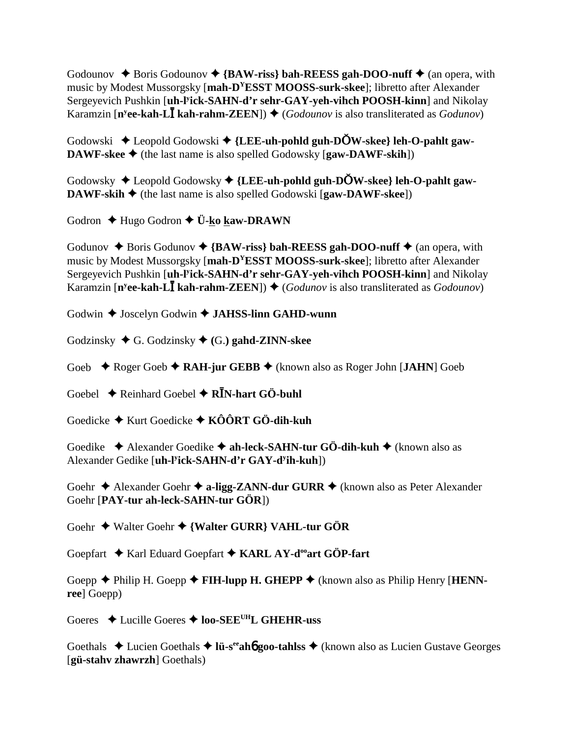Godounov  $\triangle$  Boris Godounov  $\triangle$  {BAW-riss} bah-REESS gah-DOO-nuff  $\triangle$  (an opera, with music by Modest Mussorgsky [**mah-DYESST MOOSS-surk-skee**]; libretto after Alexander Sergeyevich Pushkin [**uh-ly ick-SAHN-d'r sehr-GAY-yeh-vihch POOSH-kinn**] and Nikolay Karamzin [**n<sup>y</sup>ee-kah-LĪ kah-rahm-ZEEN**]) ◆ (*Godounov* is also transliterated as *Godunov*)

Godowski Leopold Godowski **{LEE-uh-pohld guh-DW-skee} leh-O-pahlt gaw-DAWF-skee**  $\blacklozenge$  (the last name is also spelled Godowsky [**gaw-DAWF-skih**])

Godowsky Leopold Godowsky **{LEE-uh-pohld guh-DW-skee} leh-O-pahlt gaw-DAWF-skih**  $\blacklozenge$  (the last name is also spelled Godowski [**gaw-DAWF-skee**])

Godron **←** Hugo Godron ← **Ü-ko kaw-DRAWN** 

Godunov  $\triangle$  Boris Godunov  $\triangle$  {BAW-riss} bah-REESS gah-DOO-nuff  $\triangle$  (an opera, with music by Modest Mussorgsky [**mah-DYESST MOOSS-surk-skee**]; libretto after Alexander Sergeyevich Pushkin [**uh-ly ick-SAHN-d'r sehr-GAY-yeh-vihch POOSH-kinn**] and Nikolay Karamzin [**n<sup>y</sup>ee-kah-LĪ kah-rahm-ZEEN**]) ♦ (*Godunov* is also transliterated as *Godounov*)

Godwin  $\triangle$  Joscelyn Godwin  $\triangle$  **JAHSS-linn GAHD-wunn** 

Godzinsky G. Godzinsky **(**G.**) gahd-ZINN-skee**

Goeb ◆ Roger Goeb ◆ RAH-jur GEBB ◆ (known also as Roger John [JAHN] Goeb

Goebel  $\rightarrow$  Reinhard Goebel  $\rightarrow$  R**I**N-hart GÖ-buhl

Goedicke Kurt Goedicke **KÔÔRT GÖ-dih-kuh**

Goedike  **→** Alexander Goedike **→ ah-leck-SAHN-tur GÖ-dih-kuh →** (known also as Alexander Gedike [**uh-ly ick-SAHN-d'r GAY-dy ih-kuh**])

Goehr **→** Alexander Goehr **→ a-ligg-ZANN-dur GURR** → (known also as Peter Alexander Goehr [**PAY-tur ah-leck-SAHN-tur GÖR**])

Goehr Walter Goehr **{Walter GURR} VAHL-tur GÖR**

Goepfart  $\triangle$  Karl Eduard Goepfart  $\triangle$  KARL AY-d<sup>oo</sup>art GÖP-fart

Goepp **→** Philip H. Goepp → **FIH-lupp H. GHEPP** → (known also as Philip Henry [**HENNree**] Goepp)

Goeres **→** Lucille Goeres → **loo-SEE<sup>UH</sup>L GHEHR-uss** 

Goethals  $\triangle$  Lucien Goethals  $\triangle$  l**ü-s<sup>ee</sup>ahb goo-tahlss**  $\triangle$  (known also as Lucien Gustave Georges [**gü-stahv zhawrzh**] Goethals)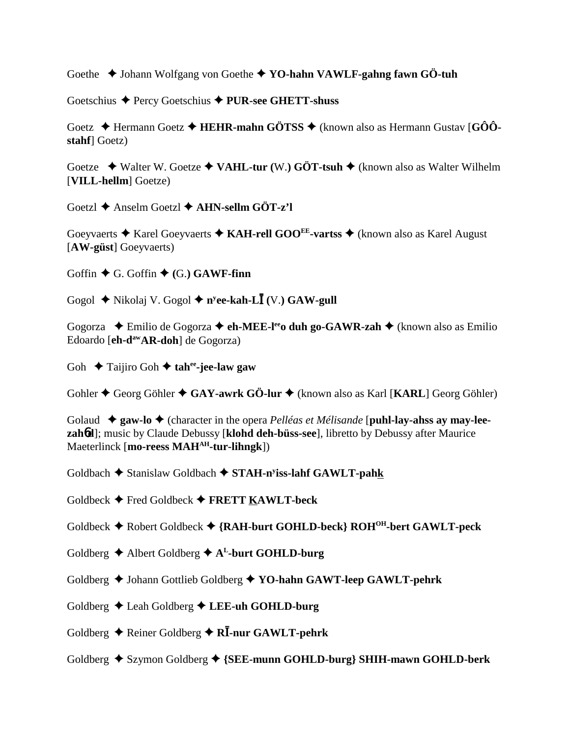Goethe  $\triangle$  Johann Wolfgang von Goethe  $\triangle$  YO-hahn VAWLF-gahng fawn GÖ-tuh

Goetschius ◆ Percy Goetschius ◆ PUR-see GHETT-shuss

Goetz  $\triangle$  Hermann Goetz  $\triangle$  HEHR-mahn GÖTSS  $\triangle$  (known also as Hermann Gustav [GÔÔstahf Goetz)

Goetze  $\rightarrow$  Walter W. Goetze  $\rightarrow$  VAHL-tur (W.) GÖT-tsuh  $\rightarrow$  (known also as Walter Wilhelm [VILL-hellm] Goetze)

Goetzl  $\triangle$  Anselm Goetzl  $\triangle$  AHN-sellm GÖT-z'l

Goeyvaerts  $\triangle$  Karel Goeyvaerts  $\triangle$  KAH-rell GOO<sup>EE</sup>-vartss  $\triangle$  (known also as Karel August [AW-güst] Goeyyaerts)

Goffin  $\blacklozenge$  G. Goffin  $\blacklozenge$  (G.) GAWF-finn

Gogol  $\triangle$  Nikolaj V. Gogol  $\triangle$  n<sup>y</sup>ee-kah-L**I** (V.) GAW-gull

Gogorza  $\triangle$  Emilio de Gogorza  $\triangle$  eh-MEE-l<sup>ee</sup> duh go-GAWR-zah  $\triangle$  (known also as Emilio Edoardo [eh-d<sup>aw</sup>AR-doh] de Gogorza)

Goh  $\triangle$  Taijiro Goh  $\triangle$  tahee-jee-law gaw

Gohler  $\blacklozenge$  Georg Göhler  $\blacklozenge$  GAY-awrk GÖ-lur  $\blacklozenge$  (known also as Karl [KARL] Georg Göhler)

Golaud  $\triangleq$  gaw-lo  $\triangleq$  (character in the opera *Pelléas et Mélisande* [puhl-lay-ahss ay may-leezahod]; music by Claude Debussy [klohd deh-büss-see], libretto by Debussy after Maurice Maeterlinck [mo-reess MAH<sup>AH</sup>-tur-lihngk])

Goldbach  $\triangle$  Stanislaw Goldbach  $\triangle$  STAH-n<sup>y</sup>iss-lahf GAWLT-pahk

Goldbeck  $\blacklozenge$  Fred Goldbeck  $\blacklozenge$  FRETT KAWLT-beck

Goldbeck  $\blacklozenge$  Robert Goldbeck  $\blacklozenge$  {RAH-burt GOHLD-beck} ROH<sup>OH</sup>-bert GAWLT-peck

- Goldberg  $\triangle$  Albert Goldberg  $\triangle$  A<sup>L</sup>-burt GOHLD-burg
- Goldberg ♦ Johann Gottlieb Goldberg ♦ YO-hahn GAWT-leep GAWLT-pehrk
- Goldberg  $\triangle$  Leah Goldberg  $\triangle$  LEE-uh GOHLD-burg
- Goldberg  $\triangle$  Reiner Goldberg  $\triangle$  RI-nur GAWLT-pehrk
- Goldberg ♦ Szymon Goldberg ♦ {SEE-munn GOHLD-burg} SHIH-mawn GOHLD-berk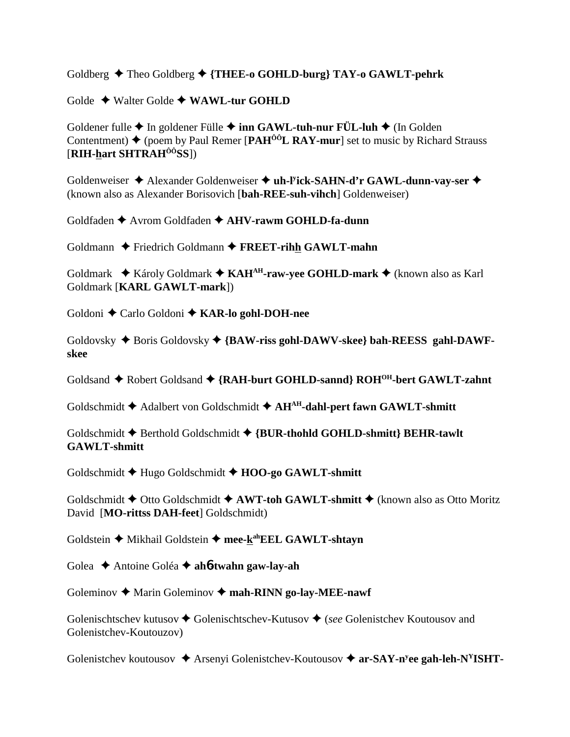Goldberg  $\triangle$  Theo Goldberg  $\triangle$  {THEE-0 GOHLD-burg} TAY-0 GAWLT-pehrk

Golde  $\triangle$  Walter Golde  $\triangle$  WAWL-tur GOHLD

Goldener fulle  $\triangle$  In goldener Fülle  $\triangle$  inn GAWL-tuh-nur FÜL-luh  $\triangle$  (In Golden Contentment)  $\triangle$  (poem by Paul Remer [PAH<sup> $\hat{0}$ ôL RAY-mur] set to music by Richard Strauss</sup>  $[RIH$ -hart SHTRA $H^{00}$ SS]

Goldenweiser → Alexander Goldenweiser → uh-Fick-SAHN-d'r GAWL-dunn-vay-ser → (known also as Alexander Borisovich [bah-REE-suh-vihch] Goldenweiser)

Goldfaden ♦ Avrom Goldfaden ♦ AHV-rawm GOHLD-fa-dunn

Goldmann  $\triangle$  Friedrich Goldmann  $\triangle$  FREET-rihh GAWLT-mahn

Goldmark ◆ Károly Goldmark ◆ KAH<sup>AH</sup>-raw-vee GOHLD-mark ◆ (known also as Karl Goldmark [KARL GAWLT-mark])

Goldoni  $\triangle$  Carlo Goldoni  $\triangle$  KAR-lo gohl-DOH-nee

Goldovsky  $\triangle$  Boris Goldovsky  $\triangle$  {BAW-riss gohl-DAWV-skee} bah-REESS gahl-DAWFskee

Goldsand ◆ Robert Goldsand ◆ {RAH-burt GOHLD-sannd} ROH<sup>OH</sup>-bert GAWLT-zahnt

Goldschmidt ◆ Adalbert von Goldschmidt ◆ AH<sup>AH</sup>-dahl-pert fawn GAWLT-shmitt

Goldschmidt ♦ Berthold Goldschmidt ♦ {BUR-thohld GOHLD-shmitt} BEHR-tawlt **GAWLT-shmitt** 

Goldschmidt → Hugo Goldschmidt → HOO-go GAWLT-shmitt

Goldschmidt  $\triangle$  Otto Goldschmidt  $\triangle$  AWT-toh GAWLT-shmitt  $\triangle$  (known also as Otto Moritz David [MO-rittss DAH-feet] Goldschmidt)

Goldstein ◆ Mikhail Goldstein ◆ mee-k<sup>ah</sup>EEL GAWLT-shtayn

Golea  $\triangle$  Antoine Goléa  $\triangle$  ahb-twahn gaw-lay-ah

Goleminov  $\triangle$  Marin Goleminov  $\triangle$  mah-RINN go-lay-MEE-nawf

Golenischtschev kutusov  $\blacklozenge$  Golenischtschev-Kutusov  $\blacklozenge$  (see Golenistchev Koutousov and Golenistchev-Koutouzov)

Golenistchev koutousov  $\triangle$  Arsenyi Golenistchev-Koutousov  $\triangle$  ar-SAY-n<sup>y</sup>ee gah-leh-N<sup>Y</sup>ISHT-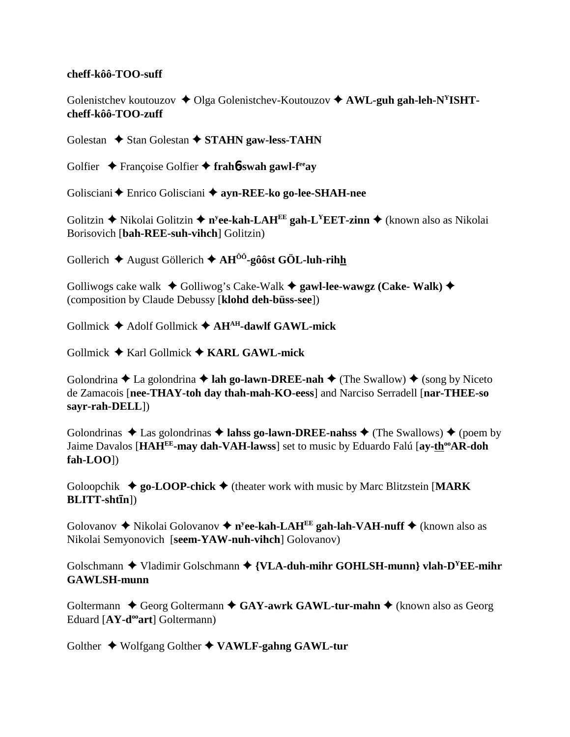## **cheff-kôô-TOO-suff**

Golenistchev koutouzov  $\triangleleft$  Olga Golenistchev-Koutouzov  $\triangleleft$  AWL-guh gah-leh-N<sup>Y</sup>ISHT**cheff-kôô-TOO-zuff**

Golestan  $\triangle$  Stan Golestan  $\triangle$  **STAHN gaw-less-TAHN** 

Golfier Françoise Golfier **frah**6**-swah gawl-feeay**

Golisciani Enrico Golisciani **ayn-REE-ko go-lee-SHAH-nee**

Golitzin ◆ Nikolai Golitzin ◆ n<sup>y</sup>ee-kah-LAH<sup>EE</sup> gah-L<sup>Y</sup>EET-zinn ◆ (known also as Nikolai Borisovich [**bah-REE-suh-vihch**] Golitzin)

Gollerich  $\triangle$  August Göllerich  $\triangle$  AH<sup> $\hat{0}$ o<sup>0</sup>-gôôst GÖL-luh-rihh</sup>

Golliwogs cake walk  $\triangleleft$  Golliwog's Cake-Walk  $\triangleleft$  gawl-lee-wawgz (Cake-Walk)  $\triangleleft$ (composition by Claude Debussy [**klohd deh-büss-see**])

Gollmick Adolf Gollmick **AHAH-dawlf GAWL-mick**

Gollmick Karl Gollmick **KARL GAWL-mick**

Golondrina  $\triangle$  La golondrina  $\triangle$  **lah go-lawn-DREE-nah**  $\triangle$  (The Swallow)  $\triangle$  (song by Niceto de Zamacois [**nee-THAY-toh day thah-mah-KO-eess**] and Narciso Serradell [**nar-THEE-so sayr-rah-DELL**])

Golondrinas  $\triangle$  Las golondrinas  $\triangle$  **lahss go-lawn-DREE-nahss**  $\triangle$  (The Swallows)  $\triangle$  (poem by Jaime Davalos [HAH<sup>EE</sup>-may dah-VAH-lawss] set to music by Eduardo Falú [ay-th<sup>oo</sup>AR-doh **fah-LOO**])

Goloopchik  $\triangleq$  go-LOOP-chick  $\triangleq$  (theater work with music by Marc Blitzstein [MARK] **BLITT-shtīn**])

Golovanov ◆ Nikolai Golovanov ◆ n<sup>y</sup>ee-kah-LAH<sup>EE</sup> gah-lah-VAH-nuff ◆ (known also as Nikolai Semyonovich [**seem-YAW-nuh-vihch**] Golovanov)

Golschmann ◆ Vladimir Golschmann ◆ {**VLA-duh-mihr GOHLSH-munn**} vlah-D<sup>Y</sup>EE-mihr **GAWLSH-munn**

Goltermann  $\triangle$  Georg Goltermann  $\triangle$  GAY-awrk GAWL-tur-mahn  $\triangle$  (known also as Georg Eduard [AY-d<sup>oo</sup>art] Goltermann)

Golther **→** Wolfgang Golther ◆ VAWLF-gahng GAWL-tur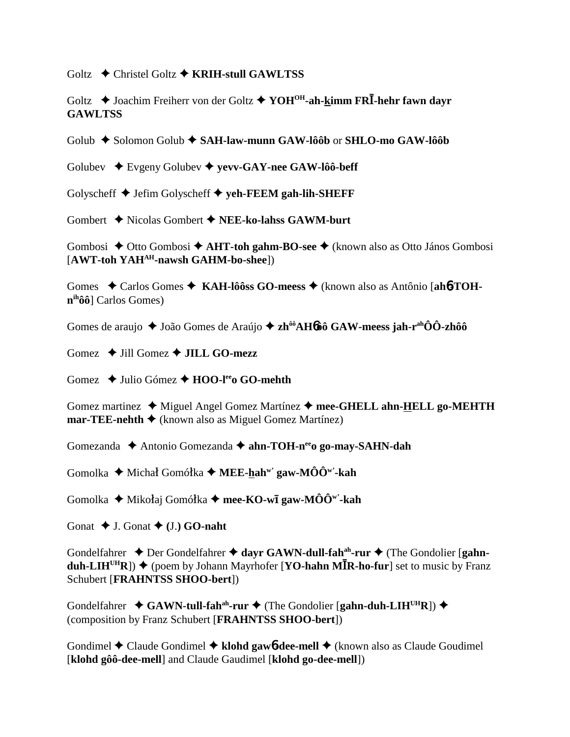Goltz **→** Christel Goltz **→ KRIH-stull GAWLTSS** 

Goltz  **→** Joachim Freiherr von der Goltz **→ YOH<sup>OH</sup>-ah-kimm FRI**-hehr fawn dayr **GAWLTSS**

Golub Solomon Golub **SAH-law-munn GAW-lôôb** or **SHLO-mo GAW-lôôb**

Golubev Evgeny Golubev **yevv-GAY-nee GAW-lôô-beff**

Golyscheff Jefim Golyscheff **yeh-FEEM gah-lih-SHEFF**

Gombert Nicolas Gombert **NEE-ko-lahss GAWM-burt**

Gombosi ◆ Otto Gombosi ◆ **AHT-toh gahm-BO-see** ◆ (known also as Otto János Gombosi [**AWT-toh YAHAH-nawsh GAHM-bo-shee**])

Gomes  $\triangle$  Carlos Gomes  $\triangle$  KAH-lôôss GO-meess  $\triangle$  (known also as Antônio [ah6-TOH**nihôô**] Carlos Gomes)

Gomes de araujo ◆ João Gomes de Araújo ◆ zh<sup>ôô</sup>AH6ôô GAW-meess jah-r<sup>ah</sup>ÔÔ-zhôô

Gomez  $\rightarrow$  Jill Gomez  $\rightarrow$  **JILL GO-mezz** 

Gomez **→** Julio Gómez → **HOO-l<sup>ee</sup>o GO-mehth** 

Gomez martinez  $\triangleleft$  Miguel Angel Gomez Martínez  $\triangleleft$  mee-GHELL ahn-HELL go-MEHTH **mar-TEE-nehth**  $\triangle$  (known also as Miguel Gomez Martínez)

Gomezanda **→** Antonio Gomezanda → ahn-TOH-n<sup>ee</sup>o go-may-SAHN-dah

Gomolka ◆ Michał Gomółka ◆ **MEE-hah<sup>w'</sup> gaw-MÔÔ<sup>w'</sup>-kah** 

Gomolka ◆ Mikołaj Gomółka ◆ **mee-KO-wī gaw-MÔÔ'''-kah** 

Gonat  $\blacklozenge$  J. Gonat  $\blacklozenge$  (J.) **GO-naht** 

Gondelfahrer  $\triangle$  Der Gondelfahrer  $\triangle$  dayr GAWN-dull-fah<sup>ah</sup>-rur  $\triangle$  (The Gondolier [gahn- $\text{duh-LIH}^{\text{UH}}R$ )  $\blacklozenge$  (poem by Johann Mayrhofer [**YO-hahn MR**-ho-fur] set to music by Franz Schubert [**FRAHNTSS SHOO-bert**])

Gondelfahrer ◆ GAWN-tull-fah<sup>ah</sup>-rur ◆ (The Gondolier [gahn-duh-LIH<sup>UH</sup>R]) ◆ (composition by Franz Schubert [**FRAHNTSS SHOO-bert**])

Gondimel **←** Claude Gondimel ← klohd gawb-dee-mell ← (known also as Claude Goudimel [**klohd gôô-dee-mell**] and Claude Gaudimel [**klohd go-dee-mell**])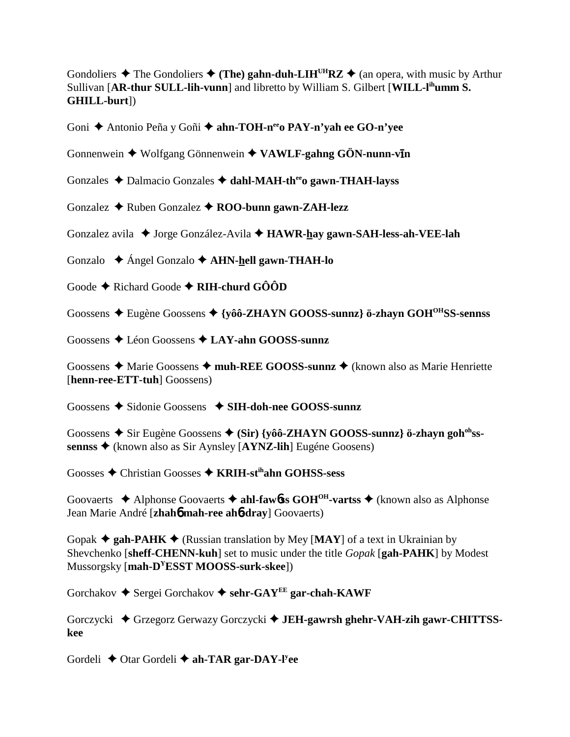Gondoliers  $\triangle$  The Gondoliers  $\triangle$  (The) gahn-duh-LIH<sup>UH</sup>RZ  $\triangle$  (an opera, with music by Arthur Sullivan [AR-thur SULL-lih-vunn] and libretto by William S. Gilbert [WILL-l<sup>ih</sup>umm S. GHILL-burt])

Goni ◆ Antonio Peña y Goñi ◆ ahn-TOH-n<sup>ee</sup>o PAY-n'yah ee GO-n'yee

Gonnenwein  $\blacklozenge$  Wolfgang Gönnenwein  $\blacklozenge$  VAWLF-gahng GÖN-nunn-v $\bar{\mathbf{u}}$ n

Gonzales  $\triangle$  Dalmacio Gonzales  $\triangle$  dahl-MAH-th<sup>ee</sup> gawn-THAH-layss

Gonzalez  $\triangle$  Ruben Gonzalez  $\triangle$  ROO-bunn gawn-ZAH-lezz

Gonzalez avila ◆ Jorge González-Avila ◆ HAWR-hay gawn-SAH-less-ah-VEE-lah

Gonzalo  $\triangle$  Ángel Gonzalo  $\triangle$  AHN-hell gawn-THAH-lo

Goode  $\triangle$  Richard Goode  $\triangle$  RIH-churd GÔÔD

Goossens  $\triangle$  Eugène Goossens  $\triangle$  {vôô-ZHAYN GOOSS-sunnz} ö-zhavn GOH<sup>OH</sup>SS-sennss

Goossens  $\triangle$  Léon Goossens  $\triangle$  LAY-ahn GOOSS-sunnz

Goossens  $\triangle$  Marie Goossens  $\triangle$  muh-REE GOOSS-sunnz  $\triangle$  (known also as Marie Henriette [henn-ree-ETT-tuh] Goossens)

Goossens  $\triangle$  Sidonie Goossens  $\triangle$  SIH-doh-nee GOOSS-sunnz

Goossens  $\triangle$  Sir Eugène Goossens  $\triangle$  (Sir) {vôô-ZHAYN GOOSS-sunnz} ö-zhavn goh<sup>oh</sup>sssennss ◆ (known also as Sir Aynsley [AYNZ-lih] Eugéne Goosens)

Goosses  $\triangle$  Christian Goosses  $\triangle$  KRIH-st<sup>ih</sup>ahn GOHSS-sess

Goovaerts  $\triangle$  Alphonse Goovaerts  $\triangle$  ahl-fawbes GOH<sup>OH</sup>-varts  $\triangle$  (known also as Alphonse Jean Marie André [zhaho mah-ree aho-dray] Goovaerts)

Gopak  $\triangle$  gah-PAHK  $\triangle$  (Russian translation by Mey [MAY] of a text in Ukrainian by Shevchenko [sheff-CHENN-kuh] set to music under the title *Gopak* [gah-PAHK] by Modest Mussorgsky [mah-D<sup>Y</sup>ESST MOOSS-surk-skee])

Gorchakov  $\triangle$  Sergei Gorchakov  $\triangle$  sehr-GAY<sup>EE</sup> gar-chah-KAWF

Gorczycki ◆ Grzegorz Gerwazy Gorczycki ◆ JEH-gawrsh ghehr-VAH-zih gawr-CHITTSSkee

Gordeli  $\triangle$  Otar Gordeli  $\triangle$  ah-TAR gar-DAY-Ivee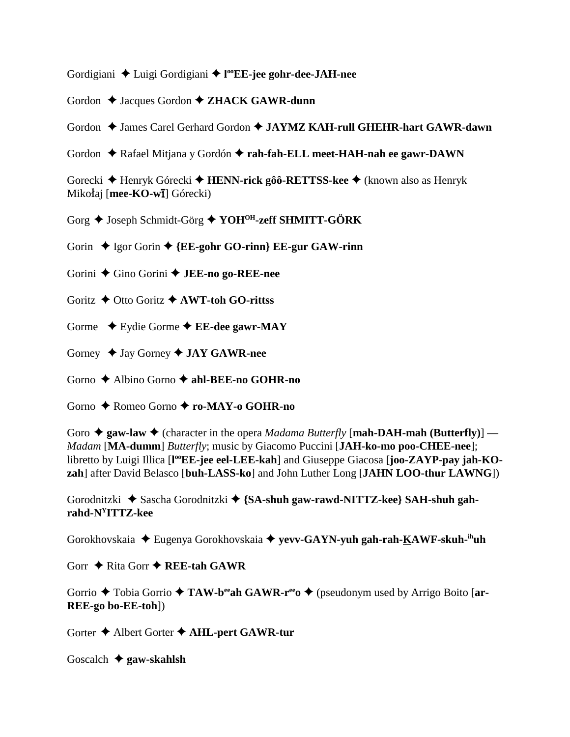Gordigiani ◆ Luigi Gordigiani ◆ l<sup>oo</sup>EE-jee gohr-dee-JAH-nee

Gordon  $\triangle$  Jacques Gordon  $\triangle$  **ZHACK GAWR-dunn** 

Gordon  $\triangle$  James Carel Gerhard Gordon  $\triangle$  JAYMZ KAH-rull GHEHR-hart GAWR-dawn

Gordon ◆ Rafael Mitjana y Gordón ◆ rah-fah-ELL meet-HAH-nah ee gawr-DAWN

Gorecki Henryk Górecki **HENN-rick gôô-RETTSS-kee** (known also as Henryk Mikołaj [**mee-KO-wī**] Górecki)

Gorg  $\bigstar$  Joseph Schmidt-Görg  $\bigstar$  YOH<sup>OH</sup>-zeff SHMITT-GÖRK

Gorin  $\triangle$  Igor Gorin  $\triangle$  {**EE-gohr GO-rinn**} **EE-gur GAW-rinn** 

Gorini Gino Gorini **JEE-no go-REE-nee**

Goritz **→** Otto Goritz **→ AWT-toh GO-rittss** 

Gorme  $\rightarrow$  Eydie Gorme  $\rightarrow$  **EE-dee gawr-MAY** 

Gorney  $\triangleq$  Jay Gorney  $\triangleq$  **JAY GAWR-nee** 

Gorno Albino Gorno **ahl-BEE-no GOHR-no**

Gorno Romeo Gorno **ro-MAY-o GOHR-no**

Goro  $\triangleq$  gaw-law  $\triangleq$  (character in the opera *Madama Butterfly* [**mah-DAH-mah** (**Butterfly**)] — *Madam* [**MA-dumm**] *Butterfly*; music by Giacomo Puccini [**JAH-ko-mo poo-CHEE-nee**]; libretto by Luigi Illica [l<sup>oo</sup>EE-jee eel-LEE-kah] and Giuseppe Giacosa [joo-ZAYP-pay jah-KO**zah**] after David Belasco [**buh-LASS-ko**] and John Luther Long [**JAHN LOO-thur LAWNG**])

Gorodnitzki  $\triangleq$  Sascha Gorodnitzki  $\triangleq$  {SA-shuh gaw-rawd-NITTZ-kee} SAH-shuh gah**rahd-NYITTZ-kee**

Gorokhovskaia Eugenya Gorokhovskaia **yevv-GAYN-yuh gah-rah-KAWF-skuh-ihuh**

Gorr  $\triangle$  Rita Gorr  $\triangle$  **REE-tah GAWR** 

Gorrio  $\triangle$  Tobia Gorrio  $\triangle$  TAW-b<sup>ee</sup>ah GAWR-r<sup>ee</sup>  $\triangle$  (pseudonym used by Arrigo Boito [ar-**REE-go bo-EE-toh**])

Gorter  $\triangle$  Albert Gorter  $\triangle$  AHL-pert GAWR-tur

Goscalch **gaw-skahlsh**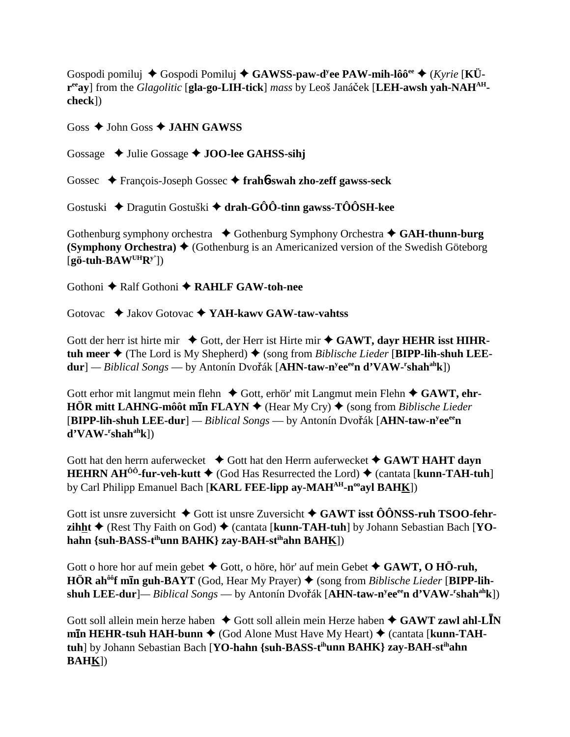Gospodi pomiluj  $\triangle$  Gospodi Pomiluj  $\triangle$  GAWSS-paw-d<sup>y</sup>ee PAW-mih-lôô<sup>ee</sup>  $\triangle$  (*Kyrie* [KÜreay] from the Glagolitic [gla-go-LIH-tick] mass by Leoš Janáček [LEH-awsh yah-NAH<sup>AH</sup> $check)$ 

Goss  $\triangle$  John Goss  $\triangle$  JAHN GAWSS

Gossage  $\triangleleft$  Julie Gossage  $\triangleleft$  JOO-lee GAHSS-sihj

Gossec  $\triangle$  François-Joseph Gossec  $\triangle$  frah**6-swah zho-zeff gawss-seck** 

Gostuski  $\triangle$  Dragutin Gostuški  $\triangle$  drah-GÔÔ-tinn gawss-TÔÔSH-kee

Gothenburg symphony orchestra  $\bullet$  Gothenburg Symphony Orchestra  $\bullet$  GAH-thunn-burg **(Symphony Orchestra)**  $\blacklozenge$  (Gothenburg is an Americanized version of the Swedish Göteborg  $[$ gö-tuh-BAW<sup>UH</sup>R<sup>y'</sup>])

Gothoni ◆ Ralf Gothoni ◆ RAHLF GAW-toh-nee

Gotovac  $\triangleleft$  Jakov Gotovac  $\triangleleft$  YAH-kawy GAW-taw-vahtss

Gott der herr ist hirte mir  $\triangleleft$  Gott, der Herr ist Hirte mir  $\triangleleft$  GAWT, dayr HEHR isst HIHRtuh meer  $\triangle$  (The Lord is My Shepherd)  $\triangle$  (song from *Biblische Lieder* [BIPP-lih-shuh LEE $dur$ ] — Biblical Songs — by Antonín Dvořák [AHN-taw-n<sup>y</sup>ee<sup>ee</sup>n d'VAW-'shah<sup>ah</sup>k])

Gott erhor mit langmut mein flehn  $\triangle$  Gott, erhör' mit Langmut mein Flehn  $\triangle$  GAWT, ehr- $\angle$ HÖR mitt LAHNG-môôt m $\overline{\text{In FLAYN}}$   $\triangle$  (Hear My Cry)  $\triangle$  (song from *Biblische Lieder*) [BIPP-lih-shuh LEE-dur] — Biblical Songs — by Antonín Dvořák [AHN-taw-n<sup>y</sup>ee<sup>ee</sup>n]  $d'VAW-rshah<sup>ah</sup>k$ ])

Gott hat den herrn auferwecket  $\triangleleft$  Gott hat den Herrn auferwecket  $\triangleleft$  GAWT HAHT dayn **HEHRN AH<sup>** $\hat{0}$ **<sup>0</sup>-fur-veh-kutt**  $\blacklozenge$  (God Has Resurrected the Lord)  $\blacklozenge$  (cantata [kunn-TAH-tuh]</sup> by Carl Philipp Emanuel Bach [KARL FEE-lipp ay-MAH<sup>AH</sup>-n<sup>oo</sup>ayl BAHK])

Gott ist unsre zuversicht  $\triangle$  Gott ist unsre Zuversicht  $\triangle$  GAWT isst  $\hat{O}$ ONSS-ruh TSOO-fehr**zihht**  $\triangle$  (Rest Thy Faith on God)  $\triangle$  (cantata [**kunn-TAH-tuh**] by Johann Sebastian Bach [YOhahn {suh-BASS-t<sup>ih</sup>unn BAHK} zay-BAH-st<sup>ih</sup>ahn BAH<u>K</u>])

Gott o hore hor auf mein gebet  $\triangle$  Gott, o höre, hör' auf mein Gebet  $\triangle$  GAWT, O HÖ-ruh, HÖR ah<sup>ôô</sup>f min guh-BAYT (God, Hear My Prayer)  $\blacklozenge$  (song from *Biblische Lieder* [BIPP-lihshuh LEE-dur]— Biblical Songs — by Antonín Dvořák [AHN-taw-n<sup>y</sup>ee<sup>ee</sup>n d'VAW-'shah<sup>ah</sup>k])

Gott soll allein mein herze haben  $\triangle$  Gott soll allein mein Herze haben  $\triangle$  GAWT zawl ahl-LIN min HEHR-tsuh HAH-bunn  $\blacklozenge$  (God Alone Must Have My Heart)  $\blacklozenge$  (cantata [kunn-TAHtuh] by Johann Sebastian Bach [YO-hahn {suh-BASS-t<sup>ih</sup>unn BAHK} zay-BAH-st<sup>ih</sup>ahn **BAHK])**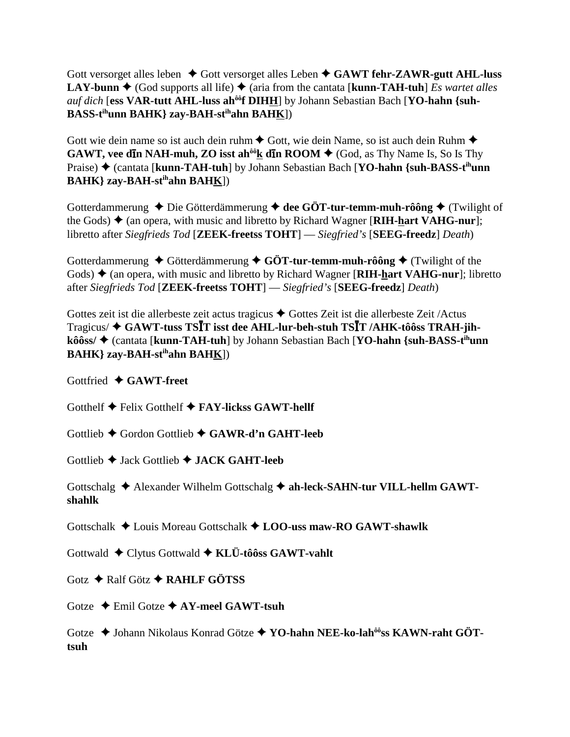Gott versorget alles leben  $\triangle$  Gott versorget alles Leben  $\triangle$  GAWT fehr-ZAWR-gutt AHL-luss **LAY-bunn**  $\triangle$  (God supports all life)  $\triangle$  (aria from the cantata [**kunn-TAH-tuh**] *Es wartet alles* auf dich [ess VAR-tutt AHL-luss ah<sup>ôô</sup>f DIHH] by Johann Sebastian Bach [YO-hahn {suh-**BASS-tihunn BAHK} zay-BAH-stihahn BAHK**])

Gott wie dein name so ist auch dein ruhm  $\triangle$  Gott, wie dein Name, so ist auch dein Ruhm  $\triangle$ **GAWT, vee din NAH-muh, ZO isst ah<sup>** $00$ **</sup>k din ROOM**  $\blacklozenge$  **(God, as Thy Name Is, So Is Thy** Praise) ◆ (cantata [kunn-TAH-tuh] by Johann Sebastian Bach [YO-hahn {suh-BASS-t<sup>ih</sup>unn **BAHK} zay-BAH-stihahn BAHK**])

Gotterdammerung  $\blacklozenge$  Die Götterdämmerung  $\blacklozenge$  dee GÖT-tur-temm-muh-rôông  $\blacklozenge$  (Twilight of the Gods)  $\triangleq$  (an opera, with music and libretto by Richard Wagner [**RIH-hart VAHG-nur**]; libretto after *Siegfrieds Tod* [**ZEEK-freetss TOHT**] — *Siegfried's* [**SEEG-freedz**] *Death*)

Gotterdammerung  $\blacklozenge$  Götterdämmerung  $\blacklozenge$  GÖT-tur-temm-muh-rôông  $\blacklozenge$  (Twilight of the Gods)  $\triangle$  (an opera, with music and libretto by Richard Wagner [**RIH-hart VAHG-nur**]; libretto after *Siegfrieds Tod* [**ZEEK-freetss TOHT**] — *Siegfried's* [**SEEG-freedz**] *Death*)

Gottes zeit ist die allerbeste zeit actus tragicus  $\triangle$  Gottes Zeit ist die allerbeste Zeit /Actus Tragicus/ **GAWT-tuss TST isst dee AHL-lur-beh-stuh TST /AHK-tôôss TRAH-jihkôôss/ ♦ (cantata [kunn-TAH-tuh**] by Johann Sebastian Bach [**YO-hahn {suh-BASS-t<sup>ih</sup>unn BAHK} zay-BAH-stihahn BAHK**])

Gottfried **GAWT-freet**

Gotthelf  $\blacklozenge$  Felix Gotthelf  $\blacklozenge$  FAY-lickss GAWT-hellf

Gottlieb Gordon Gottlieb **GAWR-d'n GAHT-leeb**

Gottlieb Jack Gottlieb **JACK GAHT-leeb**

Gottschalg  $\triangle$  Alexander Wilhelm Gottschalg  $\triangle$  ah-leck-SAHN-tur VILL-hellm GAWT**shahlk**

Gottschalk Louis Moreau Gottschalk **LOO-uss maw-RO GAWT-shawlk**

Gottwald Clytus Gottwald **KLÜ-tôôss GAWT-vahlt**

Gotz  $\rightarrow$  Ralf Götz  $\rightarrow$  RAHLF GÖTSS

Gotze Emil Gotze **AY-meel GAWT-tsuh**

Gotze  $\triangle$  Johann Nikolaus Konrad Götze  $\triangle$  YO-hahn NEE-ko-lah<sup>ôô</sup>ss KAWN-raht GÖT**tsuh**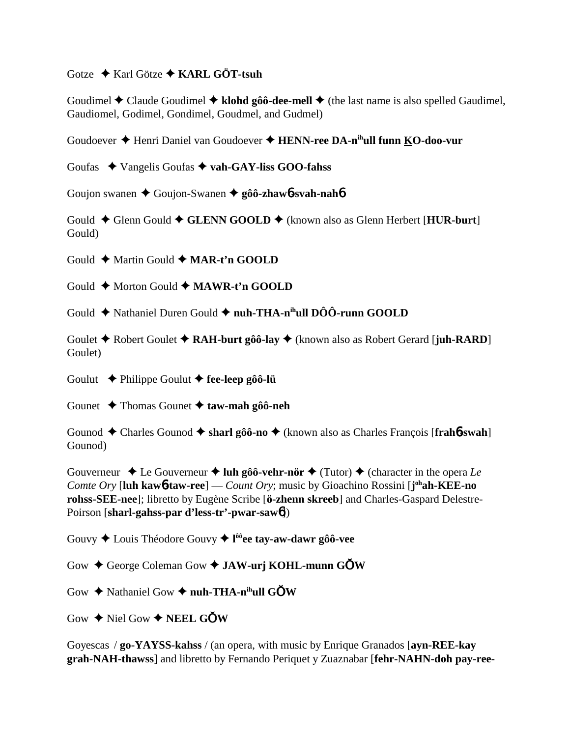Gotze **→** Karl Götze **→ KARL GÖT-tsuh** 

Goudimel  $\triangle$  Claude Goudimel  $\triangle$  klohd gôô-dee-mell  $\triangle$  (the last name is also spelled Gaudimel, Gaudiomel, Godimel, Gondimel, Goudmel, and Gudmel)

Goudoever Henri Daniel van Goudoever **HENN-ree DA-nihull funn KO-doo-vur**

Goufas Vangelis Goufas **vah-GAY-liss GOO-fahss**

Goujon swanen Goujon-Swanen **gôô-zhaw**6**-svah-nah**6

Gould ◆ Glenn Gould ◆ GLENN GOOLD ◆ (known also as Glenn Herbert [**HUR-burt**] Gould)

Gould **←** Martin Gould ← MAR-t'n GOOLD

Gould **←** Morton Gould ← **MAWR-t'n GOOLD** 

Gould ◆ Nathaniel Duren Gould ◆ nuh-THA-n<sup>ih</sup>ull DÔÔ-runn GOOLD

Goulet **→** Robert Goulet **→ RAH-burt gôô-lay** ◆ (known also as Robert Gerard [**juh-RARD**] Goulet)

Goulut Philippe Goulut **fee-leep gôô-lü**

Gounet Thomas Gounet **taw-mah gôô-neh**

Gounod  $\triangle$  Charles Gounod  $\triangle$  sharl gôô-no  $\triangle$  (known also as Charles François [frah**6**-swah] Gounod)

Gouverneur  $\triangle$  Le Gouverneur  $\triangle$  luh gôô-vehr-nör  $\triangle$  (Tutor)  $\triangle$  (character in the opera *Le Comte Ory* [**luh kaw**6**-taw-ree**] — *Count Ory*; music by Gioachino Rossini [**j ohah-KEE-no rohss-SEE-nee**]; libretto by Eugène Scribe [**ö-zhenn skreeb**] and Charles-Gaspard Delestre-Poirson [**sharl-gahss-par d'less-tr'-pwar-saw**6])

Gouvy Louis Théodore Gouvy **l ôôee tay-aw-dawr gôô-vee**

Gow ♦ George Coleman Gow ♦ **JAW-urj KOHL-munn GOW** 

Gow  $\triangle$  Nathaniel Gow  $\triangle$  nuh-THA-n<sup>ih</sup>ull GOW

 $Gow \triangleleft$  Niel  $Gow \triangleleft$  **NEEL GOW** 

Goyescas / **go-YAYSS-kahss** / (an opera, with music by Enrique Granados [**ayn-REE-kay grah-NAH-thawss**] and libretto by Fernando Periquet y Zuaznabar [**fehr-NAHN-doh pay-ree-**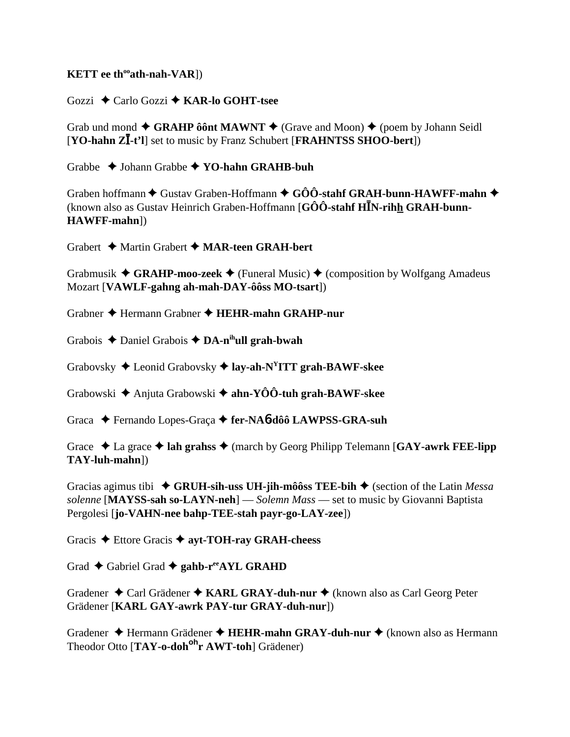## **KETT** ee th<sup>oo</sup>ath-nah-VAR])

Gozzi ◆ Carlo Gozzi ◆ KAR-lo GOHT-tsee

Grab und mond  $\blacklozenge$  GRAHP ô ônt MAWNT  $\blacklozenge$  (Grave and Moon)  $\blacklozenge$  (poem by Johann Seidl [YO-hahn ZI-t'l] set to music by Franz Schubert [FRAHNTSS SHOO-bert])

Grabbe  $\triangle$  Johann Grabbe  $\triangle$  YO-hahn GRAHB-buh

Graben hoffmann  $\blacklozenge$  Gustav Graben-Hoffmann  $\blacklozenge$  GÔÔ-stahf GRAH-bunn-HAWFF-mahn  $\blacklozenge$ (known also as Gustav Heinrich Graben-Hoffmann  $[G\hat{O}\hat{O}$ -stahf  $H\overline{I}N$ -rihh GRAH-bunn-HAWFF-mahn])

Grabert  $\triangleleft$  Martin Grabert  $\triangleleft$  MAR-teen GRAH-bert

Grabmusik  $\blacklozenge$  GRAHP-moo-zeek  $\blacklozenge$  (Funeral Music)  $\blacklozenge$  (composition by Wolfgang Amadeus Mozart [VAWLF-gahng ah-mah-DAY-ôôss MO-tsart])

Grabner  $\triangle$  Hermann Grabner  $\triangle$  HEHR-mahn GRAHP-nur

Grabois  $\triangle$  Daniel Grabois  $\triangle$  DA-n<sup>ih</sup>ull grah-bwah

Grabovsky  $\triangleleft$  Leonid Grabovsky  $\triangleleft$  lay-ah-N<sup>Y</sup>ITT grah-BAWF-skee

Grabowski  $\triangle$  Anjuta Grabowski  $\triangle$  ahn-YOO-tuh grah-BAWF-skee

Graca ← Fernando Lopes-Graça ← fer-NA**6-dôô LAWPSS-GRA-suh** 

Grace  $\triangle$  La grace  $\triangle$  lah grahss  $\triangle$  (march by Georg Philipp Telemann [GAY-awrk FEE-lipp] TAY-luh-mahn])

Gracias agimus tibi  $\triangleleft$  GRUH-sih-uss UH-jih-môôss TEE-bih  $\triangleleft$  (section of the Latin *Messa* solenne [MAYSS-sah so-LAYN-neh] — Solemn Mass — set to music by Giovanni Baptista Pergolesi [jo-VAHN-nee bahp-TEE-stah payr-go-LAY-zee])

Gracis  $\triangle$  Ettore Gracis  $\triangle$  ayt-TOH-ray GRAH-cheess

Grad  $\triangle$  Gabriel Grad  $\triangle$  gahb-r<sup>ee</sup>AYL GRAHD

Gradener  $\triangle$  Carl Grädener  $\triangle$  KARL GRAY-duh-nur  $\triangle$  (known also as Carl Georg Peter Grädener [KARL GAY-awrk PAY-tur GRAY-duh-nur])

Gradener ◆ Hermann Grädener ◆ HEHR-mahn GRAY-duh-nur ◆ (known also as Hermann Theodor Otto [TAY-o-doh<sup>oh</sup>r AWT-toh] Grädener)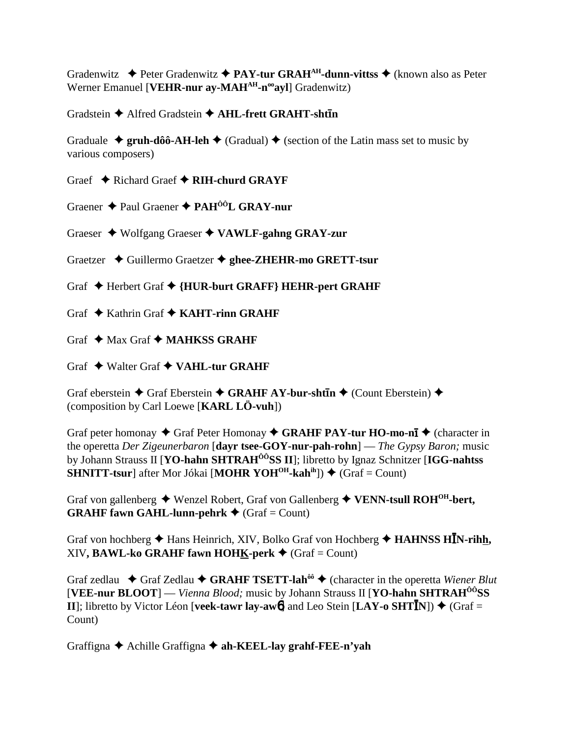Gradenwitz  $\triangleq$  Peter Gradenwitz  $\triangleq$  PAY-tur GRAH<sup>AH</sup>-dunn-vittss  $\triangleq$  (known also as Peter Werner Emanuel [VEHR-nur ay-MAH<sup>AH</sup>-n<sup>oo</sup>ayl] Gradenwitz)

Gradstein ◆ Alfred Gradstein ◆ AHL-frett GRAHT-shtin

Graduale  $\rightarrow$  gruh-dôô-AH-leh  $\rightarrow$  (Gradual)  $\rightarrow$  (section of the Latin mass set to music by various composers)

Graef  $\triangle$  Richard Graef  $\triangle$  RIH-churd GRAYF

Graener ◆ Paul Graener ◆ PAH<sup>ÔÔ</sup>L GRAY-nur

Graeser  $\blacklozenge$  Wolfgang Graeser  $\blacklozenge$  VAWLF-gahng GRAY-zur

Graetzer ◆ Guillermo Graetzer ◆ ghee-ZHEHR-mo GRETT-tsur

Graf ◆ Herbert Graf ◆ {HUR-burt GRAFF} HEHR-pert GRAHF

Graf  $\triangle$  Kathrin Graf  $\triangle$  KAHT-rinn GRAHF

Graf  $\triangle$  Max Graf  $\triangle$  MAHKSS GRAHF

Graf  $\triangle$  Walter Graf  $\triangle$  VAHL-tur GRAHF

Graf eberstein  $\blacklozenge$  Graf Eberstein  $\blacklozenge$  GRAHF AY-bur-shtin  $\blacklozenge$  (Count Eberstein)  $\blacklozenge$ (composition by Carl Loewe [KARL LÖ-vuh])

Graf peter homonay  $\triangle$  Graf Peter Homonay  $\triangle$  GRAHF PAY-tur HO-mo-nī  $\triangle$  (character in the operetta Der Zigeunerbaron [dayr tsee-GOY-nur-pah-rohn] — The Gypsy Baron; music by Johann Strauss II [YO-hahn SHTRAH<sup>ÔÔ</sup>SS II]; libretto by Ignaz Schnitzer [IGG-nahtss **SHNITT-tsur** after Mor Jókai [MOHR YOH<sup>OH</sup>-kah<sup>ih</sup>])  $\blacklozenge$  (Graf = Count)

Graf von gallenberg  $\blacklozenge$  Wenzel Robert, Graf von Gallenberg  $\blacklozenge$  VENN-tsull ROH<sup>OH</sup>-bert, **GRAHF fawn GAHL-lunn-pehrk**  $\triangleleft$  (Graf = Count)

Graf von hochberg  $\triangle$  Hans Heinrich, XIV, Bolko Graf von Hochberg  $\triangle$  HAHNSS HIN-rihh, XIV, BAWL-ko GRAHF fawn HOHK-perk  $\blacklozenge$  (Graf = Count)

Graf zedlau  $\triangle$  Graf Zedlau  $\triangle$  GRAHF TSETT-lah<sup> $\delta \hat{\theta}$ </sup> (character in the operetta Wiener Blut [VEE-nur BLOOT] — Vienna Blood; music by Johann Strauss II [YO-hahn SHTRAH<sup>00</sup>SS] II]; libretto by Victor Léon [veek-tawr lay-awol] and Leo Stein [LAY-o SHTIN])  $\blacklozenge$  (Graf = Count)

Graffigna  $\triangle$  Achille Graffigna  $\triangle$  ah-KEEL-lay grahf-FEE-n'vah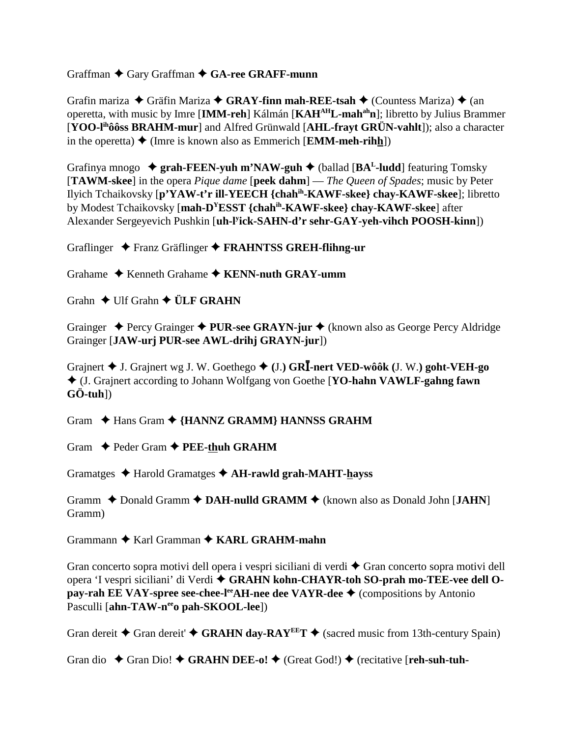Graffman  $\blacklozenge$  Gary Graffman  $\blacklozenge$  GA-ree GRAFF-munn

Grafin mariza  $\rightarrow$  Gräfin Mariza  $\rightarrow$  **GRAY-finn mah-REE-tsah**  $\rightarrow$  (Countess Mariza)  $\rightarrow$  (an operetta, with music by Imre [**IMM-reh**] Kálmán [**KAHAHL-mahahn**]; libretto by Julius Brammer [**YOO-lihôôss BRAHM-mur**] and Alfred Grünwald [**AHL-frayt GRÜN-vahlt**]); also a character in the operetta)  $\triangleleft$  (Imre is known also as Emmerich [**EMM-meh-rihh**])

Grafinya mnogo **grah-FEEN-yuh m'NAW-guh** (ballad [**BAL-ludd**] featuring Tomsky [**TAWM-skee**] in the opera *Pique dame* [**peek dahm**] — *The Queen of Spades*; music by Peter Ilyich Tchaikovsky [**p'YAW-t'r ill-YEECH {chahih-KAWF-skee} chay-KAWF-skee**]; libretto by Modest Tchaikovsky [**mah-DYESST {chahih-KAWF-skee} chay-KAWF-skee**] after Alexander Sergeyevich Pushkin [**uh-ly ick-SAHN-d'r sehr-GAY-yeh-vihch POOSH-kinn**])

Graflinger Franz Gräflinger **FRAHNTSS GREH-flihng-ur**

Grahame  $\triangle$  Kenneth Grahame  $\triangle$  KENN-nuth GRAY-umm

Grahn  $\triangle$  Ulf Grahn  $\triangle$  **ÜLF GRAHN** 

Grainger ◆ Percy Grainger ◆ PUR-see GRAYN-jur ◆ (known also as George Percy Aldridge Grainger [**JAW-urj PUR-see AWL-drihj GRAYN-jur**])

Grajnert J. Grajnert wg J. W. Goethego **(**J.**) GR-nert VED-wôôk (**J. W.**) goht-VEH-go** (J. Grajnert according to Johann Wolfgang von Goethe [**YO-hahn VAWLF-gahng fawn GÖ-tuh**])

Gram  $\triangle$  Hans Gram  $\triangle$  {HANNZ GRAMM} HANNSS GRAHM

Gram  $\rightarrow$  Peder Gram  $\rightarrow$  **PEE-thuh GRAHM** 

Gramatges  $\triangle$  Harold Gramatges  $\triangle$  AH-rawld grah-MAHT-hayss

Gramm  $\triangle$  Donald Gramm  $\triangle$  DAH-nulld GRAMM  $\triangle$  (known also as Donald John [JAHN] Gramm)

Grammann  $\triangle$  Karl Gramman  $\triangle$  KARL GRAHM-mahn

Gran concerto sopra motivi dell opera i vespri siciliani di verdi  $\triangle$  Gran concerto sopra motivi dell opera 'I vespri siciliani' di Verdi **GRAHN kohn-CHAYR-toh SO-prah mo-TEE-vee dell Opay-rah EE VAY-spree see-chee-l<sup>ee</sup>AH-nee dee VAYR-dee ◆** (compositions by Antonio Pasculli [**ahn-TAW-n<sup>ee</sup>o pah-SKOOL-lee**])

Gran dereit  $\blacklozenge$  Gran dereit'  $\blacklozenge$  **GRAHN day-RAY<sup>EE</sup>T**  $\blacklozenge$  (sacred music from 13th-century Spain)

Gran dio  $\blacklozenge$  Gran Dio!  $\blacklozenge$  GRAHN DEE-o!  $\blacklozenge$  (Great God!)  $\blacklozenge$  (recitative [**reh-suh-tuh-**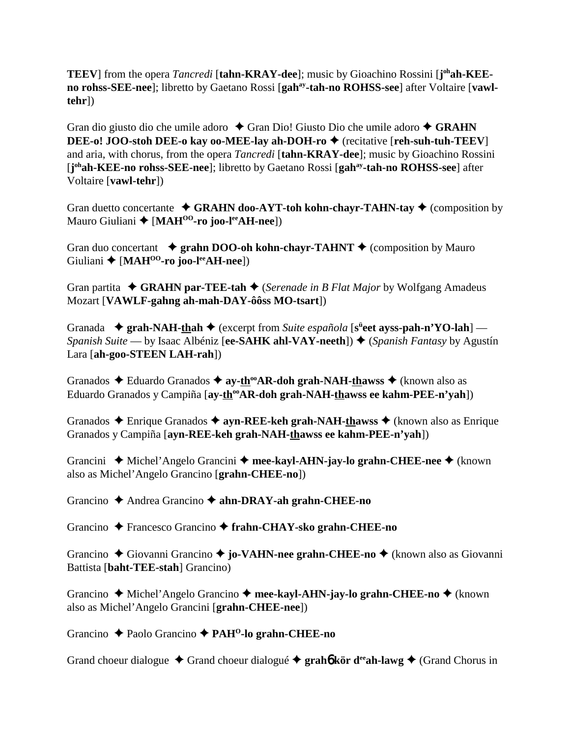**TEEV**] from the opera *Tancredi* [tahn-KRAY-dee]; music by Gioachino Rossini [j<sup>oh</sup>ah-KEEno rohss-SEE-nee]; libretto by Gaetano Rossi [gah<sup>ay</sup>-tah-no ROHSS-see] after Voltaire [vawl**tehr**])

Gran dio giusto dio che umile adoro ◆ Gran Dio! Giusto Dio che umile adoro ◆ GRAHN **DEE-o! JOO-stoh DEE-o kay oo-MEE-lay ah-DOH-ro ♦** (recitative [**reh-suh-tuh-TEEV**] and aria, with chorus, from the opera *Tancredi* [**tahn-KRAY-dee**]; music by Gioachino Rossini [j<sup>oh</sup>ah-KEE-no rohss-SEE-nee]; libretto by Gaetano Rossi [gah<sup>ay</sup>-tah-no ROHSS-see] after Voltaire [**vawl-tehr**])

Gran duetto concertante  $\triangle$  **GRAHN doo-AYT-toh kohn-chayr-TAHN-tay**  $\triangle$  (composition by Mauro Giuliani [**MAHOO-ro joo-leeAH-nee**])

Gran duo concertant  $\rightarrow$  grahn DOO-oh kohn-chayr-TAHNT  $\rightarrow$  (composition by Mauro Giuliani **+** [MAH<sup>00</sup>-ro joo-l<sup>ee</sup>AH-nee])

Gran partita **← GRAHN par-TEE-tah ←** (*Serenade in B Flat Major* by Wolfgang Amadeus Mozart [**VAWLF-gahng ah-mah-DAY-ôôss MO-tsart**])

Granada  $\rightarrow$  grah-NAH-thah  $\rightarrow$  (excerpt from *Suite española* [s<sup>ü</sup>eet ayss-pah-n'YO-lah] — *Spanish Suite* — by Isaac Albéniz [**ee-SAHK ahl-VAY-neeth**]) ♦ (*Spanish Fantasy* by Agustín Lara [**ah-goo-STEEN LAH-rah**])

Granados **→** Eduardo Granados → ay-th<sup>oo</sup>AR-doh grah-NAH-thawss → (known also as Eduardo Granados y Campiña [ay-th<sup>oo</sup>AR-doh grah-NAH-thawss ee kahm-PEE-n'yah])

Granados **→** Enrique Granados → **ayn-REE-keh grah-NAH-thawss** → (known also as Enrique Granados y Campiña [**ayn-REE-keh grah-NAH-thawss ee kahm-PEE-n'yah**])

Grancini ◆ Michel'Angelo Grancini ◆ mee-kayl-AHN-jay-lo grahn-CHEE-nee ◆ (known also as Michel'Angelo Grancino [**grahn-CHEE-no**])

Grancino Andrea Grancino **ahn-DRAY-ah grahn-CHEE-no**

Grancino Francesco Grancino **frahn-CHAY-sko grahn-CHEE-no**

Grancino ◆ Giovanni Grancino ◆ jo-VA**HN-nee grahn-CHEE-no** ◆ (known also as Giovanni Battista [**baht-TEE-stah**] Grancino)

Grancino **→** Michel'Angelo Grancino → mee-kayl-AHN-jay-lo grahn-CHEE-no → (known also as Michel'Angelo Grancini [**grahn-CHEE-nee**])

Grancino Paolo Grancino **PAHO-lo grahn-CHEE-no**

Grand choeur dialogue  $\triangle$  Grand choeur dialogué  $\triangle$  grah**6** kör d<sup>ee</sup>ah-lawg  $\triangle$  (Grand Chorus in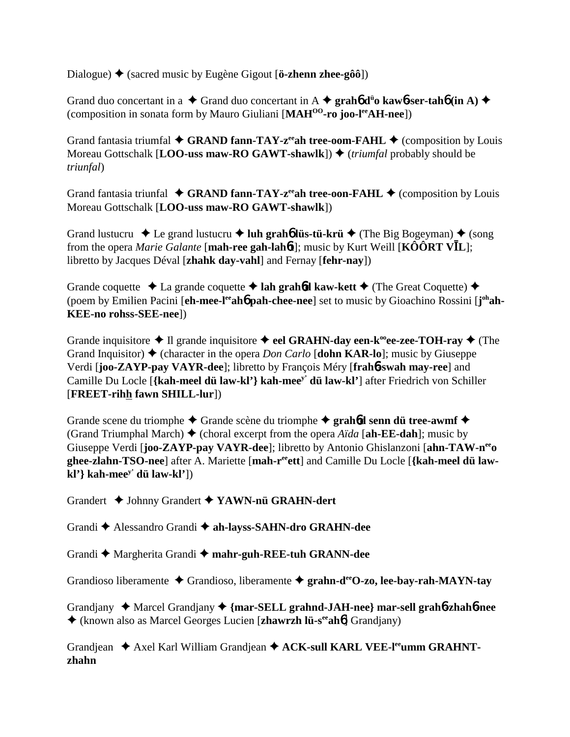Dialogue) (sacred music by Eugène Gigout [**ö-zhenn zhee-gôô**])

Grand duo concertant in a  $\triangle$  Grand duo concertant in A  $\triangle$  grah**6** d<sup>i</sup>o kaw**6-ser-tah6** (in A)  $\triangle$ (composition in sonata form by Mauro Giuliani [**MAHOO-ro joo-leeAH-nee**])

Grand fantasia triumfal  $\blacklozenge$  GRAND fann-TAY-z<sup>ee</sup>ah tree-oom-FAHL  $\blacklozenge$  (composition by Louis Moreau Gottschalk [**LOO-uss maw-RO GAWT-shawlk**])  $\blacklozenge$  *(triumfal* probably should be *triunfal*)

Grand fantasia triunfal  $\blacklozenge$  **GRAND fann-TAY-z<sup>ee</sup>ah tree-oon-FAHL**  $\blacklozenge$  (composition by Louis Moreau Gottschalk [**LOO-uss maw-RO GAWT-shawlk**])

Grand lustucru  $\triangle$  Le grand lustucru  $\triangle$  luh grah**6** lüs-tü-krü  $\triangle$  (The Big Bogeyman)  $\triangle$  (song from the opera *Marie Galante* [**mah-ree gah-lah**6**t**]; music by Kurt Weill [**KÔÔRT VL**]; libretto by Jacques Déval [**zhahk day-vahl**] and Fernay [**fehr-nay**])

Grande coquette  $\triangle$  La grande coquette  $\triangle$  lah grahod kaw-kett  $\triangle$  (The Great Coquette)  $\triangle$ (poem by Emilien Pacini [eh-mee-l<sup>ee</sup>ah**6** pah-chee-nee] set to music by Gioachino Rossini [j<sup>oh</sup>ah-**KEE-no rohss-SEE-nee**])

Grande inquisitore  $\triangle$  Il grande inquisitore  $\triangle$  eel GRAHN-day een-k<sup>oo</sup>ee-zee-TOH-ray  $\triangle$  (The Grand Inquisitor)  $\triangle$  (character in the opera *Don Carlo* [**dohn KAR-lo**]; music by Giuseppe Verdi [**joo-ZAYP-pay VAYR-dee**]; libretto by François Méry [**frah**6**-swah may-ree**] and Camille Du Locle [**{kah-meel dü law-kl'} kah-meey' dü law-kl'**] after Friedrich von Schiller [**FREET-rihh fawn SHILL-lur**])

Grande scene du triomphe  $\triangle$  Grande scène du triomphe  $\triangle$  **grah<sup>6</sup>d senn dü tree-awmf** (Grand Triumphal March)  $\blacklozenge$  (choral excerpt from the opera *Aïda* [ah-**EE-dah**]; music by Giuseppe Verdi [**joo-ZAYP-pay VAYR-dee**]; libretto by Antonio Ghislanzoni [**ahn-TAW-neeo ghee-zlahn-TSO-nee**] after A. Mariette [**mah-reeett**] and Camille Du Locle [**{kah-meel dü lawkl'} kah-meey' dü law-kl'**])

Grandert Johnny Grandert **YAWN-nü GRAHN-dert**

Grandi Alessandro Grandi **ah-layss-SAHN-dro GRAHN-dee**

Grandi  $\triangle$  Margherita Grandi  $\triangle$  mahr-guh-REE-tuh GRANN-dee

Grandioso liberamente Grandioso, liberamente **grahn-deeO-zo, lee-bay-rah-MAYN-tay**

Grandjany Marcel Grandjany **{mar-SELL grahnd-JAH-nee} mar-sell grah**6**-zhah**6**-nee** (known also as Marcel Georges Lucien [**zhawrzh lü-seeah**6] Grandjany)

Grandjean  $\triangle$  Axel Karl William Grandjean  $\triangle$  ACK-sull KARL VEE-l<sup>ee</sup>umm GRAHNT**zhahn**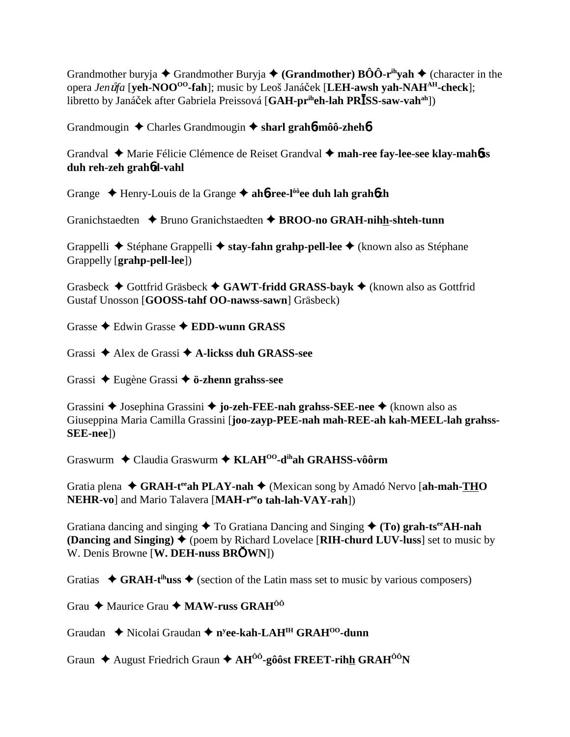Grandmother buryja  $\blacklozenge$  Grandmother Buryja  $\blacklozenge$  (Grandmother)  $B\hat{O}\hat{O}$ -r<sup>ih</sup>vah  $\blacklozenge$  (character in the opera *Jen*-*fa* [**yeh-NOOOO-fah**]; music by Leoš Janáek [**LEH-awsh yah-NAHAH-check**]; libretto by Janáček after Gabriela Preissová [GAH-pr<sup>ih</sup>eh-lah PR**ISS-saw-vah**<sup>ah</sup>])

Grandmougin Charles Grandmougin **sharl grah**6**-môô-zheh**6

Grandval Marie Félicie Clémence de Reiset Grandval **mah-ree fay-lee-see klay-mah**6**ss duh reh-zeh grah**6**d-vahl**

Grange Henry-Louis de la Grange **ah**6**-ree-lôôee duh lah grah**6**zh**

Granichstaedten **→** Bruno Granichstaedten → BROO-no GRAH-nihh-shteh-tunn

Grappelli Stéphane Grappelli **stay-fahn grahp-pell-lee** (known also as Stéphane Grappelly [**grahp-pell-lee**])

Grasbeck **→** Gottfrid Gräsbeck **→ GAWT-fridd GRASS-bayk** → (known also as Gottfrid Gustaf Unosson [**GOOSS-tahf OO-nawss-sawn**] Gräsbeck)

Grasse  $\triangle$  Edwin Grasse  $\triangle$  **EDD-wunn GRASS** 

Grassi Alex de Grassi **A-lickss duh GRASS-see**

Grassi Eugène Grassi **ö-zhenn grahss-see**

Grassini Josephina Grassini **jo-zeh-FEE-nah grahss-SEE-nee** (known also as Giuseppina Maria Camilla Grassini [**joo-zayp-PEE-nah mah-REE-ah kah-MEEL-lah grahss-SEE-nee**])

Graswurm Claudia Graswurm **KLAHOO-dihah GRAHSS-vôôrm**

Gratia plena  $\triangle$  GRAH-t<sup>ee</sup>ah PLAY-nah  $\triangle$  (Mexican song by Amadó Nervo [ah-mah-THO **NEHR-vo**] and Mario Talavera [MAH-re<sup>e</sup>o tah-lah-VAY-rah])

Gratiana dancing and singing  $\triangle$  To Gratiana Dancing and Singing  $\triangle$  (To) grah-ts<sup>ee</sup>AH-nah **(Dancing and Singing)**  $\blacklozenge$  (poem by Richard Lovelace [RIH-churd LUV-luss] set to music by W. Denis Browne [**W. DEH-nuss BRWN**])

Gratias  $\triangleleft$  GRAH-t<sup>ih</sup>uss  $\triangleleft$  (section of the Latin mass set to music by various composers)

Grau **←** Maurice Grau ← MAW-russ GRAH<sup>ÔÔ</sup>

Graudan ◆ Nicolai Graudan ◆ n<sup>y</sup>ee-kah-LAH<sup>IH</sup> GRAH<sup>00</sup>-dunn

Graun  $\triangle$  August Friedrich Graun  $\triangle$  AH<sup>ÔÔ</sup>-gôôst FREET-rihh GRAH<sup>ÔÔ</sup>N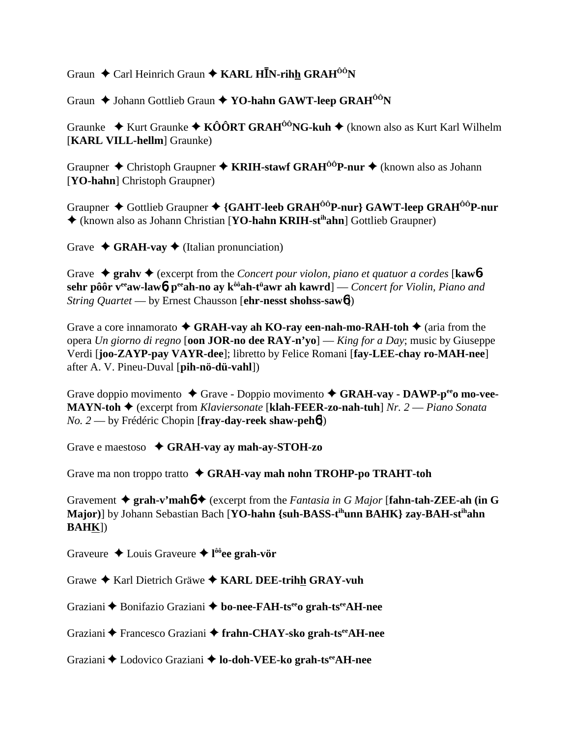Graun ◆ Carl Heinrich Graun ◆ KARL H**I**N-rihh GRAH<sup>ÔÔ</sup>N

Graun  $\blacklozenge$  Johann Gottlieb Graun  $\blacklozenge$  YO-hahn GAWT-leep GRAH<sup>ÔÔ</sup>N

Graunke **→** Kurt Graunke ◆ KÔÔRT GRAH<sup>ÔÔ</sup>NG-kuh ◆ (known also as Kurt Karl Wilhelm [**KARL VILL-hellm**] Graunke)

Graupner **→** Christoph Graupner → **KRIH-stawf GRAH<sup>ÔÔ</sup>P-nur →** (known also as Johann [**YO-hahn**] Christoph Graupner)

Graupner Gottlieb Graupner **{GAHT-leeb GRAHÔÔP-nur} GAWT-leep GRAHÔÔP-nur** (known also as Johann Christian [**YO-hahn KRIH-stihahn**] Gottlieb Graupner)

Grave  $\triangleleft$  **GRAH-vav**  $\triangleleft$  (Italian pronunciation)

Grave  $\triangle$  grahv  $\triangle$  (excerpt from the *Concert pour violon, piano et quatuor a cordes* [**kaw6sehr pôôr veeaw-law**6**, peeah-no ay kôôah-tü awr ah kawrd**] — *Concert for Violin, Piano and String Quartet* — by Ernest Chausson [**ehr-nesst shohss-saw**6])

Grave a core innamorato  $\triangleleft$  GRAH-vay ah KO-ray een-nah-mo-RAH-toh  $\triangleq$  (aria from the opera *Un giorno di regno* [**oon JOR-no dee RAY-n'yo**] — *King for a Day*; music by Giuseppe Verdi [**joo-ZAYP-pay VAYR-dee**]; libretto by Felice Romani [**fay-LEE-chay ro-MAH-nee**] after A. V. Pineu-Duval [**pih-nö-dü-vahl**])

Grave doppio movimento  $\blacklozenge$  Grave - Doppio movimento  $\blacklozenge$  GRAH-vay - DAWP-p<sup>ee</sup>o mo-vee-**MAYN-toh** (excerpt from *Klaviersonate* [**klah-FEER-zo-nah-tuh**] *Nr. 2* — *Piano Sonata No. 2* — by Frédéric Chopin [**fray-day-reek shaw-peh**6])

Grave e maestoso **GRAH-vay ay mah-ay-STOH-zo**

Grave ma non troppo tratto **GRAH-vay mah nohn TROHP-po TRAHT-toh**

Gravement  $\triangle$  grah-v'mah $\phi$  (excerpt from the *Fantasia in G Major* [fahn-tah-ZEE-ah (in G **Major)**] by Johann Sebastian Bach [**YO-hahn {suh-BASS-tihunn BAHK} zay-BAH-stihahn BAHK**])

Graveure Louis Graveure **l ôôee grah-vör**

Grawe Karl Dietrich Gräwe **KARL DEE-trihh GRAY-vuh**

Graziani Bonifazio Graziani **bo-nee-FAH-tseeo grah-tseeAH-nee**

Graziani **←** Francesco Graziani ← frahn-CHAY-sko grah-ts<sup>ee</sup>AH-nee

Graziani ◆ Lodovico Graziani ◆ lo-doh-VEE-ko grah-ts<sup>ee</sup>AH-nee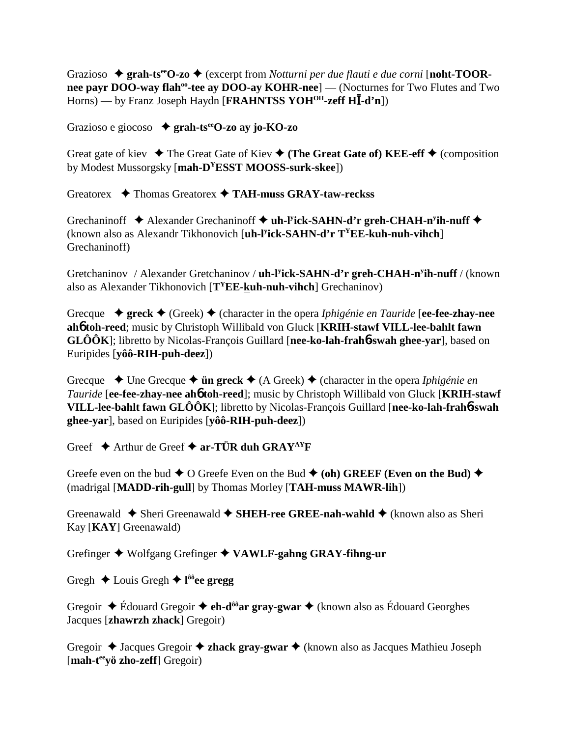Grazioso  $\triangle$  grah-ts<sup>ee</sup>O-zo  $\triangle$  (excerpt from *Notturni per due flauti e due corni* [noht-TOOR**nee payr DOO-way flah<sup>oo</sup>-tee ay DOO-ay KOHR-nee**] — (Nocturnes for Two Flutes and Two Horns) — by Franz Joseph Haydn [**FRAHNTSS YOH<sup>OH</sup>-zeff HI**-d'n])

Grazioso e giocoso **grah-tseeO-zo ay jo-KO-zo**

Great gate of kiev  $\blacklozenge$  The Great Gate of Kiev  $\blacklozenge$  (The Great Gate of) KEE-eff  $\blacklozenge$  (composition by Modest Mussorgsky [**mah-DYESST MOOSS-surk-skee**])

Greatorex Thomas Greatorex **TAH-muss GRAY-taw-reckss**

Grechaninoff  $\triangle$  Alexander Grechaninoff  $\triangle$  uh-l<sup>y</sup>ick-SAHN-d'r greh-CHAH-n<sup>y</sup>ih-nuff  $\triangle$ (known also as Alexandr Tikhonovich [**uh-ly ick-SAHN-d'r TYEE-kuh-nuh-vihch**] Grechaninoff)

Gretchaninov / Alexander Gretchaninov / uh-l<sup>y</sup>ick-SAHN-d'r greh-CHAH-n<sup>y</sup>ih-nuff / (known also as Alexander Tikhonovich [**TYEE-kuh-nuh-vihch**] Grechaninov)

Grecque  $\rightarrow$  greck  $\rightarrow$  (Greek)  $\rightarrow$  (character in the opera *Iphigénie en Tauride* [ee-fee-zhay-nee **ah**6 **toh-reed**; music by Christoph Willibald von Gluck [**KRIH-stawf VILL-lee-bahlt fawn GLÔÔK**]; libretto by Nicolas-François Guillard [**nee-ko-lah-frah**6**-swah ghee-yar**], based on Euripides [**yôô-RIH-puh-deez**])

Grecque  $\rightarrow$  Une Grecque  $\rightarrow$  **ün greck**  $\rightarrow$  (A Greek)  $\rightarrow$  (character in the opera *Iphigénie en Tauride* [**ee-fee-zhay-nee ah**6 **toh-reed**]; music by Christoph Willibald von Gluck [**KRIH-stawf VILL-lee-bahlt fawn GLÔÔK**]; libretto by Nicolas-François Guillard [**nee-ko-lah-frah**6**-swah ghee-yar**], based on Euripides [**yôô-RIH-puh-deez**])

Greef  $\triangle$  Arthur de Greef  $\triangle$  ar-TUR duh GRAY<sup>AY</sup>F

Greefe even on the bud  $\blacklozenge$  O Greefe Even on the Bud  $\blacklozenge$  (oh) GREEF (Even on the Bud)  $\blacklozenge$ (madrigal [**MADD-rih-gull**] by Thomas Morley [**TAH-muss MAWR-lih**])

Greenawald ◆ Sheri Greenawald ◆ SHEH-ree GREE-nah-wahld ◆ (known also as Sheri Kay [**KAY**] Greenawald)

Grefinger Wolfgang Grefinger **VAWLF-gahng GRAY-fihng-ur**

Gregh  $\triangle$  Louis Gregh  $\triangle$  l<sup>ôô</sup>ee gregg

Gregoir  $\triangle$  Édouard Gregoir  $\triangle$  eh-d<sup>ôô</sup>ar gray-gwar  $\triangle$  (known also as Édouard Georghes Jacques [**zhawrzh zhack**] Gregoir)

Gregoir  $\triangle$  Jacques Gregoir  $\triangle$  **zhack gray-gwar**  $\triangle$  (known also as Jacques Mathieu Joseph [mah-t<sup>ee</sup>yö zho-zeff] Gregoir)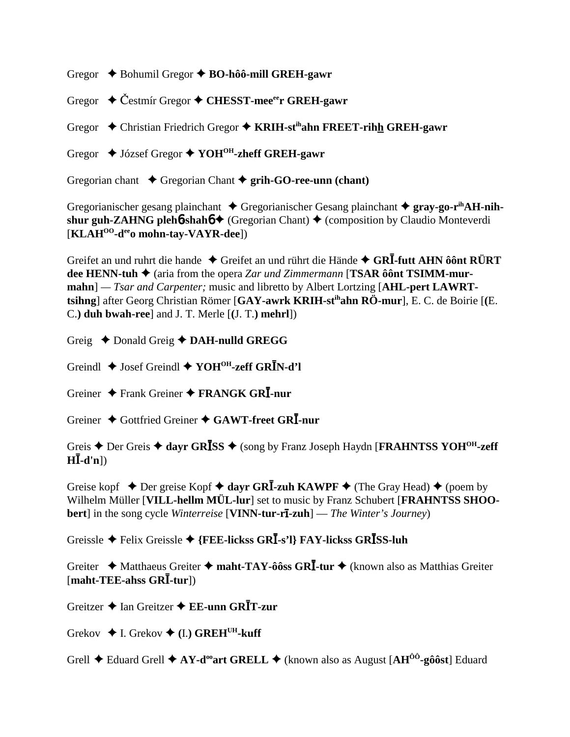Gregor Bohumil Gregor **BO-hôô-mill GREH-gawr**

Gregor  $\div$  Čestmír Gregor  $\div$  CHESST-mee<sup>ee</sup>r GREH-gawr

Gregor Christian Friedrich Gregor **KRIH-stihahn FREET-rihh GREH-gawr**

Gregor József Gregor **YOHOH-zheff GREH-gawr**

Gregorian chant  $\triangle$  Gregorian Chant  $\triangle$  grih-GO-ree-unn (chant)

Gregorianischer gesang plainchant ◆ Gregorianischer Gesang plainchant ◆ gray-go-r<sup>ih</sup>AH-nih**shur guh-ZAHNG pleh<sup>6</sup>-shah<sup>6</sup> <del>♦</del> (Gregorian Chant)**  $\blacklozenge$  **(composition by Claudio Monteverdi**) [**KLAHOO-deeo mohn-tay-VAYR-dee**])

Greifet an und ruhrt die hande  $\triangle$  Greifet an und rührt die Hände  $\triangle$  GRI-futt AHN ôônt RÜRT **dee HENN-tuh ◆** (aria from the opera *Zar und Zimmermann* [**TSAR ôônt TSIMM-murmahn**] *— Tsar and Carpenter;* music and libretto by Albert Lortzing [**AHL-pert LAWRTtsihng**] after Georg Christian Römer [**GAY-awrk KRIH-stihahn RÖ-mur**], E. C. de Boirie [**(**E. C.**) duh bwah-ree**] and J. T. Merle [**(**J. T.**) mehrl**])

Greig  $\triangle$  Donald Greig  $\triangle$  DAH-nulld GREGG

Greindl  $\triangle$  Josef Greindl  $\triangle$  YOH<sup>OH</sup>-zeff GR**I**N-d'l

Greiner Frank Greiner **FRANGK GR-nur**

Greiner Gottfried Greiner **GAWT-freet GR-nur**

Greis Der Greis **dayr GRSS** (song by Franz Joseph Haydn [**FRAHNTSS YOHOH-zeff**  $H\bar{L}$ -d'n])

Greise kopf  $\triangle$  Der greise Kopf  $\triangle$  dayr GR**I**-zuh KAWPF  $\triangle$  (The Gray Head)  $\triangle$  (poem by Wilhelm Müller [**VILL-hellm MÜL-lur**] set to music by Franz Schubert [**FRAHNTSS SHOObert**] in the song cycle *Winterreise* [**VINN-tur-rī-zuh**] — *The Winter's Journey*)

Greissle ◆ Felix Greissle ◆ {FEE-lickss GR**I**-s'l} FAY-lickss GR**I**SS-luh

Greiter ◆ Matthaeus Greiter ◆ maht-TAY-ôôss GR**I**-tur ◆ (known also as Matthias Greiter [**maht-TEE-ahss GR-tur**])

Greitzer Ian Greitzer **EE-unn GRT-zur**

Grekov  $\triangleleft$  I. Grekov  $\triangleleft$  (I.) GREH<sup>UH</sup>-kuff

Grell **←** Eduard Grell **← AY-d<sup>oo</sup>art GRELL** ← (known also as August [AH<sup>ÔÔ</sup>-gôôst] Eduard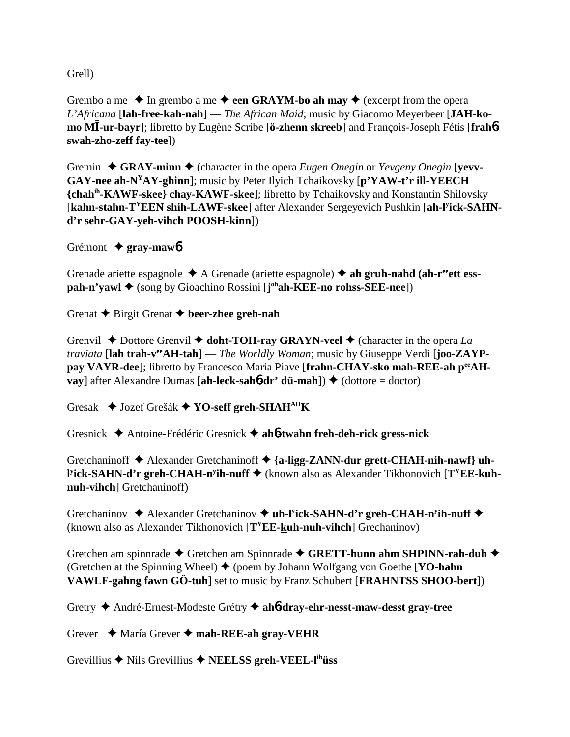Grell)

Grembo a me  $\triangle$  In grembo a me  $\triangle$  **een GRAYM-bo ah may**  $\triangle$  (excerpt from the opera *L'Africana* [**lah-free-kah-nah**] — *The African Maid*; music by Giacomo Meyerbeer [**JAH-komo M-ur-bayr**]; libretto by Eugène Scribe [**ö-zhenn skreeb**] and François-Joseph Fétis [**frah**6 **swah-zho-zeff fay-tee**])

Gremin  $\triangle$  GRAY-minn  $\triangle$  (character in the opera *Eugen Onegin* or *Yevgeny Onegin* [yevv-**GAY-nee ah-NYAY-ghinn**]; music by Peter Ilyich Tchaikovsky [**p'YAW-t'r ill-YEECH {chahih-KAWF-skee} chay-KAWF-skee**]; libretto by Tchaikovsky and Konstantin Shilovsky [**kahn-stahn-TYEEN shih-LAWF-skee**] after Alexander Sergeyevich Pushkin [**ah-ly ick-SAHNd'r sehr-GAY-yeh-vihch POOSH-kinn**])

Grémont **gray-maw**6

Grenade ariette espagnole  $\triangle$  A Grenade (ariette espagnole)  $\triangle$  ah gruh-nahd (ah-r<sup>ee</sup>ett ess**pah-n'yawl ♦** (song by Gioachino Rossini [**j**<sup>oh</sup>**ah-KEE-no rohss-SEE-nee**])

Grenat  $\triangle$  Birgit Grenat  $\triangle$  beer-zhee greh-nah

Grenvil  $\blacklozenge$  Dottore Grenvil  $\blacklozenge$  doht-TOH-ray GRAYN-veel  $\blacklozenge$  (character in the opera *La traviata* [**lah trah-veeAH-tah**] — *The Worldly Woman*; music by Giuseppe Verdi [**joo-ZAYP**pay VAYR-dee]; libretto by Francesco Maria Piave [frahn-CHAY-sko mah-REE-ah peeAH**vay**] after Alexandre Dumas [**ah-leck-sahb-dr' dü-mah**])  $\blacklozenge$  (dottore = doctor)

Gresak Jozef Grešák **YO-seff greh-SHAHAHK**

Gresnick Antoine-Frédéric Gresnick **ah**6**-twahn freh-deh-rick gress-nick**

Gretchaninoff  $\blacklozenge$  Alexander Gretchaninoff  $\blacklozenge$  {a-ligg-ZANN-dur grett-CHAH-nih-nawf} uh-**Pick-SAHN-d'r greh-CHAH-n<sup>y</sup>ih-nuff** ◆ (known also as Alexander Tikhonovich [**T<sup>Y</sup>EE-kuhnuh-vihch**] Gretchaninoff)

Gretchaninov  $\triangle$  Alexander Gretchaninov  $\triangle$  uh-l<sup>y</sup>ick-SAHN-d'r greh-CHAH-n<sup>y</sup>ih-nuff  $\triangle$ (known also as Alexander Tikhonovich [**TYEE-kuh-nuh-vihch**] Grechaninov)

Gretchen am spinnrade  $\blacklozenge$  Gretchen am Spinnrade  $\blacklozenge$  GRETT-hunn ahm SHPINN-rah-duh  $\blacklozenge$ (Gretchen at the Spinning Wheel)  $\blacklozenge$  (poem by Johann Wolfgang von Goethe [**YO-hahn**] **VAWLF-gahng fawn GÖ-tuh**] set to music by Franz Schubert [**FRAHNTSS SHOO-bert**])

Gretry André-Ernest-Modeste Grétry **ah**6**-dray-ehr-nesst-maw-desst gray-tree**

Grever María Grever **mah-REE-ah gray-VEHR**

Grevillius  $\triangle$  Nils Grevillius  $\triangle$  **NEELSS** greh-VEEL-l<sup>ih</sup>üss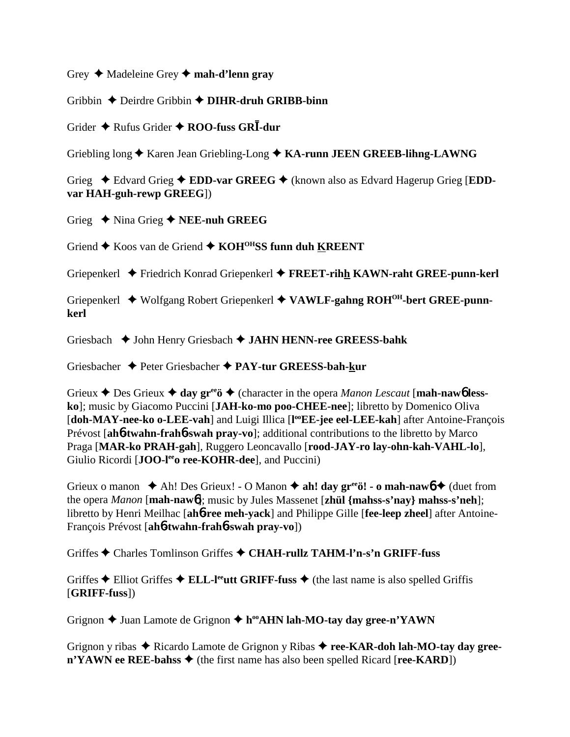Grey Madeleine Grey **mah-d'lenn gray**

Gribbin Deirdre Gribbin **DIHR-druh GRIBB-binn**

Grider  $\triangle$  Rufus Grider  $\triangle$  ROO-fuss GRI-dur

Griebling long  $\triangle$  Karen Jean Griebling-Long  $\triangle$  KA-runn JEEN GREEB-lihng-LAWNG

Grieg  $\triangle$  Edvard Grieg  $\triangle$  **EDD-var GREEG**  $\triangle$  (known also as Edvard Hagerup Grieg [**EDDvar HAH-guh-rewp GREEG**])

Grieg  $\rightarrow$  Nina Grieg  $\rightarrow$  **NEE-nuh GREEG** 

Griend  $\blacklozenge$  Koos van de Griend  $\blacklozenge$  KOH<sup>OH</sup>SS funn duh KREENT

Griepenkerl Friedrich Konrad Griepenkerl **FREET-rihh KAWN-raht GREE-punn-kerl**

Griepenkerl Wolfgang Robert Griepenkerl **VAWLF-gahng ROHOH-bert GREE-punnkerl**

Griesbach  $\blacklozenge$  John Henry Griesbach  $\blacklozenge$  JAHN HENN-ree GREESS-bahk

Griesbacher Peter Griesbacher **PAY-tur GREESS-bah-kur**

Grieux  $\triangle$  Des Grieux  $\triangle$  day gr<sup>ee</sup>ö  $\triangle$  (character in the opera *Manon Lescaut* [mah-naw6 less**ko**]; music by Giacomo Puccini [**JAH-ko-mo poo-CHEE-nee**]; libretto by Domenico Oliva [doh-MAY-nee-ko o-LEE-vah] and Luigi Illica [l<sup>oo</sup>EE-jee eel-LEE-kah] after Antoine-François Prévost [**ah**6**-twahn-frah**6**-swah pray-vo**]; additional contributions to the libretto by Marco Praga [**MAR-ko PRAH-gah**], Ruggero Leoncavallo [**rood-JAY-ro lay-ohn-kah-VAHL-lo**], Giulio Ricordi [**JOO-l<sup>ee</sup>o ree-KOHR-dee**], and Puccini)

Grieux o manon  $\triangleleft$  Ah! Des Grieux! - O Manon  $\triangleleft$  ah! day gr<sup>ee</sup>ö! - o mah-naw $\phi \triangleleft$  (duet from the opera *Manon* [**mah-naw**6]; music by Jules Massenet [**zhül {mahss-s'nay} mahss-s'neh**]; libretto by Henri Meilhac [**ah**6**-ree meh-yack**] and Philippe Gille [**fee-leep zheel**] after Antoine-François Prévost [**ah**6**-twahn-frah**6**-swah pray-vo**])

Griffes Charles Tomlinson Griffes **CHAH-rullz TAHM-l'n-s'n GRIFF-fuss**

Griffes  $\triangle$  Elliot Griffes  $\triangle$  ELL-l<sup>ee</sup>utt GRIFF-fuss  $\triangle$  (the last name is also spelled Griffis [**GRIFF-fuss**])

Grignon **→** Juan Lamote de Grignon → h<sup>oo</sup>AHN lah-MO-tay day gree-n'YAWN

Grignon y ribas  $\triangle$  Ricardo Lamote de Grignon y Ribas  $\triangle$  ree-KAR-doh lah-MO-tay day gree- $\mathbf{n'YAWN}$  ee REE-bahss  $\blacklozenge$  (the first name has also been spelled Ricard [**ree-KARD**])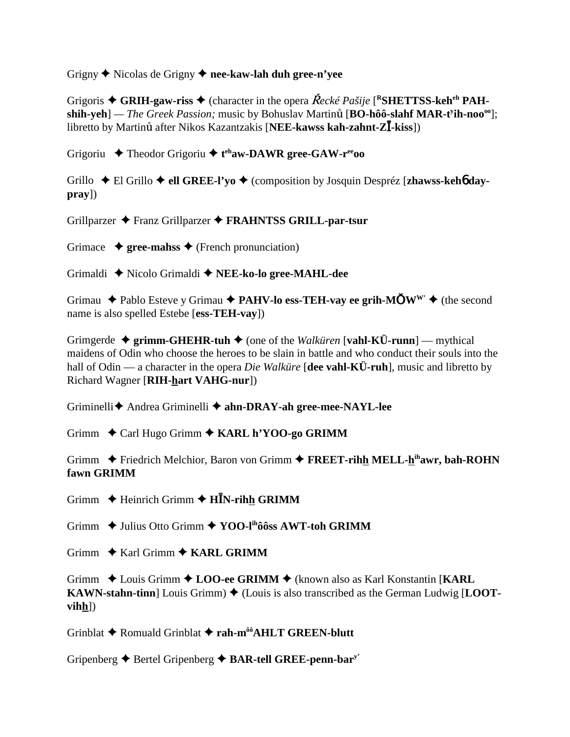Grigny  $\triangle$  Nicolas de Grigny  $\triangle$  nee-kaw-lah duh gree-n'vee

Grigoris  $\triangle$  GRIH-gaw-riss  $\triangle$  (character in the opera  $\check{R}$ ecké Pašije [<sup>R</sup>SHETTSS-keh<sup>eh</sup> PAHshih-yeh] — The Greek Passion; music by Bohuslav Martinů [BO-hôô-slahf MAR-t'ih-noo<sup>oo</sup>]; libretto by Martinu after Nikos Kazantzakis [NEE-kawss kah-zahnt-ZI-kiss])

Grigoriu  $\triangle$  Theodor Grigoriu  $\triangle$  t<sup>eh</sup>aw-DAWR gree-GAW-r<sup>ee</sup>00

Grillo  $\div$  El Grillo  $\div$  ell GREE-l'vo  $\div$  (composition by Josquin Despréz [zhawss-keho day $pray)$ 

Grillparzer ◆ Franz Grillparzer ◆ FRAHNTSS GRILL-par-tsur

Grimace  $\rightarrow$  gree-mahss  $\rightarrow$  (French pronunciation)

Grimaldi ◆ Nicolo Grimaldi ◆ NEE-ko-lo gree-MAHL-dee

Grimau  $\triangle$  Pablo Esteve y Grimau  $\triangle$  PAHV-lo ess-TEH-vay ee grih-M $\bullet$ W<sup>w</sup>  $\triangle$  (the second name is also spelled Estebe [ess-TEH-vay])

Grimgerde  $\triangleq$  grimm-GHEHR-tuh  $\triangleq$  (one of the Walkuren [vahl-KÜ-runn] — mythical maidens of Odin who choose the heroes to be slain in battle and who conduct their souls into the hall of Odin — a character in the opera *Die Walküre* [dee vahl-KÜ-ruh], music and libretto by Richard Wagner [RIH-hart VAHG-nur])

Griminelli ← Andrea Griminelli ← ahn-DRAY-ah gree-mee-NAYL-lee

Grimm  $\triangle$  Carl Hugo Grimm  $\triangle$  KARL h'YOO-go GRIMM

Grimm  $\div$  Friedrich Melchior, Baron von Grimm  $\div$  FREET-rihh MELL-h<sup>ih</sup>awr, bah-ROHN fawn GRIMM

Grimm  $\triangle$  Heinrich Grimm  $\triangle$  H $\bar{I}$ N-rihh GRIMM

Grimm  $\rightarrow$  Julius Otto Grimm  $\rightarrow$  YOO-I<sup>ih</sup>ôôss AWT-toh GRIMM

Grimm  $\triangle$  Karl Grimm  $\triangle$  KARL GRIMM

Grimm  $\triangle$  Louis Grimm  $\triangle$  LOO-ee GRIMM  $\triangle$  (known also as Karl Konstantin [KARL] **KAWN-stahn-tinn**] Louis Grimm)  $\blacklozenge$  (Louis is also transcribed as the German Ludwig [LOOT $vihh])$ 

Grinblat ◆ Romuald Grinblat ◆ rah-m<sup>ôô</sup>AHLT GREEN-blutt

Gripenberg  $\triangle$  Bertel Gripenberg  $\triangle$  BAR-tell GREE-penn-bary'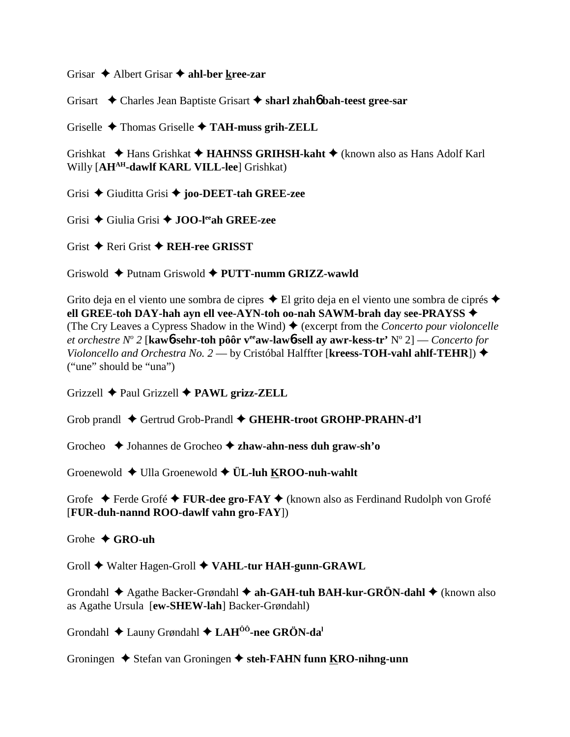Grisar  $\triangle$  Albert Grisar  $\triangle$  ahl-ber kree-zar

Grisart  $\triangle$  Charles Jean Baptiste Grisart  $\triangle$  sharl zhaho bah-teest gree-sar

Griselle  $\triangle$  Thomas Griselle  $\triangle$  TAH-muss grih-ZELL

Grishkat ◆ Hans Grishkat ◆ HAHNSS GRIHSH-kaht ◆ (known also as Hans Adolf Karl Willy [AH<sup>AH</sup>-dawlf KARL VILL-lee] Grishkat)

Grisi  $\triangle$  Giuditta Grisi  $\triangle$  joo-DEET-tah GREE-zee

Grisi ◆ Giulia Grisi ◆ JOO-lee ah GREE-zee

Grist  $\triangle$  Reri Grist  $\triangle$  REH-ree GRISST

Griswold ♦ Putnam Griswold ♦ PUTT-numm GRIZZ-wawld

Grito deja en el viento une sombra de cipres  $\triangle$  El grito deja en el viento une sombra de ciprés  $\triangle$ ell GREE-toh DAY-hah ayn ell vee-AYN-toh oo-nah SAWM-brah day see-PRAYSS ◆ (The Cry Leaves a Cypress Shadow in the Wind)  $\triangle$  (excerpt from the *Concerto pour violoncelle* et orchestre  $N^{\circ}$  2 [kaw**6-sehr-toh pôôr v<sup>ee</sup>aw-law6-sell av awr-kess-tr'**  $N^{\circ}$  2] — Concerto for Violoncello and Orchestra No. 2 — by Cristóbal Halffter [kreess-TOH-vahl ahlf-TEHR]) ◆ ("une" should be "una")

Grizzell  $\triangle$  Paul Grizzell  $\triangle$  PAWL grizz-ZELL

Grob prandl  $\triangle$  Gertrud Grob-Prandl  $\triangle$  GHEHR-troot GROHP-PRAHN-d'l

Grocheo  $\rightarrow$  Johannes de Grocheo  $\rightarrow$  zhaw-ahn-ness duh graw-sh'o

Groenewold  $\blacklozenge$  Ulla Groenewold  $\blacklozenge$  UL-luh KROO-nuh-wahlt

Grofe  $\div$  Ferde Grofé  $\div$  FUR-dee gro-FAY  $\div$  (known also as Ferdinand Rudolph von Grofé [FUR-duh-nannd ROO-dawlf vahn gro-FAY])

Grobe  $\bigstar$  GRO-uh

Groll  $\blacklozenge$  Walter Hagen-Groll  $\blacklozenge$  VAHL-tur HAH-gunn-GRAWL

Grondahl  $\triangle$  Agathe Backer-Grøndahl  $\triangle$  ah-GAH-tuh BAH-kur-GRÖN-dahl  $\triangle$  (known also as Agathe Ursula [ew-SHEW-lah] Backer-Grøndahl)

Grondahl ◆ Launy Grøndahl ◆ LAH<sup>00</sup>-nee GRÖN-da<sup>1</sup>

Groningen  $\triangle$  Stefan van Groningen  $\triangle$  steh-FAHN funn KRO-nihng-unn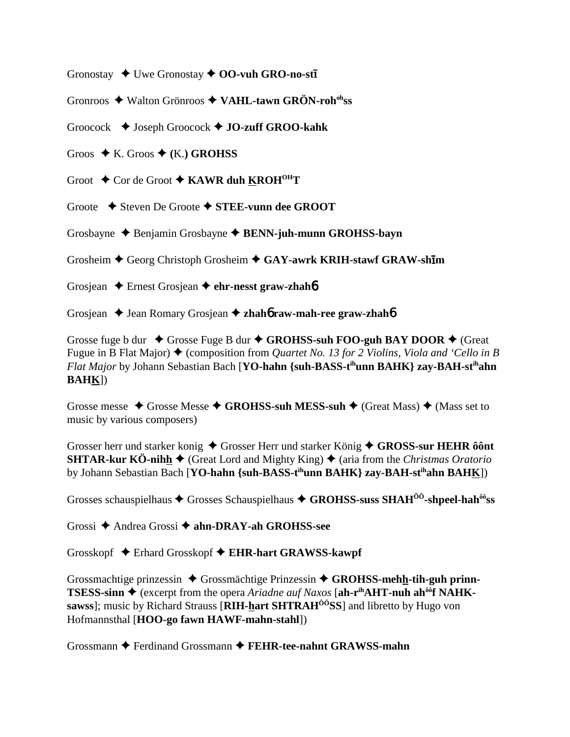Gronostay  $\rightarrow$  Uwe Gronostay  $\rightarrow$  **OO-vuh GRO-no-sti** 

Gronroos  $\triangle$  Walton Grönroos  $\triangle$  VAHL-tawn GRÖN-roh<sup>oh</sup>ss

Groocock  $\blacklozenge$  Joseph Groocock  $\blacklozenge$  JO-zuff GROO-kahk

Groos  $\blacklozenge$  K. Groos  $\blacklozenge$  (K.) GROHSS

Groot  $\triangle$  Cor de Groot  $\triangle$  KAWR duh KROH<sup>OH</sup>T

Groote  $\div$  Steven De Groote  $\div$  STEE-vunn dee GROOT

Grosbayne  $\triangle$  Benjamin Grosbayne  $\triangle$  BENN-juh-munn GROHSS-bayn

Grosheim ♦ Georg Christoph Grosheim ♦ GAY-awrk KRIH-stawf GRAW-shim

Grosjean  $\triangle$  Ernest Grosjean  $\triangle$  ehr-nesst graw-zhahb

Grosjean  $\triangle$  Jean Romary Grosjean  $\triangle$  zhaho raw-mah-ree graw-zhaho

Grosse fuge b dur  $\triangle$  Grosse Fuge B dur  $\triangle$  GROHSS-suh FOO-guh BAY DOOR  $\triangle$  (Great Fugue in B Flat Major)  $\blacklozenge$  (composition from *Quartet No. 13 for 2 Violins, Viola and 'Cello in B* Flat Major by Johann Sebastian Bach [YO-hahn {suh-BASS-t<sup>ih</sup>unn BAHK} zay-BAH-st<sup>ih</sup>ahn **BAHK])** 

Grosse messe  $\triangle$  Grosse Messe  $\triangle$  GROHSS-suh MESS-suh  $\triangle$  (Great Mass)  $\triangle$  (Mass set to music by various composers)

Grosser herr und starker konig  $\triangle$  Grosser Herr und starker König  $\triangle$  GROSS-sur HEHR ôônt **SHTAR-kur KÖ-nihh**  $\blacklozenge$  (Great Lord and Mighty King)  $\blacklozenge$  (aria from the *Christmas Oratorio* by Johann Sebastian Bach [YO-hahn {suh-BASS-t<sup>ih</sup>unn BAHK} zay-BAH-st<sup>ih</sup>ahn BAHK])

Grosses schauspielhaus  $\triangle$  Grosses Schauspielhaus  $\triangle$  GROHSS-suss SHAH<sup>00</sup>-shpeel-hah<sup>00</sup>ss

Grossi  $\triangle$  Andrea Grossi  $\triangle$  ahn-DRAY-ah GROHSS-see

Grosskopf ◆ Erhard Grosskopf ◆ EHR-hart GRAWSS-kawpf

Grossmachtige prinzessin  $\triangle$  Grossmächtige Prinzessin  $\triangle$  GROHSS-mehh-tih-guh prinn-**TSESS-sinn**  $\blacklozenge$  (excerpt from the opera Ariadne auf Naxos [ah-r<sup>ih</sup>AHT-nuh ah<sup>ôô</sup>f NAHKsawss]; music by Richard Strauss [RIH-hart SHTRAH<sup>00</sup>SS] and libretto by Hugo von Hofmannsthal [HOO-go fawn HAWF-mahn-stahl])

Grossmann  $\triangle$  Ferdinand Grossmann  $\triangle$  FEHR-tee-nahnt GRAWSS-mahn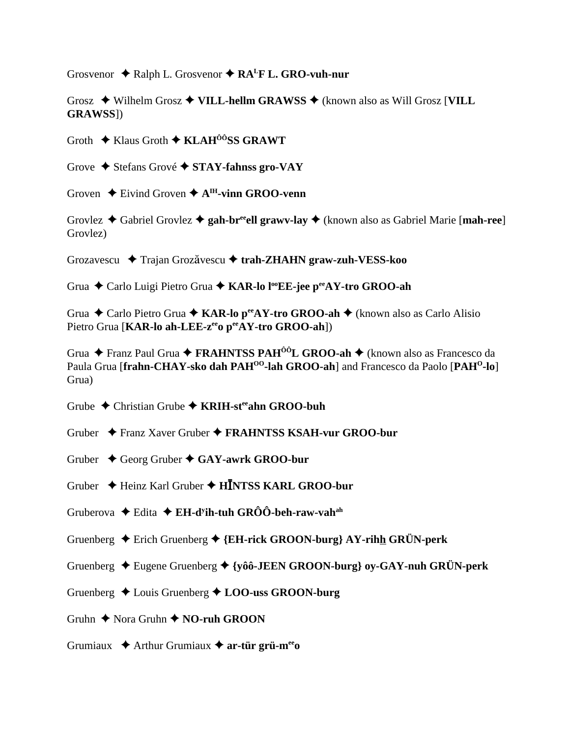Grosvenor  $\triangle$  Ralph L. Grosvenor  $\triangle$  RA<sup>L</sup>F L. GRO-vuh-nur

Grosz  $\blacklozenge$  Wilhelm Grosz  $\blacklozenge$  VILL-hellm GRAWSS  $\blacklozenge$  (known also as Will Grosz [VILL **GRAWSS**])

Groth  $\triangle$  Klaus Groth  $\triangle$  KLAH<sup>ôô</sup>SS GRAWT

Grove  $\triangle$  Stefans Grové  $\triangle$  STAY-fahnss gro-VAY

Groven  $\triangle$  Eivind Groven  $\triangle$  A<sup>IH</sup>-vinn GROO-venn

Grovlez  $\triangle$  Gabriel Grovlez  $\triangle$  gah-br<sup>ee</sup> ell grawy-lay  $\triangle$  (known also as Gabriel Marie [mah-ree] Grovlez)

Grozavescu  $\triangleq$  Trajan Grozăvescu  $\triangleq$  trah-ZHAHN graw-zuh-VESS-koo

Grua ◆ Carlo Luigi Pietro Grua ◆ KAR-lo l<sup>oo</sup>EE-jee p<sup>ee</sup>AY-tro GROO-ah

Grua  $\triangle$  Carlo Pietro Grua  $\triangle$  KAR-lo p<sup>ee</sup> AY-tro GROO-ah  $\triangle$  (known also as Carlo Alisio Pietro Grua [KAR-lo ah-LEE-z<sup>ee</sup>o peeAY-tro GROO-ah])

Grua  $\triangle$  Franz Paul Grua  $\triangle$  FRAHNTSS PAH<sup> $\hat{o}$ ôL GROO-ah  $\triangle$  (known also as Francesco da</sup> Paula Grua [frahn-CHAY-sko dah PAH<sup>00</sup>-lah GROO-ah] and Francesco da Paolo [PAH<sup>0</sup>-lo] Grua)

Grube  $\triangle$  Christian Grube  $\triangle$  KRIH-st<sup>ee</sup> ahn GROO-buh

Gruber ◆ Franz Xaver Gruber ◆ FRAHNTSS KSAH-vur GROO-bur

- Gruber  $\triangle$  Georg Gruber  $\triangle$  GAY-awrk GROO-bur
- Gruber  $\triangleq$  Heinz Karl Gruber  $\triangleq$  HINTSS KARL GROO-bur
- Gruberova  $\triangle$  Edita  $\triangle$  EH-d<sup>y</sup>ih-tuh GRÔÔ-beh-raw-vah<sup>ah</sup>
- Gruenberg  $\triangle$  Erich Gruenberg  $\triangle$  {EH-rick GROON-burg} AY-rihh GRÜN-perk
- Gruenberg  $\triangle$  Eugene Gruenberg  $\triangle$  {yôô-JEEN GROON-burg} oy-GAY-nuh GRÜN-perk
- Gruenberg  $\triangle$  Louis Gruenberg  $\triangle$  LOO-uss GROON-burg
- Gruhn  $\triangle$  Nora Gruhn  $\triangle$  NO-ruh GROON
- Grumiaux  $\triangleq$  Arthur Grumiaux  $\triangleq$  ar-tür grü-m<sup>ee</sup>o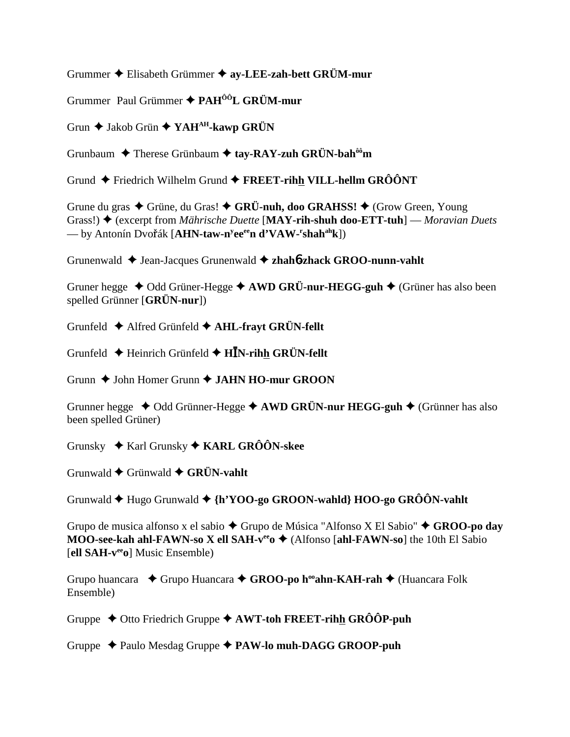Grummer ◆ Elisabeth Grümmer ◆ av-LEE-zah-bett GRÜM-mur

Grummer Paul Grümmer  $\triangle$  PAH<sup> $\hat{0}$ O<sup>†</sup>L GRÜM-mur</sup>

Grun  $\blacklozenge$  Jakob Grün  $\blacklozenge$  YAH<sup>AH</sup>-kawp GRÜN

Grunbaum  $\triangle$  Therese Grünbaum  $\triangle$  tay-RAY-zuh GRÜN-bah<sup>ôô</sup>m

Grund  $\blacklozenge$  Friedrich Wilhelm Grund  $\blacklozenge$  FREET-rihh VILL-hellm GRÔÔNT

Grune du gras  $\triangle$  Grüne, du Gras!  $\triangle$  GRÜ-nuh, doo GRAHSS!  $\triangle$  (Grow Green, Young Grass!)  $\triangleq$  (excerpt from *Mährische Duette* [MAY-rih-shuh doo-ETT-tuh] — *Moravian Duets* — by Antonín Dvořák [AHN-taw-n<sup>y</sup>ee<sup>ee</sup>n d'VAW-'shah<sup>ah</sup>k])

Grunenwald  $\triangleleft$  Jean-Jacques Grunenwald  $\triangleleft$  zhah**ó-zhack GROO-nunn-vahlt** 

Gruner hegge  $\triangleleft$  Odd Grüner-Hegge  $\triangleleft$  AWD GRÜ-nur-HEGG-guh  $\triangleleft$  (Grüner has also been spelled Grünner  $[GR\ddot{U}N\text{-}\text{nur}])$ 

Grunfeld ◆ Alfred Grünfeld ◆ AHL-frayt GRÜN-fellt

Grunfeld  $\triangle$  Heinrich Grünfeld  $\triangle$  HIN-rihh GRÜN-fellt

Grunn  $\triangle$  John Homer Grunn  $\triangle$  JAHN HO-mur GROON

Grunner hegge  $\triangleleft$  Odd Grünner-Hegge  $\triangleleft$  AWD GRÜN-nur HEGG-guh  $\triangleleft$  (Grünner has also been spelled Grüner)

Grunsky  $\div$  Karl Grunsky  $\div$  KARL GRÔÔN-skee

Grunwald  $\blacklozenge$  Grünwald  $\blacklozenge$  GRÜN-vahlt

Grunwald  $\blacklozenge$  Hugo Grunwald  $\blacklozenge$  {h'YOO-go GROON-wahld} HOO-go GRÔÔN-vahlt

Grupo de musica alfonso x el sabio ◆ Grupo de Música "Alfonso X El Sabio" ◆ GROO-po day MOO-see-kah ahl-FAWN-so X ell SAH- $v^{ee}$ o  $\triangle$  (Alfonso [ahl-FAWN-so] the 10th El Sabio [ell SAH-v<sup>ee</sup><sub>0</sub>] Music Ensemble)

Grupo huancara  $\bullet$  Grupo Huancara  $\bullet$  GROO-po h<sup>oo</sup>ahn-KAH-rah  $\bullet$  (Huancara Folk Ensemble)

Gruppe  $\triangle$  Otto Friedrich Gruppe  $\triangle$  AWT-toh FREET-rihh GRÔÔP-puh

Gruppe  $\triangle$  Paulo Mesdag Gruppe  $\triangle$  PAW-lo muh-DAGG GROOP-puh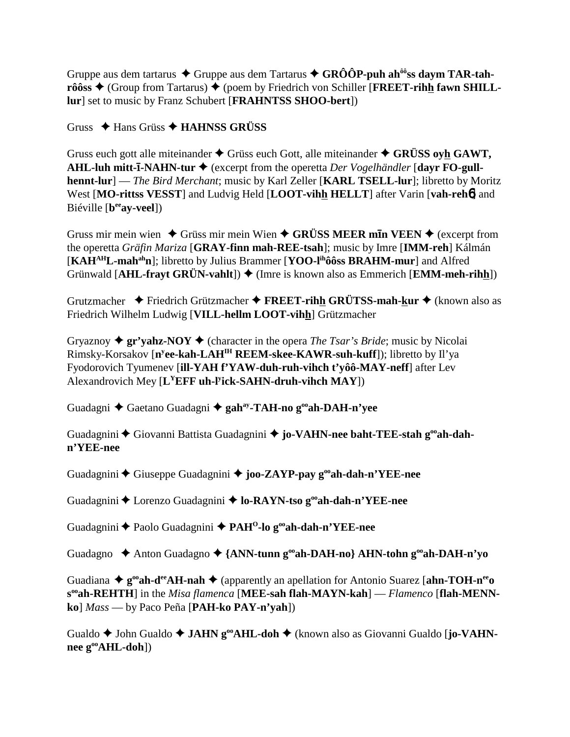Gruppe aus dem tartarus  $\triangle$  Gruppe aus dem Tartarus  $\triangle$  GRÔÔP-puh ah<sup>ôô</sup>ss daym TAR-tah**rôôss ♦** (Group from Tartarus) ♦ (poem by Friedrich von Schiller [FREET-rihh fawn SHILL**lur**] set to music by Franz Schubert [**FRAHNTSS SHOO-bert**])

Gruss Hans Grüss **HAHNSS GRÜSS**

Gruss euch gott alle miteinander  $\triangle$  Grüss euch Gott, alle miteinander  $\triangle$  GRÜSS ovh GAWT, **AHL-luh mitt-ī-NAHN-tur ♦** (excerpt from the operetta *Der Vogelhändler* [dayr FO-gull**hennt-lur**] — *The Bird Merchant*; music by Karl Zeller [**KARL TSELL-lur**]; libretto by Moritz West [**MO-rittss VESST**] and Ludvig Held [**LOOT-vihh HELLT**] after Varin [**vah-reh**6] and Biéville [**beeay-veel**])

Gruss mir mein wien  $\triangle$  Grüss mir mein Wien  $\triangle$  GRÜSS MEER m**In VEEN**  $\triangle$  (excerpt from the operetta *Gräfin Mariza* [**GRAY-finn mah-REE-tsah**]; music by Imre [**IMM-reh**] Kálmán [**KAHAHL-mahahn**]; libretto by Julius Brammer [**YOO-lihôôss BRAHM-mur**] and Alfred Grünwald [AHL-fravt GRÜN-vahlt])  $\blacklozenge$  (Imre is known also as Emmerich [**EMM-meh-rihh**])

Grutzmacher Friedrich Grützmacher **FREET-rihh GRÜTSS-mah-kur** (known also as Friedrich Wilhelm Ludwig [**VILL-hellm LOOT-vihh**] Grützmacher

Gryaznoy  $\triangleq$  gr'yahz-NOY  $\triangleq$  (character in the opera *The Tsar's Bride*; music by Nicolai Rimsky-Korsakov [**ny ee-kah-LAHIH REEM-skee-KAWR-suh-kuff**]); libretto by Il'ya Fyodorovich Tyumenev [**ill-YAH f'YAW-duh-ruh-vihch t'yôô-MAY-neff**] after Lev Alexandrovich Mey [**LYEFF uh-ly ick-SAHN-druh-vihch MAY**])

Guadagni Gaetano Guadagni **gahay-TAH-no gooah-DAH-n'yee**

Guadagnini  $\blacklozenge$  Giovanni Battista Guadagnini  $\blacklozenge$  jo-VAHN-nee baht-TEE-stah g<sup>oo</sup>ah-dah**n'YEE-nee**

Guadagnini Giuseppe Guadagnini **joo-ZAYP-pay gooah-dah-n'YEE-nee**

Guadagnini ◆ Lorenzo Guadagnini ◆ lo-RAYN-tso g<sup>oo</sup>ah-dah-n'YEE-nee

Guadagnini Paolo Guadagnini **PAHO-lo gooah-dah-n'YEE-nee**

Guadagno ◆ Anton Guadagno ◆ {**ANN-tunn g<sup>oo</sup>ah-DAH-no**} **AHN-tohn g<sup>oo</sup>ah-DAH-n'yo** 

Guadiana  $\triangleq$  **g**<sup>oo</sup>**ah-d<sup>ee</sup>AH-nah**  $\triangleq$  (apparently an apellation for Antonio Suarez [**ahn-TOH-n<sup>ee</sup>o sooah-REHTH**] in the *Misa flamenca* [**MEE-sah flah-MAYN-kah**] — *Flamenco* [**flah-MENNko**] *Mass* — by Paco Peña [**PAH-ko PAY-n'yah**])

Gualdo ◆ John Gualdo ◆ JAHN g<sup>oo</sup>AHL-doh ◆ (known also as Giovanni Gualdo [**jo-VAHNnee gooAHL-doh**])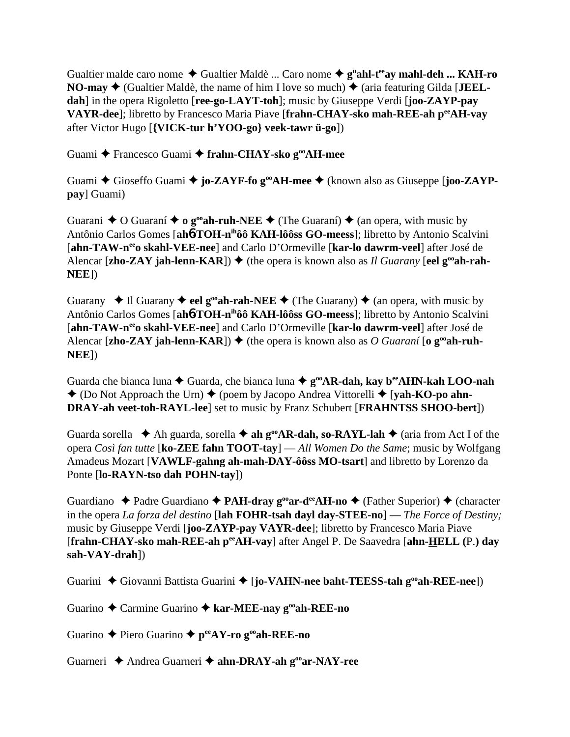Gualtier malde caro nome  $\blacklozenge$  Gualtier Maldè ... Caro nome  $\blacklozenge$  g<sup>ü</sup>ahl-t<sup>ee</sup>ay mahl-deh ... KAH-ro **NO-may**  $\blacklozenge$  (Gualtier Maldè, the name of him I love so much)  $\blacklozenge$  (aria featuring Gilda [**JEELdah**] in the opera Rigoletto [**ree-go-LAYT-toh**]; music by Giuseppe Verdi [**joo-ZAYP-pay VAYR-dee**]; libretto by Francesco Maria Piave [**frahn-CHAY-sko mah-REE-ah peeAH-vay** after Victor Hugo [**{VICK-tur h'YOO-go} veek-tawr ü-go**])

Guami Francesco Guami **frahn-CHAY-sko gooAH-mee**

Guami **→** Gioseffo Guami → **jo-ZAYF-fo g<sup>oo</sup>AH-mee** → (known also as Giuseppe [**joo-ZAYPpay**] Guami)

Guarani  $\triangle$  O Guaraní  $\triangle$  o g<sup>oo</sup>ah-ruh-NEE  $\triangle$  (The Guaraní)  $\triangle$  (an opera, with music by Antônio Carlos Gomes [**ah**6**-TOH-nihôô KAH-lôôss GO-meess**]; libretto by Antonio Scalvini [**ahn-TAW-neeo skahl-VEE-nee**] and Carlo D'Ormeville [**kar-lo dawrm-veel**] after José de Alencar [zho-ZAY jah-lenn-KAR])  $\blacklozenge$  (the opera is known also as *Il Guarany* [eel  $g^{\text{oo}}$ ah-rah-**NEE**])

Guarany  $\triangle$  Il Guarany  $\triangle$  eel g<sup>oo</sup>ah-rah-NEE  $\triangle$  (The Guarany)  $\triangle$  (an opera, with music by Antônio Carlos Gomes [**ah**6**-TOH-nihôô KAH-lôôss GO-meess**]; libretto by Antonio Scalvini [**ahn-TAW-neeo skahl-VEE-nee**] and Carlo D'Ormeville [**kar-lo dawrm-veel**] after José de Alencar [zho-ZAY jah-lenn-KAR])  $\blacklozenge$  (the opera is known also as *O Guaraní* [o  $g^{\omega}$ ah-ruh-**NEE**])

Guarda che bianca luna **→** Guarda, che bianca luna ◆ g<sup>oo</sup>AR-dah, kay b<sup>ee</sup>AHN-kah LOO-nah  $\triangle$  (Do Not Approach the Urn)  $\triangle$  (poem by Jacopo Andrea Vittorelli  $\triangle$  [**yah-KO-po ahn-DRAY-ah veet-toh-RAYL-lee**] set to music by Franz Schubert [**FRAHNTSS SHOO-bert**])

Guarda sorella  $\blacklozenge$  Ah guarda, sorella  $\blacklozenge$  **ah g<sup>oo</sup>AR-dah, so-RAYL-lah**  $\blacklozenge$  (aria from Act I of the opera *Così fan tutte* [**ko-ZEE fahn TOOT-tay**] — *All Women Do the Same*; music by Wolfgang Amadeus Mozart [**VAWLF-gahng ah-mah-DAY-ôôss MO-tsart**] and libretto by Lorenzo da Ponte [**lo-RAYN-tso dah POHN-tay**])

Guardiano ◆ Padre Guardiano ◆ **PAH-dray g<sup>oo</sup>ar-d<sup>ee</sup>AH-no ◆** (Father Superior) ◆ (character in the opera *La forza del destino* [**lah FOHR-tsah dayl day-STEE-no**] — *The Force of Destiny;* music by Giuseppe Verdi [**joo-ZAYP-pay VAYR-dee**]; libretto by Francesco Maria Piave [**frahn-CHAY-sko mah-REE-ah peeAH-vay**] after Angel P. De Saavedra [**ahn-HELL (**P.**) day sah-VAY-drah**])

Guarini  $\blacklozenge$  Giovanni Battista Guarini  $\blacklozenge$  [**jo-VAHN-nee baht-TEESS-tah g<sup>oo</sup>ah-REE-nee**])

Guarino Carmine Guarino **kar-MEE-nay gooah-REE-no**

Guarino Piero Guarino **peeAY-ro gooah-REE-no**

Guarneri Andrea Guarneri **ahn-DRAY-ah gooar-NAY-ree**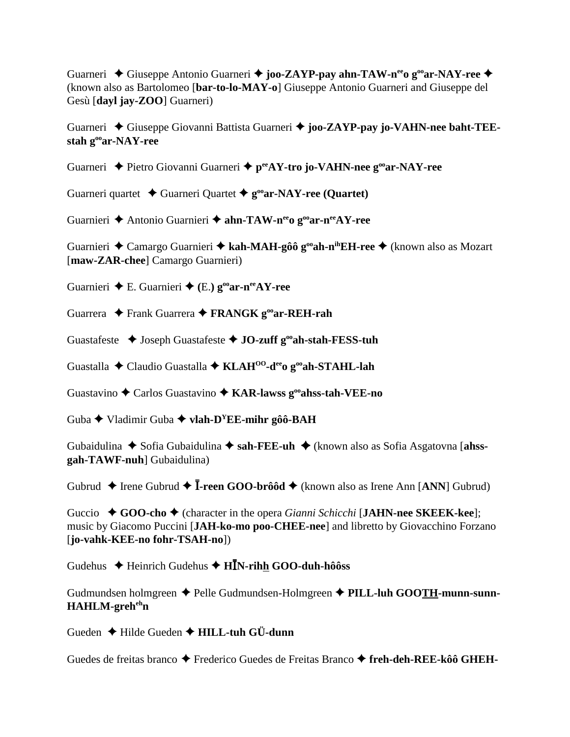Guarneri ◆ Giuseppe Antonio Guarneri ◆ joo-ZAYP-pay ahn-TAW-n<sup>ee</sup>o g<sup>oo</sup>ar-NAY-ree ◆ (known also as Bartolomeo [**bar-to-lo-MAY-o**] Giuseppe Antonio Guarneri and Giuseppe del Gesù [**dayl jay-ZOO**] Guarneri)

Guarneri Giuseppe Giovanni Battista Guarneri **joo-ZAYP-pay jo-VAHN-nee baht-TEEstah gooar-NAY-ree**

Guarneri ◆ Pietro Giovanni Guarneri ◆ p<sup>ee</sup>AY-tro jo-VAHN-nee g<sup>oo</sup>ar-NAY-ree

Guarneri quartet  $\triangle$  Guarneri Quartet  $\triangle$  g<sup>oo</sup>ar-NAY-ree (Quartet)

Guarnieri **←** Antonio Guarnieri ← ahn-TAW-n<sup>ee</sup>o g<sup>oo</sup>ar-n<sup>ee</sup>AY-ree

Guarnieri ◆ Camargo Guarnieri ◆ kah-MAH-gôô g<sup>oo</sup>ah-n<sup>ih</sup>EH-ree ◆ (known also as Mozart [**maw-ZAR-chee**] Camargo Guarnieri)

Guarnieri **←** E. Guarnieri ← (E.)  $g^{\text{o}}$ **ar-n**<sup>ee</sup>**AY-ree** 

Guarrera Frank Guarrera **FRANGK gooar-REH-rah**

Guastafeste  $\triangle$  Joseph Guastafeste  $\triangle$  JO-zuff g<sup>oo</sup>ah-stah-FESS-tuh

Guastalla Claudio Guastalla **KLAHOO-deeo gooah-STAHL-lah**

Guastavino Carlos Guastavino  **KAR-lawss gooahss-tah-VEE-no**

Guba Vladimir Guba **vlah-DYEE-mihr gôô-BAH**

Gubaidulina  $\blacklozenge$  Sofia Gubaidulina  $\blacklozenge$  sah-FEE-uh  $\blacklozenge$  (known also as Sofia Asgatovna [ahss**gah-TAWF-nuh**] Gubaidulina)

Gubrud  $\triangle$  Irene Gubrud  $\triangle$  **I**-reen GOO-brôôd  $\triangle$  (known also as Irene Ann [ANN] Gubrud)

Guccio **→ GOO-cho →** (character in the opera *Gianni Schicchi* [JAHN-nee SKEEK-kee]; music by Giacomo Puccini [**JAH-ko-mo poo-CHEE-nee**] and libretto by Giovacchino Forzano [**jo-vahk-KEE-no fohr-TSAH-no**])

Gudehus Heinrich Gudehus **HN-rihh GOO-duh-hôôss**

Gudmundsen holmgreen ◆ Pelle Gudmundsen-Holmgreen ◆ PILL-luh GOOTH-munn-sunn-**HAHLM-greh<sup>eh</sup>n** 

Gueden Hilde Gueden **HILL-tuh GÜ-dunn**

Guedes de freitas branco ◆ Frederico Guedes de Freitas Branco ◆ freh-deh-REE-kôô GHEH-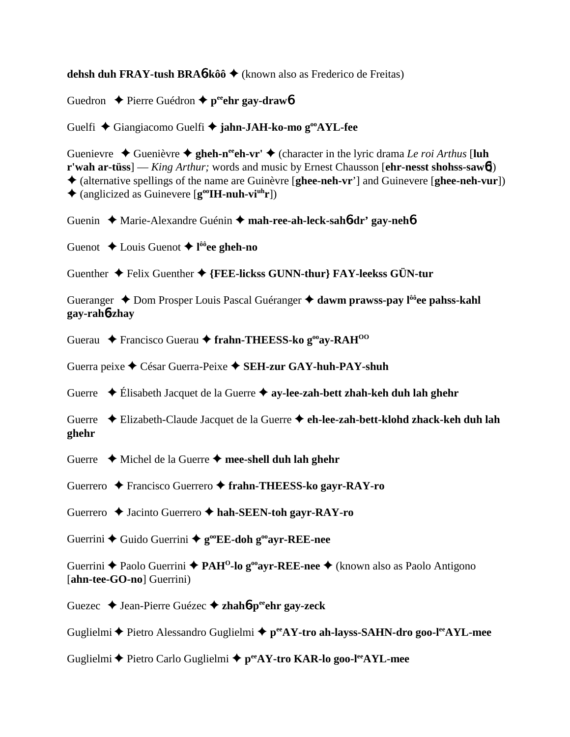**dehsh duh FRAY-tush BRA**6**-kôô** (known also as Frederico de Freitas)

Guedron **←** Pierre Guédron ← p<sup>ee</sup>ehr gay-draw6

Guelfi Giangiacomo Guelfi **jahn-JAH-ko-mo gooAYL-fee**

Guenievre  $\triangle$  Guenièvre  $\triangle$  gheh-n<sup>ee</sup>ch-vr'  $\triangle$  (character in the lyric drama *Le roi Arthus* [luh **r'wah ar-tüss**] — *King Arthur;* words and music by Ernest Chausson [**ehr-nesst shohss-saw**6]) (alternative spellings of the name are Guinèvre [**ghee-neh-vr**'] and Guinevere [**ghee-neh-vur**])  $\triangle$  (anglicized as Guinevere  $[\mathbf{g}^{\text{oo}}\mathbf{H}\mathbf{-nuh}\cdot\mathbf{vi}^{\text{uh}}\mathbf{r}]$ )

Guenin Marie-Alexandre Guénin **mah-ree-ah-leck-sah**6**-dr' gay-neh**6

Guenot Louis Guenot **l ôôee gheh-no**

Guenther **↓** Felix Guenther ♦ {FEE-lickss GUNN-thur} FAY-leekss GÜN-tur

Gueranger **→** Dom Prosper Louis Pascal Guéranger **→ dawm prawss-pay l<sup>ôô</sup>ee pahss-kahl gay-rah**6**-zhay**

Guerau **←** Francisco Guerau ← frahn-THEESS-ko g<sup>oo</sup>av-RAH<sup>OO</sup>

Guerra peixe César Guerra-Peixe **SEH-zur GAY-huh-PAY-shuh**

Guerre Élisabeth Jacquet de la Guerre **ay-lee-zah-bett zhah-keh duh lah ghehr**

Guerre Elizabeth-Claude Jacquet de la Guerre **eh-lee-zah-bett-klohd zhack-keh duh lah ghehr**

Guerre  **→** Michel de la Guerre → mee-shell duh lah ghehr

Guerrero Francisco Guerrero **frahn-THEESS-ko gayr-RAY-ro**

Guerrero Jacinto Guerrero **hah-SEEN-toh gayr-RAY-ro**

Guerrini **←** Guido Guerrini ← g<sup>oo</sup>EE-doh g<sup>oo</sup>ayr-REE-nee

Guerrini **←** Paolo Guerrini ← PAH<sup>O</sup>-lo g<sup>oo</sup>ayr-REE-nee ← (known also as Paolo Antigono [**ahn-tee-GO-no**] Guerrini)

Guezec Jean-Pierre Guézec **zhah**6**-peeehr gay-zeck**

Guglielmi **←** Pietro Alessandro Guglielmi ← p<sup>ee</sup>AY-tro ah-layss-SAHN-dro goo-l<sup>ee</sup>AYL-mee

Guglielmi Pietro Carlo Guglielmi **peeAY-tro KAR-lo goo-leeAYL-mee**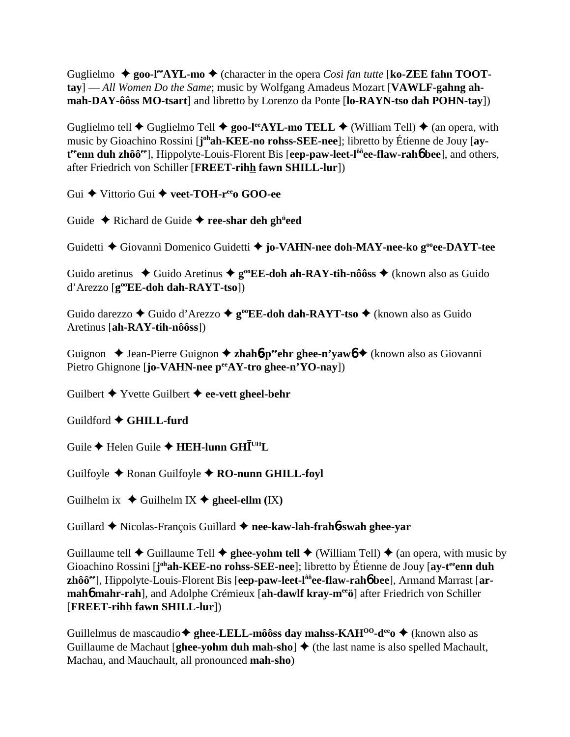Guglielmo  $\triangle$  goo-l<sup>ee</sup>AYL-mo  $\triangle$  (character in the opera *Così fan tutte* [ko-ZEE fahn TOOT**tay**] — *All Women Do the Same*; music by Wolfgang Amadeus Mozart [**VAWLF-gahng ahmah-DAY-ôôss MO-tsart**] and libretto by Lorenzo da Ponte [**lo-RAYN-tso dah POHN-tay**])

Guglielmo tell  $\blacklozenge$  Guglielmo Tell  $\blacklozenge$  **goo-l<sup>ee</sup>AYL-mo TELL**  $\blacklozenge$  (William Tell)  $\blacklozenge$  (an opera, with music by Gioachino Rossini [**j**<sup>oh</sup>**ah-KEE-no rohss-SEE-nee**]; libretto by Étienne de Jouy [**ay**t<sup>ee</sup>enn duh zhôô<sup>ee</sup>], Hippolyte-Louis-Florent Bis [eep-paw-leet-l<sup>ôô</sup>ee-flaw-rah6 bee], and others, after Friedrich von Schiller [**FREET-rihh fawn SHILL-lur**])

Gui **←** Vittorio Gui ← veet-TOH-r<sup>ee</sup> GOO-ee

Guide  $\triangle$  Richard de Guide  $\triangle$  ree-shar deh gh<sup>ü</sup>eed

Guidetti Giovanni Domenico Guidetti **jo-VAHN-nee doh-MAY-nee-ko gooee-DAYT-tee**

Guido aretinus  $\blacklozenge$  Guido Aretinus  $\blacklozenge$  **g**<sup>oo</sup>**EE-doh ah-RAY-tih-nôôss**  $\blacklozenge$  (known also as Guido d'Arezzo [**gooEE-doh dah-RAYT-tso**])

Guido darezzo **→** Guido d'Arezzo → g<sup>oo</sup>EE-doh dah-RAYT-tso → (known also as Guido Aretinus [**ah-RAY-tih-nôôss**])

Guignon **→** Jean-Pierre Guignon → zhah**6**-p<sup>ee</sup>ehr ghee-n'vawb → (known also as Giovanni Pietro Ghignone [**jo-VAHN-nee**  $p^{ee}AY$ -tro ghee-n'YO-nay])

Guilbert Yvette Guilbert **ee-vett gheel-behr**

Guildford **GHILL-furd**

 $\mathbf{G}$ uile ◆ Helen Guile ◆ **HEH-lunn GH** $\bar{\mathbf{I}}^{\text{UH}}\mathbf{L}$ 

Guilfoyle **←** Ronan Guilfoyle ← **RO-nunn GHILL-foyl** 

Guilhelm ix  $\blacklozenge$  Guilhelm IX  $\blacklozenge$  gheel-ellm (IX)

Guillard Nicolas-François Guillard **nee-kaw-lah-frah**6**-swah ghee-yar**

Guillaume tell  $\blacklozenge$  Guillaume Tell  $\blacklozenge$  ghee-yohm tell  $\blacklozenge$  (William Tell)  $\blacklozenge$  (an opera, with music by Gioachino Rossini [**j**<sup>oh</sup>**ah-KEE-no rohss-SEE-nee**]; libretto by Étienne de Jouy [ay-t<sup>ee</sup>enn duh **zhôôee**], Hippolyte-Louis-Florent Bis [**eep-paw-leet-lôôee-flaw-rah**6 **bee**], Armand Marrast [**ar**mah**6** mahr-rah], and Adolphe Crémieux [ah-dawlf kray-mee o after Friedrich von Schiller [**FREET-rihh fawn SHILL-lur**])

Guillelmus de mascaudio **ghee-LELL-môôss day mahss-KAHOO-deeo** (known also as Guillaume de Machaut [**ghee-yohm duh mah-sho**]  $\blacklozenge$  (the last name is also spelled Machault, Machau, and Mauchault, all pronounced **mah-sho**)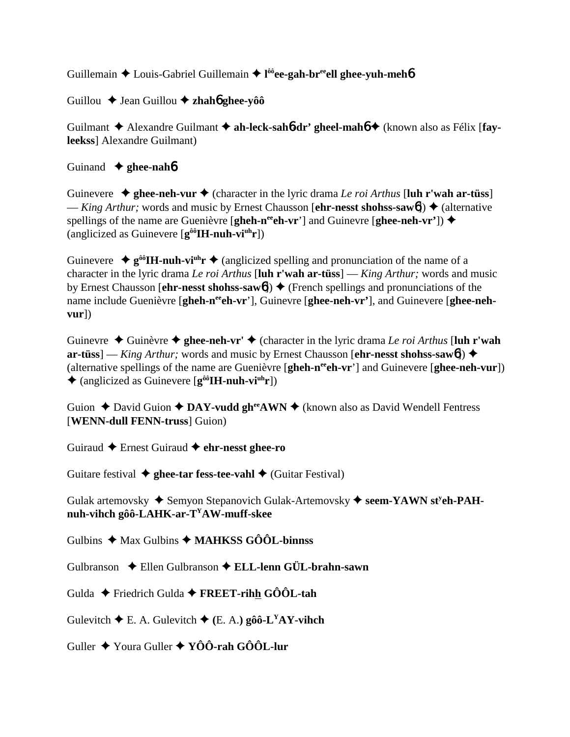Guillemain ◆ Louis-Gabriel Guillemain ◆ l<sup>ôô</sup>ee-gah-br<sup>ee</sup>ell ghee-yuh-meh**<sup>6</sup>** 

Guillou **→** Jean Guillou **→ zhahó ghee-yôô** 

Guilmant  $\triangle$  Alexandre Guilmant  $\triangle$  ah-leck-sah**6-dr' gheel-mah6**  $\triangle$  (known also as Félix [fay**leekss**] Alexandre Guilmant)

## Guinand **ghee-nah**6

Guinevere  $\triangle$  ghee-neh-vur  $\triangle$  (character in the lyric drama *Le roi Arthus* [luh r'wah ar-tüss] — *King Arthur*; words and music by Ernest Chausson [**ehr-nesst shohss-saw**6])  $\triangle$  (alternative spellings of the name are Guenièvre [**gheh-n<sup>ee</sup>eh-vr**'] and Guinevre [**ghee-neh-vr'**])  $\triangle$ (anglicized as Guinevere [**gôôIH-nuh-viuhr**])

Guinevere  $\triangleq g^{0,0}$ **H-nuh-vi<sup>nh</sup>r**  $\triangleq$  (anglicized spelling and pronunciation of the name of a character in the lyric drama *Le roi Arthus* [**luh r'wah ar-tüss**] — *King Arthur;* words and music by Ernest Chausson [**ehr-nesst shohss-saw6**]) **→** (French spellings and pronunciations of the name include Guenièvre [gheh-n<sup>ee</sup>eh-vr'], Guinevre [ghee-neh-vr'], and Guinevere [ghee-neh**vur**])

Guinevre  $\triangle$  Guinèvre  $\triangle$  ghee-neh-vr'  $\triangle$  (character in the lyric drama *Le roi Arthus* [luh r'wah **ar-tüss**] — *King Arthur;* words and music by Ernest Chausson [**ehr-nesst shohss-saw**6]) (alternative spellings of the name are Guenièvre [**gheh-n<sup>ee</sup>ch-vr**'] and Guinevere [**ghee-neh-vur**]) (anglicized as Guinevere [**gôôIH-nuh-viuhr**])

Guion **←** David Guion **← DAY-vudd gh<sup>ee</sup>AWN ←** (known also as David Wendell Fentress [**WENN-dull FENN-truss**] Guion)

Guiraud Ernest Guiraud **ehr-nesst ghee-ro**

Guitare festival  $\triangle$  ghee-tar fess-tee-vahl  $\triangle$  (Guitar Festival)

Gulak artemovsky  $\triangle$  Semyon Stepanovich Gulak-Artemovsky  $\triangle$  seem-YAWN st<sup>y</sup>eh-PAH**nuh-vihch gôô-LAHK-ar-TYAW-muff-skee**

Gulbins **→** Max Gulbins ◆ MAHKSS GÔÔL-binnss

Gulbranson Ellen Gulbranson **ELL-lenn GÜL-brahn-sawn**

Gulda Friedrich Gulda **FREET-rihh GÔÔL-tah**

Gulevitch  $\blacklozenge$  E. A. Gulevitch  $\blacklozenge$  (E. A.) **gôô-L<sup>Y</sup>AY-vihch** 

Guller Youra Guller **YÔÔ-rah GÔÔL-lur**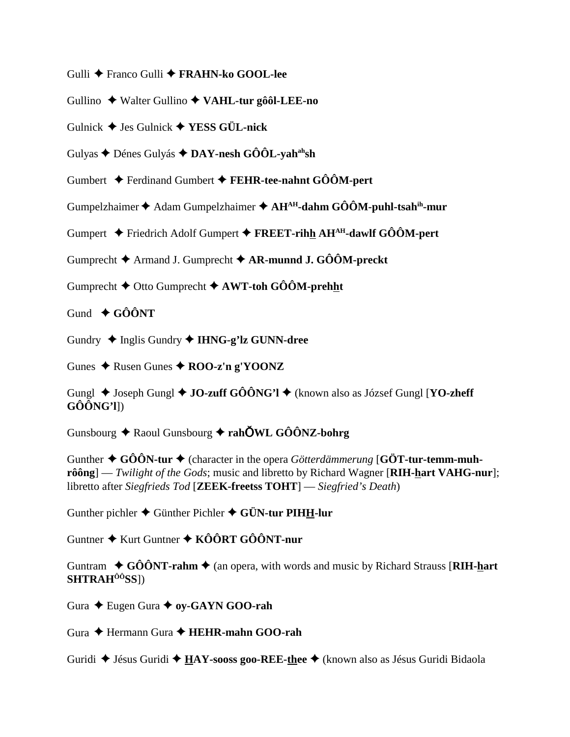- Gulli ◆ Franco Gulli ◆ FRAHN-ko GOOL-lee
- Gullino  $\triangle$  Walter Gullino  $\triangle$  VAHL-tur gôôl-LEE-no
- Gulnick  $\blacklozenge$  Jes Gulnick  $\blacklozenge$  YESS GÜL-nick
- Gulyas  $\triangle$  Dénes Gulyás  $\triangle$  DAY-nesh GÔÔL-yah<sup>ah</sup>sh
- Gumbert  $\triangle$  Ferdinand Gumbert  $\triangle$  FEHR-tee-nahnt GOOM-pert
- Gumpelzhaimer  $\triangle$  Adam Gumpelzhaimer  $\triangle$  AH<sup>AH</sup>-dahm GÔÔM-puhl-tsah<sup>ih</sup>-mur
- Gumpert  $\div$  Friedrich Adolf Gumpert  $\div$  FREET-rihh AH<sup>AH</sup>-dawlf GOOM-pert
- Gumprecht  $\blacklozenge$  Armand J. Gumprecht  $\blacklozenge$  AR-munnd J. GÔÔM-preckt
- Gumprecht  $\blacklozenge$  Otto Gumprecht  $\blacklozenge$  AWT-toh GÔÔM-prehht
- Gund  $\triangle$  GÔÔNT
- Gundry  $\triangleleft$  Inglis Gundry  $\triangleleft$  IHNG-g'lz GUNN-dree

Gunes  $\triangle$  Rusen Gunes  $\triangle$  ROO-z'n g'YOONZ

Gungl  $\triangle$  Joseph Gungl  $\triangle$  JO-zuff GÔÔNG'l  $\triangle$  (known also as József Gungl [YO-zheff]  $G\hat{O} \hat{O} N G' l$ ])

Gunsbourg  $\triangle$  Raoul Gunsbourg  $\triangle$  rahOWL GOONZ-bohrg

Gunther  $\triangle$  GÔÔN-tur  $\triangle$  (character in the opera *Götterdämmerung* [GÖT-tur-temm-muh- $\hat{\textbf{r}}$  rôông] — Twilight of the Gods; music and libretto by Richard Wagner [RIH-hart VAHG-nur]; libretto after Siegfrieds Tod [ZEEK-freetss TOHT] — Siegfried's Death)

Gunther pichler  $\triangle$  Günther Pichler  $\triangle$  GÜN-tur PIHH-lur

Guntner  $\triangle$  Kurt Guntner  $\triangle$  KÔÔRT GÔÔNT-nur

Guntram  $\div$  GÔÔNT-rahm  $\div$  (an opera, with words and music by Richard Strauss [RIH-hart] SHTRAH<sup>ÔÔ</sup>SS])

Gura ← Eugen Gura ← oy-GAYN GOO-rah

Gura → Hermann Gura → HEHR-mahn GOO-rah

Guridi  $\triangle$  Jésus Guridi  $\triangle$  **HAY-sooss goo-REE-thee**  $\triangle$  (known also as Jésus Guridi Bidaola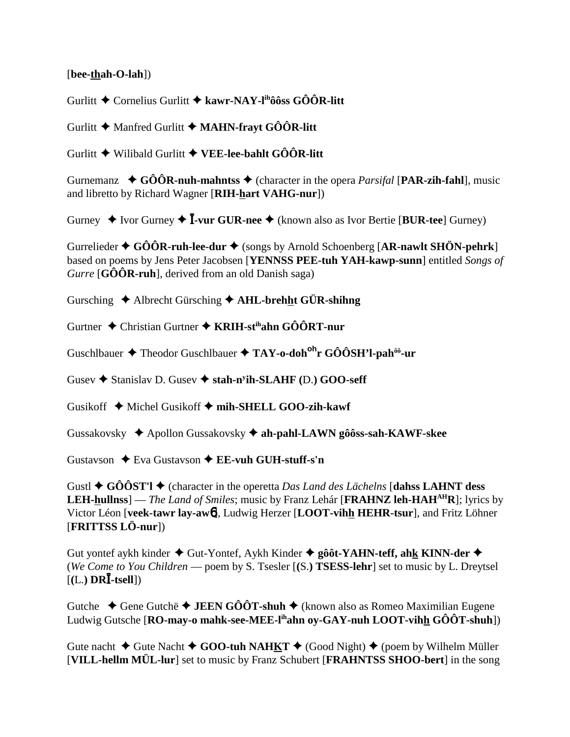[bee-thah-O-lah])

Gurlitt  $\triangle$  Cornelius Gurlitt  $\triangle$  kawr-NAY-l<sup>ih</sup>ôôss GÔÔR-litt

Gurlitt  $\blacklozenge$  Manfred Gurlitt  $\blacklozenge$  MAHN-frayt GÔÔR-litt

Gurlitt  $\blacklozenge$  Wilibald Gurlitt  $\blacklozenge$  VEE-lee-bahlt GÔÔR-litt

Gurnemanz  $\bullet$  GÔÔR-nuh-mahntss  $\bullet$  (character in the opera *Parsifal* [PAR-zih-fahl], music and libretto by Richard Wagner [RIH-hart VAHG-nur])

Gurney  $\triangle$  Ivor Gurney  $\triangle$  **I**-vur GUR-nee  $\triangle$  (known also as Ivor Bertie [BUR-tee] Gurney)

Gurrelieder  $\triangle$  GÔÔR-ruh-lee-dur  $\triangle$  (songs by Arnold Schoenberg [AR-nawlt SHÖN-pehrk] based on poems by Jens Peter Jacobsen [YENNSS PEE-tuh YAH-kawp-sunn] entitled Songs of Gurre  $[G\hat{O} \hat{O} R$ -ruh], derived from an old Danish saga)

Gursching  $\triangle$  Albrecht Gürsching  $\triangle$  AHL-brehht GÜR-shihng

Gurtner  $\triangle$  Christian Gurtner  $\triangle$  KRIH-st<sup>ih</sup>ahn GÔÔRT-nur

Guschlbauer  $\triangle$  Theodor Guschlbauer  $\triangle$  TAY-o-doh<sup>oh</sup>r GÔÔSH'l-pah<sup>ôô</sup>-ur

Gusey  $\triangle$  Stanislay D. Gusey  $\triangle$  stah-n<sup>y</sup>ih-SLAHF (D.) GOO-seff

Gusikoff  $\triangle$  Michel Gusikoff  $\triangle$  mih-SHELL GOO-zih-kawf

Gussakovsky  $\triangle$  Apollon Gussakovsky  $\triangle$  ah-pahl-LAWN gôôss-sah-KAWF-skee

Gustavson  $\triangle$  Eva Gustavson  $\triangle$  EE-vuh GUH-stuff-s'n

Gustl  $\triangle$  GÔÔST'l  $\triangle$  (character in the operetta Das Land des Lächelns [dahss LAHNT dess **LEH-hullnss**] — *The Land of Smiles*; music by Franz Lehár [**FRAHNZ leh-HAH<sup>AH</sup>R**]; lyrics by Victor Léon [veek-tawr lav-awb], Ludwig Herzer [LOOT-vihh HEHR-tsur], and Fritz Löhner [FRITTSS LÖ-nur])

Gut yontef aykh kinder  $\triangle$  Gut-Yontef, Aykh Kinder  $\triangle$  gôôt-YAHN-teff, ahk KINN-der  $\triangle$ (We Come to You Children — poem by S. Tsesler  $[(S.)$  TSESS-lehr] set to music by L. Dreytsel  $[(L.) DR\bar{I} - tsell])$ 

Gutche  $\triangle$  Gene Gutche  $\triangle$  JEEN GÔÔT-shuh  $\triangle$  (known also as Romeo Maximilian Eugene Ludwig Gutsche [RO-may-o mahk-see-MEE-l<sup>ih</sup>ahn oy-GAY-nuh LOOT-vihh GÔÔT-shuh])

Gute nacht  $\blacklozenge$  Gute Nacht  $\blacklozenge$  GOO-tuh NAHKT  $\blacklozenge$  (Good Night)  $\blacklozenge$  (poem by Wilhelm Müller [VILL-hellm MÜL-lur] set to music by Franz Schubert [FRAHNTSS SHOO-bert] in the song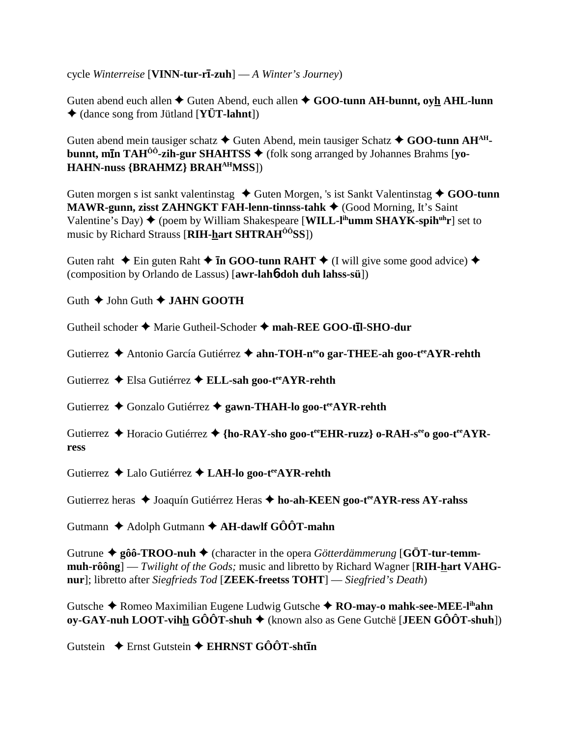cycle *Winterreise* [**VINN-tur-r**-**-zuh**] — *A Winter's Journey*)

Guten abend euch allen  $\triangle$  Guten Abend, euch allen  $\triangle$  GOO-tunn AH-bunnt, oyh AHL-lunn (dance song from Jütland [**YÜT-lahnt**])

Guten abend mein tausiger schatz **→** Guten Abend, mein tausiger Schatz ◆ GOO-tunn AH<sup>AH</sup>**bunnt, mīn TAH<sup>ôô</sup>-zih-gur SHAHTSS ♦** (folk song arranged by Johannes Brahms [yo-**HAHN-nuss {BRAHMZ} BRAHAHMSS**])

Guten morgen s ist sankt valentinstag ◆ Guten Morgen, 's ist Sankt Valentinstag ◆ GOO-tunn **MAWR-gunn, zisst ZAHNGKT FAH-lenn-tinnss-tahk ♦ (Good Morning, It's Saint** Valentine's Day) ◆ (poem by William Shakespeare [**WILL-l<sup>ih</sup>umm SHAYK-spih<sup>uh</sup>r**] set to music by Richard Strauss [**RIH-hart SHTRAHÔÔSS**])

Guten raht  $\triangle$  Ein guten Raht  $\triangle$  **In GOO-tunn RAHT**  $\triangle$  (I will give some good advice)  $\triangle$ (composition by Orlando de Lassus) [**awr-lah**6**-doh duh lahss-sü**])

Guth  $\triangle$  John Guth  $\triangle$  **JAHN GOOTH** 

Gutheil schoder  $\triangle$  Marie Gutheil-Schoder  $\triangle$  mah-REE GOO-t**īl-SHO-dur** 

Gutierrez **→** Antonio García Gutiérrez → ahn-TOH-n<sup>ee</sup>o gar-THEE-ah goo-t<sup>ee</sup>AYR-rehth

Gutierrez Elsa Gutiérrez **ELL-sah goo-teeAYR-rehth**

Gutierrez **→** Gonzalo Gutiérrez → gawn-THAH-lo goo-t<sup>ee</sup>AYR-rehth

Gutierrez  $\triangle$  Horacio Gutiérrez  $\triangle$  {ho-RAY-sho goo-t<sup>ee</sup>EHR-ruzz} o-RAH-s<sup>ee</sup>o goo-t<sup>ee</sup>AYR**ress**

Gutierrez **←** Lalo Gutiérrez ← LAH-lo goo-t<sup>ee</sup>AYR-rehth

Gutierrez heras ◆ Joaquín Gutiérrez Heras ◆ ho-ah-KEEN goo-t<sup>ee</sup>AYR-ress AY-rahss

Gutmann Adolph Gutmann **AH-dawlf GÔÔT-mahn**

Gutrune  $\triangleq$  gôô-TROO-nuh  $\triangleq$  (character in the opera *Götterdämmerung* [GÖT-tur-temm**muh-rôông**] — *Twilight of the Gods;* music and libretto by Richard Wagner [**RIH-hart VAHGnur**]; libretto after *Siegfrieds Tod* [**ZEEK-freetss TOHT**] — *Siegfried's Death*)

Gutsche ◆ Romeo Maximilian Eugene Ludwig Gutsche ◆ **RO-may-o mahk-see-MEE-l<sup>ih</sup>ahn oy-GAY-nuh LOOT-vihh GÔÔT-shuh ♦** (known also as Gene Gutchë [**JEEN GÔÔT-shuh**])

Gutstein  $\textcolor{red}{\bigstar}$  Ernst Gutstein  $\textcolor{red}{\bigstar}$  EHRNST GÔÔT-sht**īn**